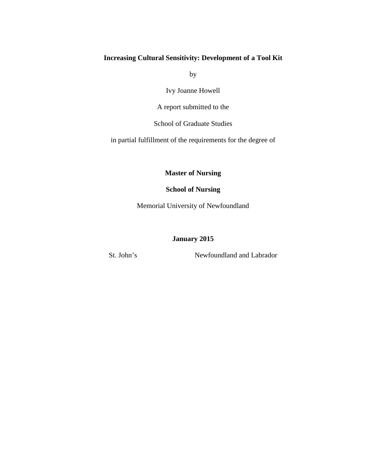# **Increasing Cultural Sensitivity: Development of a Tool Kit**

by

Ivy Joanne Howell

A report submitted to the

School of Graduate Studies

in partial fulfillment of the requirements for the degree of

**Master of Nursing**

# **School of Nursing**

Memorial University of Newfoundland

# **January 2015**

St. John's Newfoundland and Labrador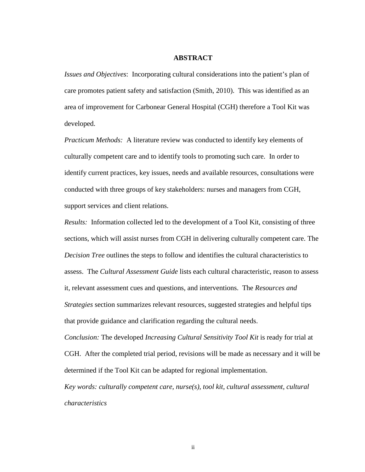#### **ABSTRACT**

*Issues and Objectives*: Incorporating cultural considerations into the patient's plan of care promotes patient safety and satisfaction (Smith, 2010). This was identified as an area of improvement for Carbonear General Hospital (CGH) therefore a Tool Kit was developed.

*Practicum Methods:* A literature review was conducted to identify key elements of culturally competent care and to identify tools to promoting such care. In order to identify current practices, key issues, needs and available resources, consultations were conducted with three groups of key stakeholders: nurses and managers from CGH, support services and client relations.

*Results:* Information collected led to the development of a Tool Kit, consisting of three sections, which will assist nurses from CGH in delivering culturally competent care. The *Decision Tree* outlines the steps to follow and identifies the cultural characteristics to assess. The *Cultural Assessment Guide* lists each cultural characteristic, reason to assess it, relevant assessment cues and questions, and interventions. The *Resources and Strategies* section summarizes relevant resources, suggested strategies and helpful tips that provide guidance and clarification regarding the cultural needs.

*Conclusion:* The developed *Increasing Cultural Sensitivity Tool Kit* is ready for trial at CGH. After the completed trial period, revisions will be made as necessary and it will be determined if the Tool Kit can be adapted for regional implementation.

*Key words: culturally competent care, nurse(s), tool kit, cultural assessment, cultural characteristics*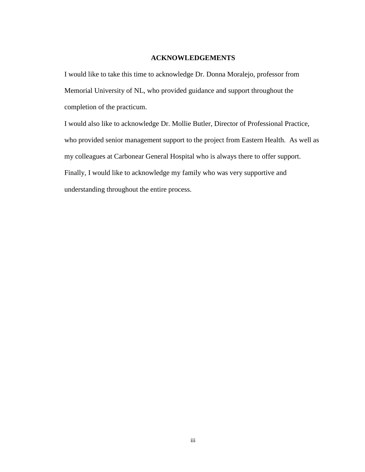## **ACKNOWLEDGEMENTS**

I would like to take this time to acknowledge Dr. Donna Moralejo, professor from Memorial University of NL, who provided guidance and support throughout the completion of the practicum.

I would also like to acknowledge Dr. Mollie Butler, Director of Professional Practice, who provided senior management support to the project from Eastern Health. As well as my colleagues at Carbonear General Hospital who is always there to offer support. Finally, I would like to acknowledge my family who was very supportive and understanding throughout the entire process.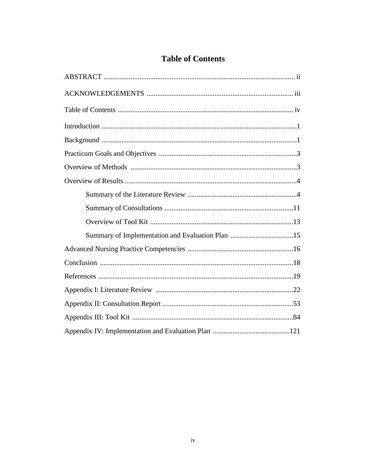| <b>Table of Contents</b> |
|--------------------------|
|--------------------------|

| Summary of Implementation and Evaluation Plan 15 |
|--------------------------------------------------|
|                                                  |
|                                                  |
|                                                  |
|                                                  |
|                                                  |
|                                                  |
|                                                  |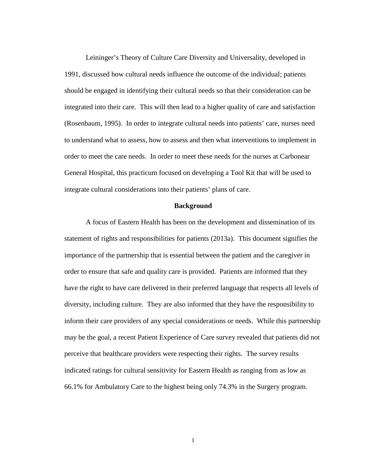Leininger's Theory of Culture Care Diversity and Universality, developed in 1991, discussed how cultural needs influence the outcome of the individual; patients should be engaged in identifying their cultural needs so that their consideration can be integrated into their care. This will then lead to a higher quality of care and satisfaction (Rosenbaum, 1995). In order to integrate cultural needs into patients' care, nurses need to understand what to assess, how to assess and then what interventions to implement in order to meet the care needs. In order to meet these needs for the nurses at Carbonear General Hospital, this practicum focused on developing a Tool Kit that will be used to integrate cultural considerations into their patients' plans of care.

## **Background**

A focus of Eastern Health has been on the development and dissemination of its statement of rights and responsibilities for patients (2013a). This document signifies the importance of the partnership that is essential between the patient and the caregiver in order to ensure that safe and quality care is provided. Patients are informed that they have the right to have care delivered in their preferred language that respects all levels of diversity, including culture. They are also informed that they have the responsibility to inform their care providers of any special considerations or needs. While this partnership may be the goal, a recent Patient Experience of Care survey revealed that patients did not perceive that healthcare providers were respecting their rights. The survey results indicated ratings for cultural sensitivity for Eastern Health as ranging from as low as 66.1% for Ambulatory Care to the highest being only 74.3% in the Surgery program.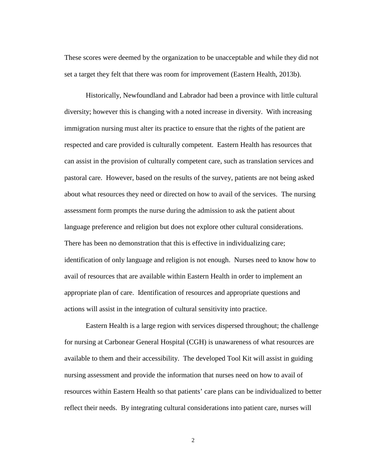These scores were deemed by the organization to be unacceptable and while they did not set a target they felt that there was room for improvement (Eastern Health, 2013b).

Historically, Newfoundland and Labrador had been a province with little cultural diversity; however this is changing with a noted increase in diversity. With increasing immigration nursing must alter its practice to ensure that the rights of the patient are respected and care provided is culturally competent. Eastern Health has resources that can assist in the provision of culturally competent care, such as translation services and pastoral care. However, based on the results of the survey, patients are not being asked about what resources they need or directed on how to avail of the services. The nursing assessment form prompts the nurse during the admission to ask the patient about language preference and religion but does not explore other cultural considerations. There has been no demonstration that this is effective in individualizing care; identification of only language and religion is not enough. Nurses need to know how to avail of resources that are available within Eastern Health in order to implement an appropriate plan of care. Identification of resources and appropriate questions and actions will assist in the integration of cultural sensitivity into practice.

Eastern Health is a large region with services dispersed throughout; the challenge for nursing at Carbonear General Hospital (CGH) is unawareness of what resources are available to them and their accessibility. The developed Tool Kit will assist in guiding nursing assessment and provide the information that nurses need on how to avail of resources within Eastern Health so that patients' care plans can be individualized to better reflect their needs. By integrating cultural considerations into patient care, nurses will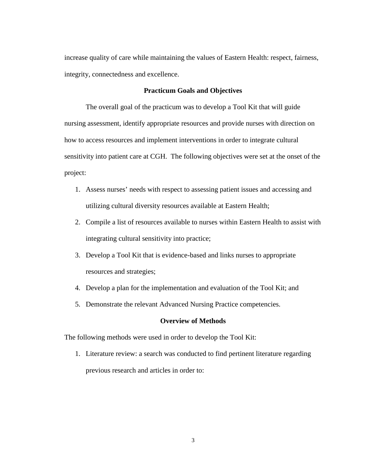increase quality of care while maintaining the values of Eastern Health: respect, fairness, integrity, connectedness and excellence.

## **Practicum Goals and Objectives**

The overall goal of the practicum was to develop a Tool Kit that will guide nursing assessment, identify appropriate resources and provide nurses with direction on how to access resources and implement interventions in order to integrate cultural sensitivity into patient care at CGH. The following objectives were set at the onset of the project:

- 1. Assess nurses' needs with respect to assessing patient issues and accessing and utilizing cultural diversity resources available at Eastern Health;
- 2. Compile a list of resources available to nurses within Eastern Health to assist with integrating cultural sensitivity into practice;
- 3. Develop a Tool Kit that is evidence-based and links nurses to appropriate resources and strategies;
- 4. Develop a plan for the implementation and evaluation of the Tool Kit; and
- 5. Demonstrate the relevant Advanced Nursing Practice competencies.

# **Overview of Methods**

The following methods were used in order to develop the Tool Kit:

1. Literature review: a search was conducted to find pertinent literature regarding previous research and articles in order to: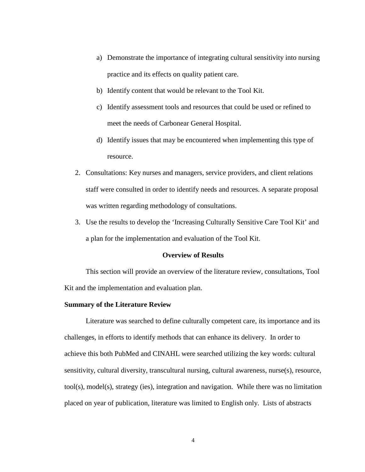- a) Demonstrate the importance of integrating cultural sensitivity into nursing practice and its effects on quality patient care.
- b) Identify content that would be relevant to the Tool Kit.
- c) Identify assessment tools and resources that could be used or refined to meet the needs of Carbonear General Hospital.
- d) Identify issues that may be encountered when implementing this type of resource.
- 2. Consultations: Key nurses and managers, service providers, and client relations staff were consulted in order to identify needs and resources. A separate proposal was written regarding methodology of consultations.
- 3. Use the results to develop the 'Increasing Culturally Sensitive Care Tool Kit' and a plan for the implementation and evaluation of the Tool Kit.

## **Overview of Results**

This section will provide an overview of the literature review, consultations, Tool Kit and the implementation and evaluation plan.

## **Summary of the Literature Review**

Literature was searched to define culturally competent care, its importance and its challenges, in efforts to identify methods that can enhance its delivery. In order to achieve this both PubMed and CINAHL were searched utilizing the key words: cultural sensitivity, cultural diversity, transcultural nursing, cultural awareness, nurse(s), resource, tool(s), model(s), strategy (ies), integration and navigation. While there was no limitation placed on year of publication, literature was limited to English only. Lists of abstracts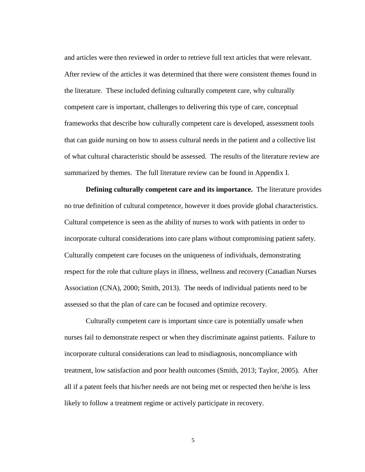and articles were then reviewed in order to retrieve full text articles that were relevant. After review of the articles it was determined that there were consistent themes found in the literature. These included defining culturally competent care, why culturally competent care is important, challenges to delivering this type of care, conceptual frameworks that describe how culturally competent care is developed, assessment tools that can guide nursing on how to assess cultural needs in the patient and a collective list of what cultural characteristic should be assessed. The results of the literature review are summarized by themes. The full literature review can be found in Appendix I.

**Defining culturally competent care and its importance.** The literature provides no true definition of cultural competence, however it does provide global characteristics. Cultural competence is seen as the ability of nurses to work with patients in order to incorporate cultural considerations into care plans without compromising patient safety. Culturally competent care focuses on the uniqueness of individuals, demonstrating respect for the role that culture plays in illness, wellness and recovery (Canadian Nurses Association (CNA), 2000; Smith, 2013). The needs of individual patients need to be assessed so that the plan of care can be focused and optimize recovery.

Culturally competent care is important since care is potentially unsafe when nurses fail to demonstrate respect or when they discriminate against patients. Failure to incorporate cultural considerations can lead to misdiagnosis, noncompliance with treatment, low satisfaction and poor health outcomes (Smith, 2013; Taylor, 2005). After all if a patent feels that his/her needs are not being met or respected then he/she is less likely to follow a treatment regime or actively participate in recovery.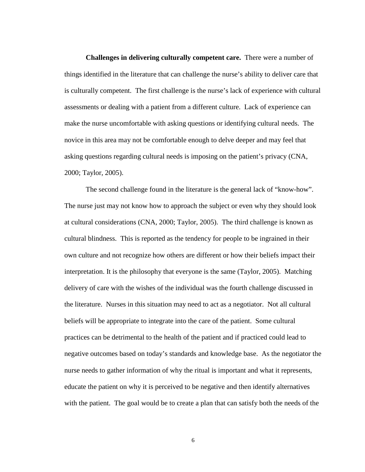**Challenges in delivering culturally competent care.** There were a number of things identified in the literature that can challenge the nurse's ability to deliver care that is culturally competent. The first challenge is the nurse's lack of experience with cultural assessments or dealing with a patient from a different culture. Lack of experience can make the nurse uncomfortable with asking questions or identifying cultural needs. The novice in this area may not be comfortable enough to delve deeper and may feel that asking questions regarding cultural needs is imposing on the patient's privacy (CNA, 2000; Taylor, 2005).

The second challenge found in the literature is the general lack of "know-how". The nurse just may not know how to approach the subject or even why they should look at cultural considerations (CNA, 2000; Taylor, 2005). The third challenge is known as cultural blindness. This is reported as the tendency for people to be ingrained in their own culture and not recognize how others are different or how their beliefs impact their interpretation. It is the philosophy that everyone is the same (Taylor, 2005). Matching delivery of care with the wishes of the individual was the fourth challenge discussed in the literature. Nurses in this situation may need to act as a negotiator. Not all cultural beliefs will be appropriate to integrate into the care of the patient. Some cultural practices can be detrimental to the health of the patient and if practiced could lead to negative outcomes based on today's standards and knowledge base. As the negotiator the nurse needs to gather information of why the ritual is important and what it represents, educate the patient on why it is perceived to be negative and then identify alternatives with the patient. The goal would be to create a plan that can satisfy both the needs of the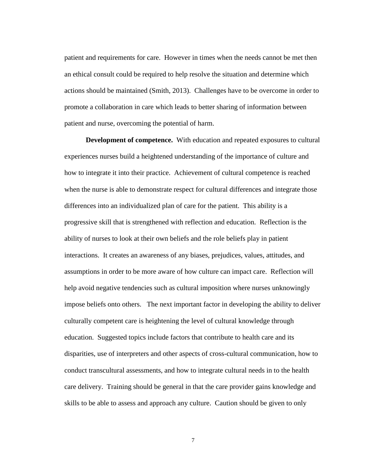patient and requirements for care. However in times when the needs cannot be met then an ethical consult could be required to help resolve the situation and determine which actions should be maintained (Smith, 2013). Challenges have to be overcome in order to promote a collaboration in care which leads to better sharing of information between patient and nurse, overcoming the potential of harm.

**Development of competence.** With education and repeated exposures to cultural experiences nurses build a heightened understanding of the importance of culture and how to integrate it into their practice. Achievement of cultural competence is reached when the nurse is able to demonstrate respect for cultural differences and integrate those differences into an individualized plan of care for the patient. This ability is a progressive skill that is strengthened with reflection and education. Reflection is the ability of nurses to look at their own beliefs and the role beliefs play in patient interactions. It creates an awareness of any biases, prejudices, values, attitudes, and assumptions in order to be more aware of how culture can impact care. Reflection will help avoid negative tendencies such as cultural imposition where nurses unknowingly impose beliefs onto others. The next important factor in developing the ability to deliver culturally competent care is heightening the level of cultural knowledge through education. Suggested topics include factors that contribute to health care and its disparities, use of interpreters and other aspects of cross-cultural communication, how to conduct transcultural assessments, and how to integrate cultural needs in to the health care delivery. Training should be general in that the care provider gains knowledge and skills to be able to assess and approach any culture. Caution should be given to only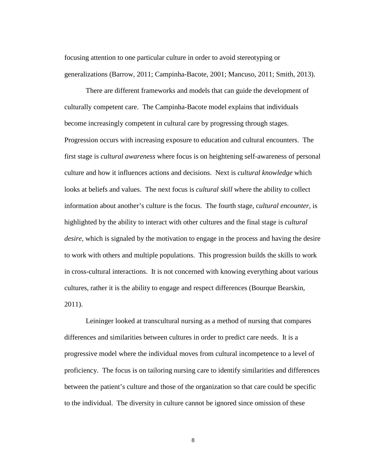focusing attention to one particular culture in order to avoid stereotyping or generalizations (Barrow, 2011; Campinha-Bacote, 2001; Mancuso, 2011; Smith, 2013).

There are different frameworks and models that can guide the development of culturally competent care. The Campinha-Bacote model explains that individuals become increasingly competent in cultural care by progressing through stages. Progression occurs with increasing exposure to education and cultural encounters. The first stage is *cultural awareness* where focus is on heightening self-awareness of personal culture and how it influences actions and decisions. Next is *cultural knowledge* which looks at beliefs and values. The next focus is *cultural skill* where the ability to collect information about another's culture is the focus. The fourth stage, c*ultural encounter,* is highlighted by the ability to interact with other cultures and the final stage is *cultural desire,* which is signaled by the motivation to engage in the process and having the desire to work with others and multiple populations. This progression builds the skills to work in cross-cultural interactions. It is not concerned with knowing everything about various cultures, rather it is the ability to engage and respect differences (Bourque Bearskin, 2011).

Leininger looked at transcultural nursing as a method of nursing that compares differences and similarities between cultures in order to predict care needs. It is a progressive model where the individual moves from cultural incompetence to a level of proficiency. The focus is on tailoring nursing care to identify similarities and differences between the patient's culture and those of the organization so that care could be specific to the individual. The diversity in culture cannot be ignored since omission of these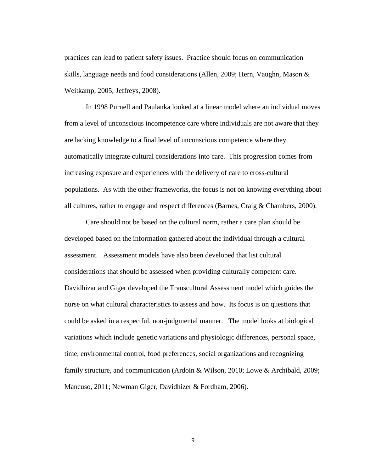practices can lead to patient safety issues. Practice should focus on communication skills, language needs and food considerations (Allen, 2009; Hern, Vaughn, Mason & Weitkamp, 2005; Jeffreys, 2008).

In 1998 Purnell and Paulanka looked at a linear model where an individual moves from a level of unconscious incompetence care where individuals are not aware that they are lacking knowledge to a final level of unconscious competence where they automatically integrate cultural considerations into care. This progression comes from increasing exposure and experiences with the delivery of care to cross-cultural populations. As with the other frameworks, the focus is not on knowing everything about all cultures, rather to engage and respect differences (Barnes, Craig & Chambers, 2000).

Care should not be based on the cultural norm, rather a care plan should be developed based on the information gathered about the individual through a cultural assessment. Assessment models have also been developed that list cultural considerations that should be assessed when providing culturally competent care. Davidhizar and Giger developed the Transcultural Assessment model which guides the nurse on what cultural characteristics to assess and how. Its focus is on questions that could be asked in a respectful, non-judgmental manner. The model looks at biological variations which include genetic variations and physiologic differences, personal space, time, environmental control, food preferences, social organizations and recognizing family structure, and communication (Ardoin & Wilson, 2010; Lowe & Archibald, 2009; Mancuso, 2011; Newman Giger, Davidhizer & Fordham, 2006).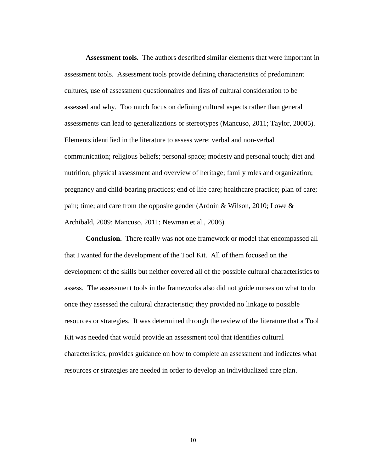**Assessment tools.** The authors described similar elements that were important in assessment tools. Assessment tools provide defining characteristics of predominant cultures, use of assessment questionnaires and lists of cultural consideration to be assessed and why. Too much focus on defining cultural aspects rather than general assessments can lead to generalizations or stereotypes (Mancuso, 2011; Taylor, 20005). Elements identified in the literature to assess were: verbal and non-verbal communication; religious beliefs; personal space; modesty and personal touch; diet and nutrition; physical assessment and overview of heritage; family roles and organization; pregnancy and child-bearing practices; end of life care; healthcare practice; plan of care; pain; time; and care from the opposite gender (Ardoin & Wilson, 2010; Lowe & Archibald, 2009; Mancuso, 2011; Newman et al., 2006).

**Conclusion.** There really was not one framework or model that encompassed all that I wanted for the development of the Tool Kit. All of them focused on the development of the skills but neither covered all of the possible cultural characteristics to assess. The assessment tools in the frameworks also did not guide nurses on what to do once they assessed the cultural characteristic; they provided no linkage to possible resources or strategies. It was determined through the review of the literature that a Tool Kit was needed that would provide an assessment tool that identifies cultural characteristics, provides guidance on how to complete an assessment and indicates what resources or strategies are needed in order to develop an individualized care plan.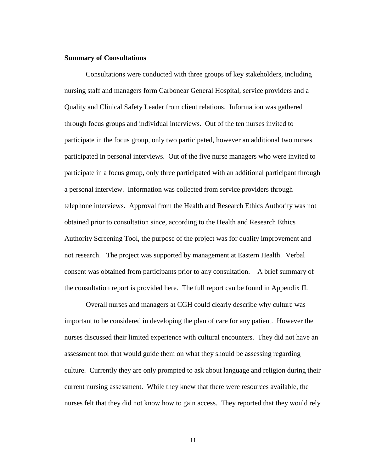## **Summary of Consultations**

Consultations were conducted with three groups of key stakeholders, including nursing staff and managers form Carbonear General Hospital, service providers and a Quality and Clinical Safety Leader from client relations. Information was gathered through focus groups and individual interviews. Out of the ten nurses invited to participate in the focus group, only two participated, however an additional two nurses participated in personal interviews. Out of the five nurse managers who were invited to participate in a focus group, only three participated with an additional participant through a personal interview. Information was collected from service providers through telephone interviews. Approval from the Health and Research Ethics Authority was not obtained prior to consultation since, according to the Health and Research Ethics Authority Screening Tool, the purpose of the project was for quality improvement and not research. The project was supported by management at Eastern Health. Verbal consent was obtained from participants prior to any consultation. A brief summary of the consultation report is provided here. The full report can be found in Appendix II.

Overall nurses and managers at CGH could clearly describe why culture was important to be considered in developing the plan of care for any patient. However the nurses discussed their limited experience with cultural encounters. They did not have an assessment tool that would guide them on what they should be assessing regarding culture. Currently they are only prompted to ask about language and religion during their current nursing assessment. While they knew that there were resources available, the nurses felt that they did not know how to gain access. They reported that they would rely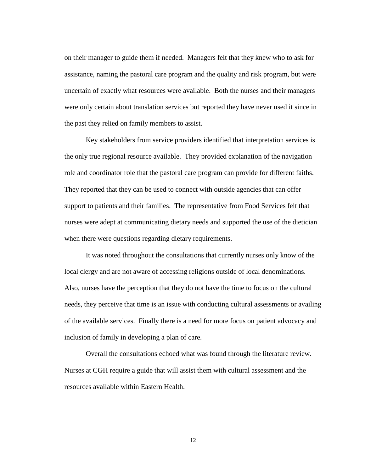on their manager to guide them if needed. Managers felt that they knew who to ask for assistance, naming the pastoral care program and the quality and risk program, but were uncertain of exactly what resources were available. Both the nurses and their managers were only certain about translation services but reported they have never used it since in the past they relied on family members to assist.

Key stakeholders from service providers identified that interpretation services is the only true regional resource available. They provided explanation of the navigation role and coordinator role that the pastoral care program can provide for different faiths. They reported that they can be used to connect with outside agencies that can offer support to patients and their families. The representative from Food Services felt that nurses were adept at communicating dietary needs and supported the use of the dietician when there were questions regarding dietary requirements.

It was noted throughout the consultations that currently nurses only know of the local clergy and are not aware of accessing religions outside of local denominations. Also, nurses have the perception that they do not have the time to focus on the cultural needs, they perceive that time is an issue with conducting cultural assessments or availing of the available services. Finally there is a need for more focus on patient advocacy and inclusion of family in developing a plan of care.

Overall the consultations echoed what was found through the literature review. Nurses at CGH require a guide that will assist them with cultural assessment and the resources available within Eastern Health.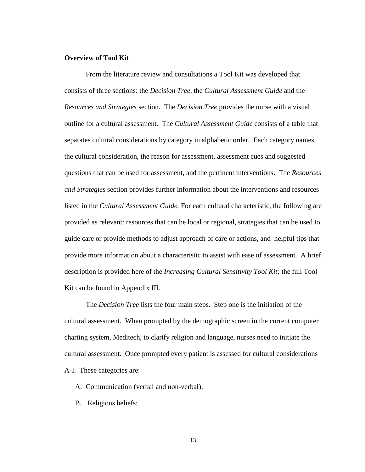# **Overview of Tool Kit**

From the literature review and consultations a Tool Kit was developed that consists of three sections: the *Decision Tree*, the *Cultural Assessment Guide* and the *Resources and Strategies* section. The *Decision Tree* provides the nurse with a visual outline for a cultural assessment. The *Cultural Assessment Guide* consists of a table that separates cultural considerations by category in alphabetic order. Each category names the cultural consideration, the reason for assessment, assessment cues and suggested questions that can be used for assessment, and the pertinent interventions. The *Resources and Strategies* section provides further information about the interventions and resources listed in the *Cultural Assessment Guide.* For each cultural characteristic, the following are provided as relevant: resources that can be local or regional, strategies that can be used to guide care or provide methods to adjust approach of care or actions, and helpful tips that provide more information about a characteristic to assist with ease of assessment. A brief description is provided here of the *Increasing Cultural Sensitivity Tool Kit;* the full Tool Kit can be found in Appendix III.

The *Decision Tree* lists the four main steps. Step one is the initiation of the cultural assessment. When prompted by the demographic screen in the current computer charting system, Meditech, to clarify religion and language, nurses need to initiate the cultural assessment. Once prompted every patient is assessed for cultural considerations A-I. These categories are:

- A. Communication (verbal and non-verbal);
- B. Religious beliefs;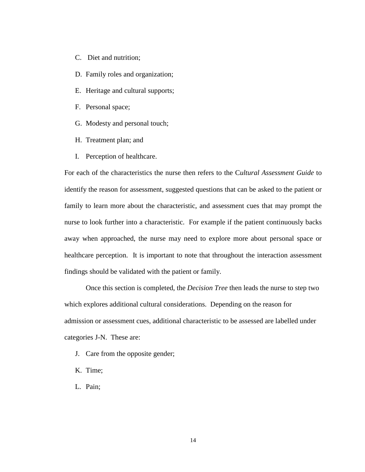- C. Diet and nutrition;
- D. Family roles and organization;
- E. Heritage and cultural supports;
- F. Personal space;
- G. Modesty and personal touch;
- H. Treatment plan; and
- I. Perception of healthcare.

For each of the characteristics the nurse then refers to the C*ultural Assessment Guide* to identify the reason for assessment, suggested questions that can be asked to the patient or family to learn more about the characteristic, and assessment cues that may prompt the nurse to look further into a characteristic. For example if the patient continuously backs away when approached, the nurse may need to explore more about personal space or healthcare perception. It is important to note that throughout the interaction assessment findings should be validated with the patient or family.

Once this section is completed, the *Decision Tree* then leads the nurse to step two which explores additional cultural considerations. Depending on the reason for admission or assessment cues, additional characteristic to be assessed are labelled under categories J-N. These are:

- J. Care from the opposite gender;
- K. Time;
- L. Pain;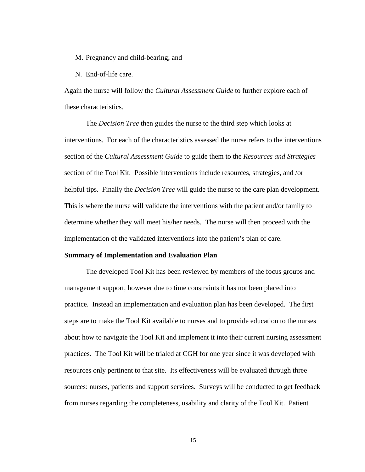M. Pregnancy and child-bearing; and

N. End-of-life care.

Again the nurse will follow the *Cultural Assessment Guide* to further explore each of these characteristics.

The *Decision Tree* then guides the nurse to the third step which looks at interventions. For each of the characteristics assessed the nurse refers to the interventions section of the *Cultural Assessment Guide* to guide them to the *Resources and Strategies* section of the Tool Kit. Possible interventions include resources, strategies, and /or helpful tips. Finally the *Decision Tree* will guide the nurse to the care plan development. This is where the nurse will validate the interventions with the patient and/or family to determine whether they will meet his/her needs. The nurse will then proceed with the implementation of the validated interventions into the patient's plan of care.

## **Summary of Implementation and Evaluation Plan**

The developed Tool Kit has been reviewed by members of the focus groups and management support, however due to time constraints it has not been placed into practice. Instead an implementation and evaluation plan has been developed. The first steps are to make the Tool Kit available to nurses and to provide education to the nurses about how to navigate the Tool Kit and implement it into their current nursing assessment practices. The Tool Kit will be trialed at CGH for one year since it was developed with resources only pertinent to that site. Its effectiveness will be evaluated through three sources: nurses, patients and support services. Surveys will be conducted to get feedback from nurses regarding the completeness, usability and clarity of the Tool Kit. Patient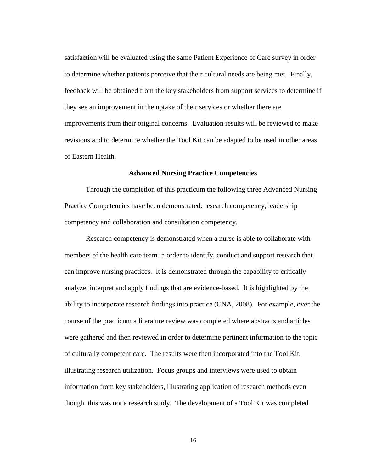satisfaction will be evaluated using the same Patient Experience of Care survey in order to determine whether patients perceive that their cultural needs are being met. Finally, feedback will be obtained from the key stakeholders from support services to determine if they see an improvement in the uptake of their services or whether there are improvements from their original concerns. Evaluation results will be reviewed to make revisions and to determine whether the Tool Kit can be adapted to be used in other areas of Eastern Health.

#### **Advanced Nursing Practice Competencies**

Through the completion of this practicum the following three Advanced Nursing Practice Competencies have been demonstrated: research competency, leadership competency and collaboration and consultation competency.

Research competency is demonstrated when a nurse is able to collaborate with members of the health care team in order to identify, conduct and support research that can improve nursing practices. It is demonstrated through the capability to critically analyze, interpret and apply findings that are evidence-based. It is highlighted by the ability to incorporate research findings into practice (CNA, 2008). For example, over the course of the practicum a literature review was completed where abstracts and articles were gathered and then reviewed in order to determine pertinent information to the topic of culturally competent care. The results were then incorporated into the Tool Kit, illustrating research utilization. Focus groups and interviews were used to obtain information from key stakeholders, illustrating application of research methods even though this was not a research study. The development of a Tool Kit was completed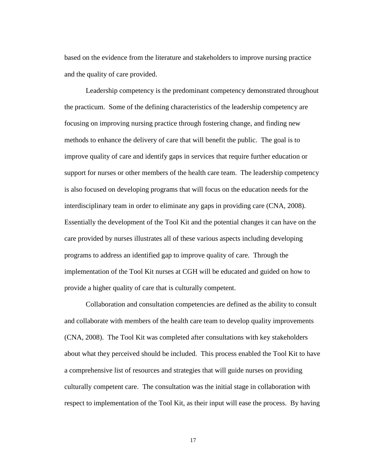based on the evidence from the literature and stakeholders to improve nursing practice and the quality of care provided.

Leadership competency is the predominant competency demonstrated throughout the practicum. Some of the defining characteristics of the leadership competency are focusing on improving nursing practice through fostering change, and finding new methods to enhance the delivery of care that will benefit the public. The goal is to improve quality of care and identify gaps in services that require further education or support for nurses or other members of the health care team. The leadership competency is also focused on developing programs that will focus on the education needs for the interdisciplinary team in order to eliminate any gaps in providing care (CNA, 2008). Essentially the development of the Tool Kit and the potential changes it can have on the care provided by nurses illustrates all of these various aspects including developing programs to address an identified gap to improve quality of care. Through the implementation of the Tool Kit nurses at CGH will be educated and guided on how to provide a higher quality of care that is culturally competent.

Collaboration and consultation competencies are defined as the ability to consult and collaborate with members of the health care team to develop quality improvements (CNA, 2008). The Tool Kit was completed after consultations with key stakeholders about what they perceived should be included. This process enabled the Tool Kit to have a comprehensive list of resources and strategies that will guide nurses on providing culturally competent care. The consultation was the initial stage in collaboration with respect to implementation of the Tool Kit, as their input will ease the process. By having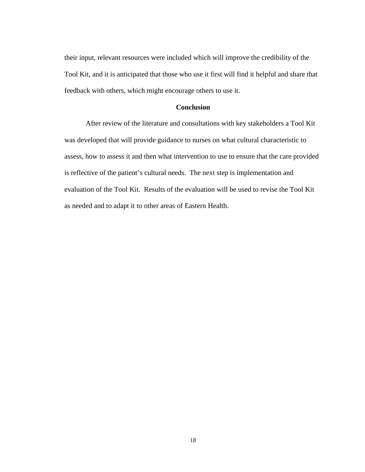their input, relevant resources were included which will improve the credibility of the Tool Kit, and it is anticipated that those who use it first will find it helpful and share that feedback with others, which might encourage others to use it.

## **Conclusion**

After review of the literature and consultations with key stakeholders a Tool Kit was developed that will provide guidance to nurses on what cultural characteristic to assess, how to assess it and then what intervention to use to ensure that the care provided is reflective of the patient's cultural needs. The next step is implementation and evaluation of the Tool Kit. Results of the evaluation will be used to revise the Tool Kit as needed and to adapt it to other areas of Eastern Health.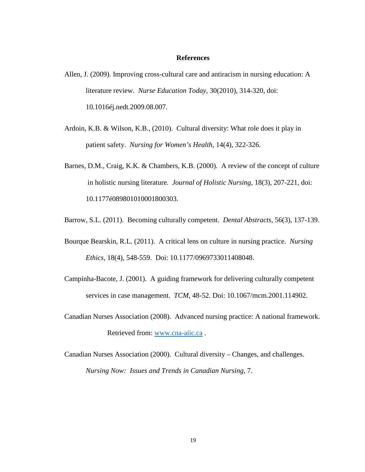#### **References**

- Allen, J. (2009). Improving cross-cultural care and antiracism in nursing education: A literature review. *Nurse Education Today*, 30(2010), 314-320, doi: 10.1016éj.nedt.2009.08.007.
- Ardoin, K.B. & Wilson, K.B., (2010). Cultural diversity: What role does it play in patient safety. *Nursing for Women's Health*, 14(4), 322-326.
- Barnes, D.M., Craig, K.K. & Chambers, K.B. (2000). A review of the concept of culture in holistic nursing literature. *Journal of Holistic Nursing,* 18(3), 207-221, doi: 10.1177é089801010001800303.
- Barrow, S.L. (2011). Becoming culturally competent. *Dental Abstracts*, 56(3), 137-139.
- Bourque Bearskin, R.L. (2011). A critical lens on culture in nursing practice. *Nursing Ethics*, 18(4), 548-559. Doi: 10.1177/0969733011408048.
- Campinha-Bacote, J. (2001). A guiding framework for delivering culturally competent services in case management. *TCM*, 48-52. Doi: 10.1067/mcm.2001.114902.
- Canadian Nurses Association (2008). Advanced nursing practice: A national framework. Retrieved from: [www.cna-aiic.ca](http://www.cna-aiic.ca/) .
- Canadian Nurses Association (2000). Cultural diversity Changes, and challenges. *Nursing Now: Issues and Trends in Canadian Nursing*, 7.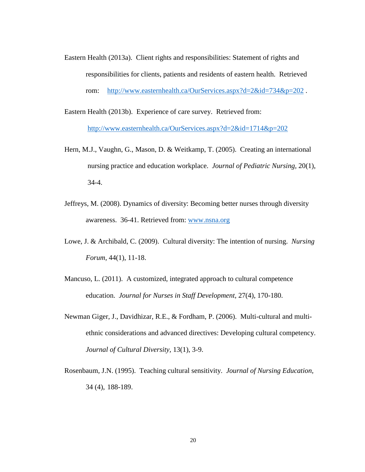- Eastern Health (2013a). Client rights and responsibilities: Statement of rights and responsibilities for clients, patients and residents of eastern health. Retrieved rom: <http://www.easternhealth.ca/OurServices.aspx?d=2&id=734&p=202> .
- Eastern Health (2013b). Experience of care survey. Retrieved from: <http://www.easternhealth.ca/OurServices.aspx?d=2&id=1714&p=202>
- Hern, M.J., Vaughn, G., Mason, D. & Weitkamp, T. (2005). Creating an international nursing practice and education workplace. *Journal of Pediatric Nursing,* 20(1), 34-4.
- Jeffreys, M. (2008). Dynamics of diversity: Becoming better nurses through diversity awareness. 36-41. Retrieved from: [www.nsna.org](http://www.nsna.org/)
- Lowe, J. & Archibald, C. (2009). Cultural diversity: The intention of nursing. *Nursing Forum*, 44(1), 11-18.
- Mancuso, L. (2011). A customized, integrated approach to cultural competence education. *Journal for Nurses in Staff Development,* 27(4), 170-180.
- Newman Giger, J., Davidhizar, R.E., & Fordham, P. (2006). Multi-cultural and multiethnic considerations and advanced directives: Developing cultural competency. *Journal of Cultural Diversity,* 13(1), 3-9.
- Rosenbaum, J.N. (1995). Teaching cultural sensitivity. *Journal of Nursing Education,*  34 (4), 188-189.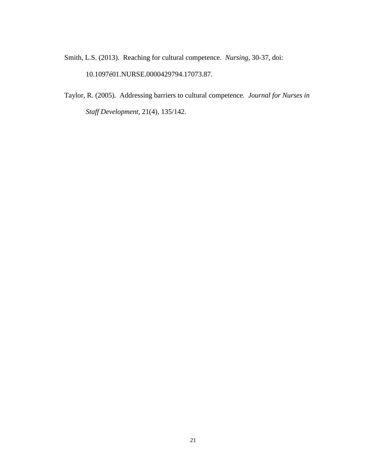Smith, L.S. (2013). Reaching for cultural competence. *Nursing,* 30-37, doi: 10.1097é01.NURSE.0000429794.17073.87.

Taylor, R. (2005). Addressing barriers to cultural competence. *Journal for Nurses in Staff Development,* 21(4), 135/142.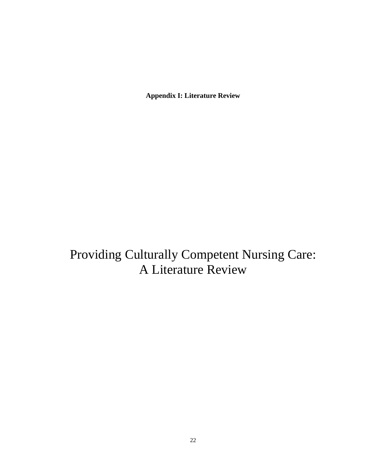**Appendix I: Literature Review**

Providing Culturally Competent Nursing Care: A Literature Review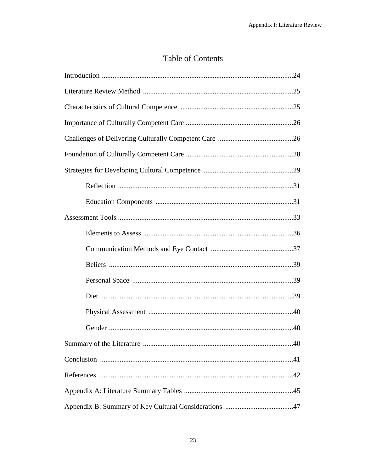# **Table of Contents**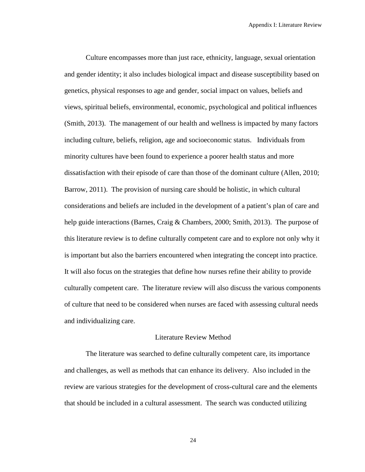Culture encompasses more than just race, ethnicity, language, sexual orientation and gender identity; it also includes biological impact and disease susceptibility based on genetics, physical responses to age and gender, social impact on values, beliefs and views, spiritual beliefs, environmental, economic, psychological and political influences (Smith, 2013). The management of our health and wellness is impacted by many factors including culture, beliefs, religion, age and socioeconomic status. Individuals from minority cultures have been found to experience a poorer health status and more dissatisfaction with their episode of care than those of the dominant culture (Allen, 2010; Barrow, 2011). The provision of nursing care should be holistic, in which cultural considerations and beliefs are included in the development of a patient's plan of care and help guide interactions (Barnes, Craig & Chambers, 2000; Smith, 2013). The purpose of this literature review is to define culturally competent care and to explore not only why it is important but also the barriers encountered when integrating the concept into practice. It will also focus on the strategies that define how nurses refine their ability to provide culturally competent care. The literature review will also discuss the various components of culture that need to be considered when nurses are faced with assessing cultural needs and individualizing care.

## Literature Review Method

The literature was searched to define culturally competent care, its importance and challenges, as well as methods that can enhance its delivery. Also included in the review are various strategies for the development of cross-cultural care and the elements that should be included in a cultural assessment. The search was conducted utilizing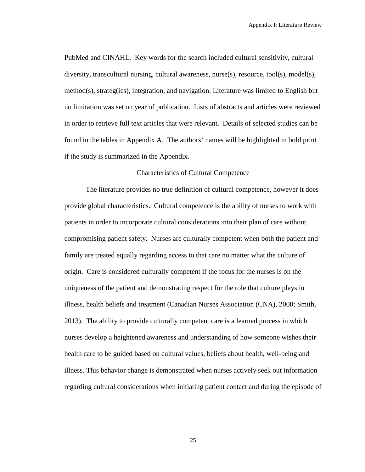PubMed and CINAHL. Key words for the search included cultural sensitivity, cultural diversity, transcultural nursing, cultural awareness, nurse(s), resource, tool(s), model(s), method(s), strateg(ies), integration, and navigation. Literature was limited to English but no limitation was set on year of publication. Lists of abstracts and articles were reviewed in order to retrieve full text articles that were relevant. Details of selected studies can be found in the tables in Appendix A. The authors' names will be highlighted in bold print if the study is summarized in the Appendix.

#### Characteristics of Cultural Competence

The literature provides no true definition of cultural competence, however it does provide global characteristics. Cultural competence is the ability of nurses to work with patients in order to incorporate cultural considerations into their plan of care without compromising patient safety. Nurses are culturally competent when both the patient and family are treated equally regarding access to that care no matter what the culture of origin. Care is considered culturally competent if the focus for the nurses is on the uniqueness of the patient and demonstrating respect for the role that culture plays in illness, health beliefs and treatment (Canadian Nurses Association (CNA), 2000; Smith, 2013). The ability to provide culturally competent care is a learned process in which nurses develop a heightened awareness and understanding of how someone wishes their health care to be guided based on cultural values, beliefs about health, well-being and illness. This behavior change is demonstrated when nurses actively seek out information regarding cultural considerations when initiating patient contact and during the episode of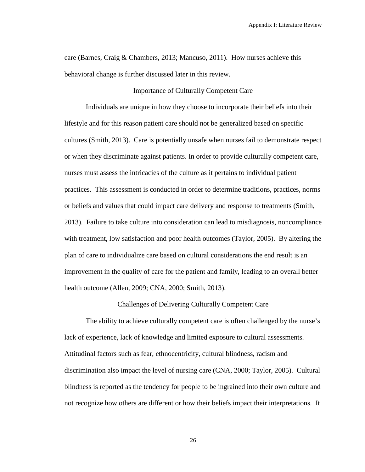care (Barnes, Craig & Chambers, 2013; Mancuso, 2011). How nurses achieve this behavioral change is further discussed later in this review.

#### Importance of Culturally Competent Care

Individuals are unique in how they choose to incorporate their beliefs into their lifestyle and for this reason patient care should not be generalized based on specific cultures (Smith, 2013). Care is potentially unsafe when nurses fail to demonstrate respect or when they discriminate against patients. In order to provide culturally competent care, nurses must assess the intricacies of the culture as it pertains to individual patient practices. This assessment is conducted in order to determine traditions, practices, norms or beliefs and values that could impact care delivery and response to treatments (Smith, 2013). Failure to take culture into consideration can lead to misdiagnosis, noncompliance with treatment, low satisfaction and poor health outcomes (Taylor, 2005). By altering the plan of care to individualize care based on cultural considerations the end result is an improvement in the quality of care for the patient and family, leading to an overall better health outcome (Allen, 2009; CNA, 2000; Smith, 2013).

Challenges of Delivering Culturally Competent Care

The ability to achieve culturally competent care is often challenged by the nurse's lack of experience, lack of knowledge and limited exposure to cultural assessments. Attitudinal factors such as fear, ethnocentricity, cultural blindness, racism and discrimination also impact the level of nursing care (CNA, 2000; Taylor, 2005). Cultural blindness is reported as the tendency for people to be ingrained into their own culture and not recognize how others are different or how their beliefs impact their interpretations. It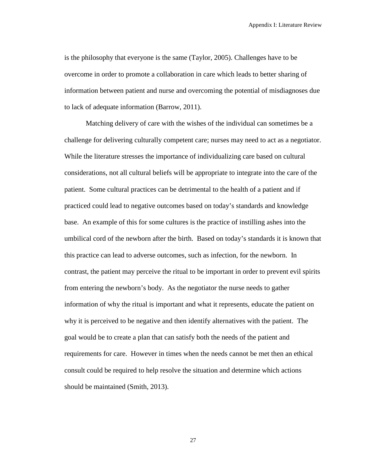is the philosophy that everyone is the same (Taylor, 2005). Challenges have to be overcome in order to promote a collaboration in care which leads to better sharing of information between patient and nurse and overcoming the potential of misdiagnoses due to lack of adequate information (Barrow, 2011).

Matching delivery of care with the wishes of the individual can sometimes be a challenge for delivering culturally competent care; nurses may need to act as a negotiator. While the literature stresses the importance of individualizing care based on cultural considerations, not all cultural beliefs will be appropriate to integrate into the care of the patient. Some cultural practices can be detrimental to the health of a patient and if practiced could lead to negative outcomes based on today's standards and knowledge base. An example of this for some cultures is the practice of instilling ashes into the umbilical cord of the newborn after the birth. Based on today's standards it is known that this practice can lead to adverse outcomes, such as infection, for the newborn. In contrast, the patient may perceive the ritual to be important in order to prevent evil spirits from entering the newborn's body. As the negotiator the nurse needs to gather information of why the ritual is important and what it represents, educate the patient on why it is perceived to be negative and then identify alternatives with the patient. The goal would be to create a plan that can satisfy both the needs of the patient and requirements for care. However in times when the needs cannot be met then an ethical consult could be required to help resolve the situation and determine which actions should be maintained (Smith, 2013).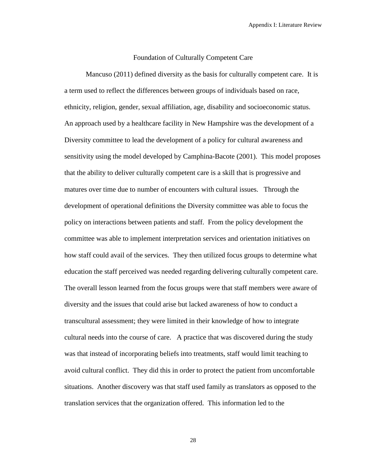#### Foundation of Culturally Competent Care

Mancuso (2011) defined diversity as the basis for culturally competent care. It is a term used to reflect the differences between groups of individuals based on race, ethnicity, religion, gender, sexual affiliation, age, disability and socioeconomic status. An approach used by a healthcare facility in New Hampshire was the development of a Diversity committee to lead the development of a policy for cultural awareness and sensitivity using the model developed by Camphina-Bacote (2001). This model proposes that the ability to deliver culturally competent care is a skill that is progressive and matures over time due to number of encounters with cultural issues. Through the development of operational definitions the Diversity committee was able to focus the policy on interactions between patients and staff. From the policy development the committee was able to implement interpretation services and orientation initiatives on how staff could avail of the services. They then utilized focus groups to determine what education the staff perceived was needed regarding delivering culturally competent care. The overall lesson learned from the focus groups were that staff members were aware of diversity and the issues that could arise but lacked awareness of how to conduct a transcultural assessment; they were limited in their knowledge of how to integrate cultural needs into the course of care. A practice that was discovered during the study was that instead of incorporating beliefs into treatments, staff would limit teaching to avoid cultural conflict. They did this in order to protect the patient from uncomfortable situations. Another discovery was that staff used family as translators as opposed to the translation services that the organization offered. This information led to the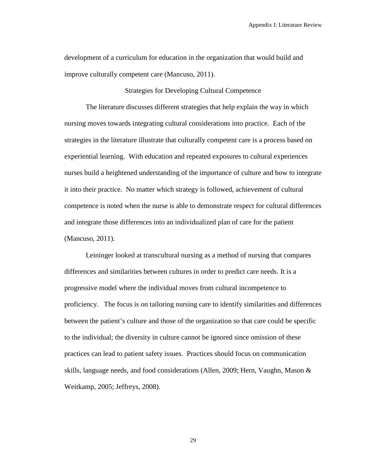development of a curriculum for education in the organization that would build and improve culturally competent care (Mancuso, 2011).

Strategies for Developing Cultural Competence

The literature discusses different strategies that help explain the way in which nursing moves towards integrating cultural considerations into practice. Each of the strategies in the literature illustrate that culturally competent care is a process based on experiential learning. With education and repeated exposures to cultural experiences nurses build a heightened understanding of the importance of culture and how to integrate it into their practice. No matter which strategy is followed, achievement of cultural competence is noted when the nurse is able to demonstrate respect for cultural differences and integrate those differences into an individualized plan of care for the patient (Mancuso, 2011).

Leininger looked at transcultural nursing as a method of nursing that compares differences and similarities between cultures in order to predict care needs. It is a progressive model where the individual moves from cultural incompetence to proficiency. The focus is on tailoring nursing care to identify similarities and differences between the patient's culture and those of the organization so that care could be specific to the individual; the diversity in culture cannot be ignored since omission of these practices can lead to patient safety issues. Practices should focus on communication skills, language needs, and food considerations (Allen, 2009; Hern, Vaughn, Mason & Weitkamp, 2005; Jeffreys, 2008).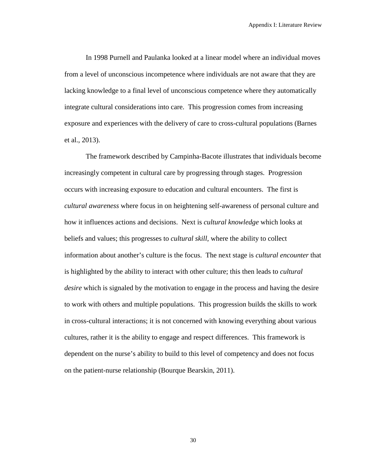In 1998 Purnell and Paulanka looked at a linear model where an individual moves from a level of unconscious incompetence where individuals are not aware that they are lacking knowledge to a final level of unconscious competence where they automatically integrate cultural considerations into care. This progression comes from increasing exposure and experiences with the delivery of care to cross-cultural populations (Barnes et al., 2013).

The framework described by Campinha-Bacote illustrates that individuals become increasingly competent in cultural care by progressing through stages. Progression occurs with increasing exposure to education and cultural encounters. The first is *cultural awareness* where focus in on heightening self-awareness of personal culture and how it influences actions and decisions. Next is *cultural knowledge* which looks at beliefs and values; this progresses to *cultural skill*, where the ability to collect information about another's culture is the focus. The next stage is *cultural encounter* that is highlighted by the ability to interact with other culture; this then leads to *cultural desire* which is signaled by the motivation to engage in the process and having the desire to work with others and multiple populations. This progression builds the skills to work in cross-cultural interactions; it is not concerned with knowing everything about various cultures, rather it is the ability to engage and respect differences. This framework is dependent on the nurse's ability to build to this level of competency and does not focus on the patient-nurse relationship (Bourque Bearskin, 2011).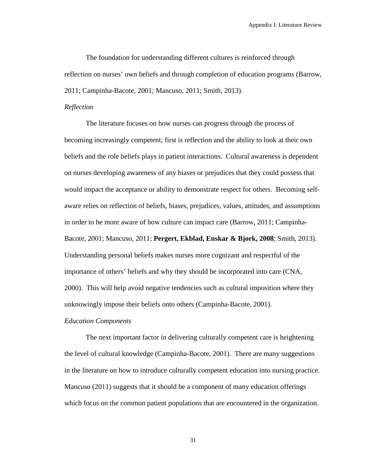The foundation for understanding different cultures is reinforced through reflection on nurses' own beliefs and through completion of education programs (Barrow, 2011; Campinha-Bacote, 2001; Mancuso, 2011; Smith, 2013).

#### *Reflection*

The literature focuses on how nurses can progress through the process of becoming increasingly competent; first is reflection and the ability to look at their own beliefs and the role beliefs plays in patient interactions. Cultural awareness is dependent on nurses developing awareness of any biases or prejudices that they could possess that would impact the acceptance or ability to demonstrate respect for others. Becoming selfaware relies on reflection of beliefs, biases, prejudices, values, attitudes, and assumptions in order to be more aware of how culture can impact care (Barrow, 2011; Campinha-Bacote, 2001; Mancuso, 2011; **Pergert, Ekblad, Enskar & Bjork, 2008**; Smith, 2013). Understanding personal beliefs makes nurses more cognizant and respectful of the importance of others' beliefs and why they should be incorporated into care (CNA, 2000). This will help avoid negative tendencies such as cultural imposition where they unknowingly impose their beliefs onto others (Campinha-Bacote, 2001).

## *Education Components*

The next important factor in delivering culturally competent care is heightening the level of cultural knowledge (Campinha-Bacote, 2001). There are many suggestions in the literature on how to introduce culturally competent education into nursing practice. Mancuso (2011) suggests that it should be a component of many education offerings which focus on the common patient populations that are encountered in the organization.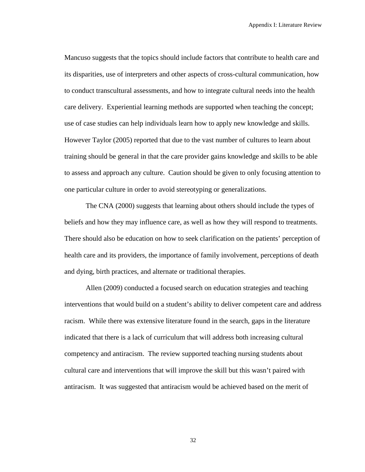Mancuso suggests that the topics should include factors that contribute to health care and its disparities, use of interpreters and other aspects of cross-cultural communication, how to conduct transcultural assessments, and how to integrate cultural needs into the health care delivery. Experiential learning methods are supported when teaching the concept; use of case studies can help individuals learn how to apply new knowledge and skills. However Taylor (2005) reported that due to the vast number of cultures to learn about training should be general in that the care provider gains knowledge and skills to be able to assess and approach any culture. Caution should be given to only focusing attention to one particular culture in order to avoid stereotyping or generalizations.

The CNA (2000) suggests that learning about others should include the types of beliefs and how they may influence care, as well as how they will respond to treatments. There should also be education on how to seek clarification on the patients' perception of health care and its providers, the importance of family involvement, perceptions of death and dying, birth practices, and alternate or traditional therapies.

Allen (2009) conducted a focused search on education strategies and teaching interventions that would build on a student's ability to deliver competent care and address racism. While there was extensive literature found in the search, gaps in the literature indicated that there is a lack of curriculum that will address both increasing cultural competency and antiracism. The review supported teaching nursing students about cultural care and interventions that will improve the skill but this wasn't paired with antiracism. It was suggested that antiracism would be achieved based on the merit of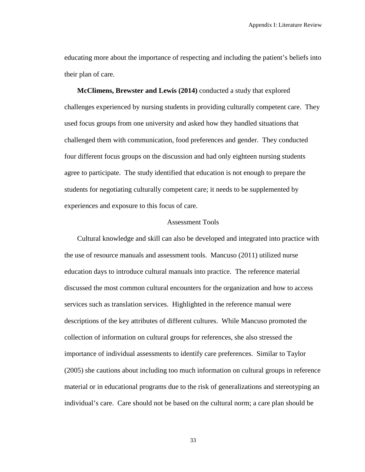educating more about the importance of respecting and including the patient's beliefs into their plan of care.

**McClimens, Brewster and Lewis (2014)** conducted a study that explored challenges experienced by nursing students in providing culturally competent care. They used focus groups from one university and asked how they handled situations that challenged them with communication, food preferences and gender. They conducted four different focus groups on the discussion and had only eighteen nursing students agree to participate. The study identified that education is not enough to prepare the students for negotiating culturally competent care; it needs to be supplemented by experiences and exposure to this focus of care.

#### Assessment Tools

Cultural knowledge and skill can also be developed and integrated into practice with the use of resource manuals and assessment tools. Mancuso (2011) utilized nurse education days to introduce cultural manuals into practice. The reference material discussed the most common cultural encounters for the organization and how to access services such as translation services. Highlighted in the reference manual were descriptions of the key attributes of different cultures. While Mancuso promoted the collection of information on cultural groups for references, she also stressed the importance of individual assessments to identify care preferences. Similar to Taylor (2005) she cautions about including too much information on cultural groups in reference material or in educational programs due to the risk of generalizations and stereotyping an individual's care. Care should not be based on the cultural norm; a care plan should be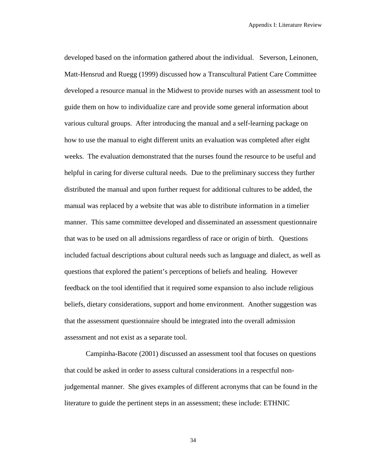developed based on the information gathered about the individual. Severson, Leinonen, Matt-Hensrud and Ruegg (1999) discussed how a Transcultural Patient Care Committee developed a resource manual in the Midwest to provide nurses with an assessment tool to guide them on how to individualize care and provide some general information about various cultural groups. After introducing the manual and a self-learning package on how to use the manual to eight different units an evaluation was completed after eight weeks. The evaluation demonstrated that the nurses found the resource to be useful and helpful in caring for diverse cultural needs. Due to the preliminary success they further distributed the manual and upon further request for additional cultures to be added, the manual was replaced by a website that was able to distribute information in a timelier manner. This same committee developed and disseminated an assessment questionnaire that was to be used on all admissions regardless of race or origin of birth. Questions included factual descriptions about cultural needs such as language and dialect, as well as questions that explored the patient's perceptions of beliefs and healing. However feedback on the tool identified that it required some expansion to also include religious beliefs, dietary considerations, support and home environment. Another suggestion was that the assessment questionnaire should be integrated into the overall admission assessment and not exist as a separate tool.

Campinha-Bacote (2001) discussed an assessment tool that focuses on questions that could be asked in order to assess cultural considerations in a respectful nonjudgemental manner. She gives examples of different acronyms that can be found in the literature to guide the pertinent steps in an assessment; these include: ETHNIC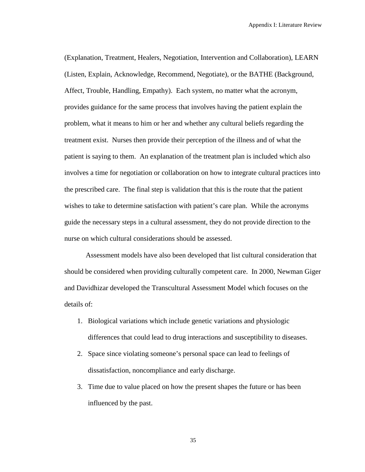(Explanation, Treatment, Healers, Negotiation, Intervention and Collaboration), LEARN (Listen, Explain, Acknowledge, Recommend, Negotiate), or the BATHE (Background, Affect, Trouble, Handling, Empathy). Each system, no matter what the acronym, provides guidance for the same process that involves having the patient explain the problem, what it means to him or her and whether any cultural beliefs regarding the treatment exist. Nurses then provide their perception of the illness and of what the patient is saying to them. An explanation of the treatment plan is included which also involves a time for negotiation or collaboration on how to integrate cultural practices into the prescribed care. The final step is validation that this is the route that the patient wishes to take to determine satisfaction with patient's care plan. While the acronyms guide the necessary steps in a cultural assessment, they do not provide direction to the nurse on which cultural considerations should be assessed.

Assessment models have also been developed that list cultural consideration that should be considered when providing culturally competent care. In 2000, Newman Giger and Davidhizar developed the Transcultural Assessment Model which focuses on the details of:

- 1. Biological variations which include genetic variations and physiologic differences that could lead to drug interactions and susceptibility to diseases.
- 2. Space since violating someone's personal space can lead to feelings of dissatisfaction, noncompliance and early discharge.
- 3. Time due to value placed on how the present shapes the future or has been influenced by the past.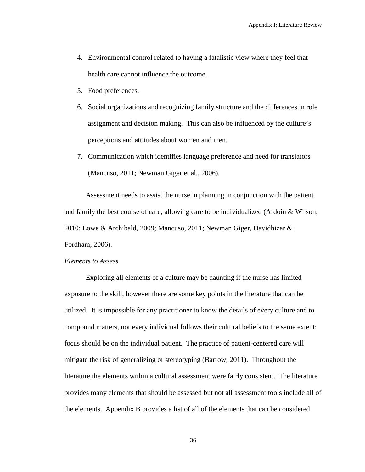- 4. Environmental control related to having a fatalistic view where they feel that health care cannot influence the outcome.
- 5. Food preferences.
- 6. Social organizations and recognizing family structure and the differences in role assignment and decision making. This can also be influenced by the culture's perceptions and attitudes about women and men.
- 7. Communication which identifies language preference and need for translators (Mancuso, 2011; Newman Giger et al., 2006).

Assessment needs to assist the nurse in planning in conjunction with the patient and family the best course of care, allowing care to be individualized (Ardoin & Wilson, 2010; Lowe & Archibald, 2009; Mancuso, 2011; Newman Giger, Davidhizar & Fordham, 2006).

#### *Elements to Assess*

Exploring all elements of a culture may be daunting if the nurse has limited exposure to the skill, however there are some key points in the literature that can be utilized. It is impossible for any practitioner to know the details of every culture and to compound matters, not every individual follows their cultural beliefs to the same extent; focus should be on the individual patient. The practice of patient-centered care will mitigate the risk of generalizing or stereotyping (Barrow, 2011). Throughout the literature the elements within a cultural assessment were fairly consistent. The literature provides many elements that should be assessed but not all assessment tools include all of the elements. Appendix B provides a list of all of the elements that can be considered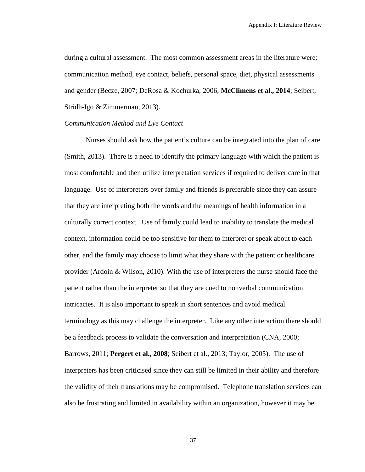during a cultural assessment. The most common assessment areas in the literature were: communication method, eye contact, beliefs, personal space, diet, physical assessments and gender (Becze, 2007; DeRosa & Kochurka, 2006; **McClimens et al., 2014**; Seibert, Stridh-Igo & Zimmerman, 2013).

# *Communication Method and Eye Contact*

Nurses should ask how the patient's culture can be integrated into the plan of care (Smith, 2013). There is a need to identify the primary language with which the patient is most comfortable and then utilize interpretation services if required to deliver care in that language. Use of interpreters over family and friends is preferable since they can assure that they are interpreting both the words and the meanings of health information in a culturally correct context. Use of family could lead to inability to translate the medical context, information could be too sensitive for them to interpret or speak about to each other, and the family may choose to limit what they share with the patient or healthcare provider (Ardoin & Wilson, 2010). With the use of interpreters the nurse should face the patient rather than the interpreter so that they are cued to nonverbal communication intricacies. It is also important to speak in short sentences and avoid medical terminology as this may challenge the interpreter. Like any other interaction there should be a feedback process to validate the conversation and interpretation (CNA, 2000; Barrows, 2011; **Pergert et al., 2008**; Seibert et al., 2013; Taylor, 2005). The use of interpreters has been criticised since they can still be limited in their ability and therefore the validity of their translations may be compromised. Telephone translation services can also be frustrating and limited in availability within an organization, however it may be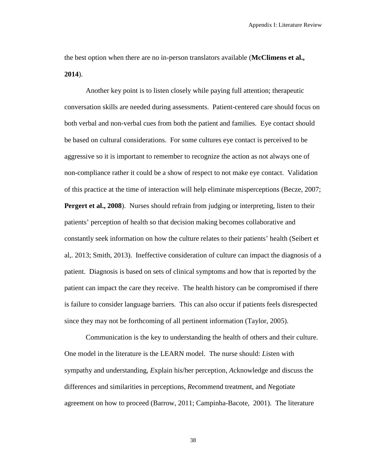the best option when there are no in-person translators available (**McClimens et al., 2014**).

Another key point is to listen closely while paying full attention; therapeutic conversation skills are needed during assessments. Patient-centered care should focus on both verbal and non-verbal cues from both the patient and families. Eye contact should be based on cultural considerations. For some cultures eye contact is perceived to be aggressive so it is important to remember to recognize the action as not always one of non-compliance rather it could be a show of respect to not make eye contact. Validation of this practice at the time of interaction will help eliminate misperceptions (Becze, 2007; **Pergert et al., 2008**). Nurses should refrain from judging or interpreting, listen to their patients' perception of health so that decision making becomes collaborative and constantly seek information on how the culture relates to their patients' health (Seibert et al,. 2013; Smith, 2013). Ineffective consideration of culture can impact the diagnosis of a patient. Diagnosis is based on sets of clinical symptoms and how that is reported by the patient can impact the care they receive. The health history can be compromised if there is failure to consider language barriers. This can also occur if patients feels disrespected since they may not be forthcoming of all pertinent information (Taylor, 2005).

Communication is the key to understanding the health of others and their culture. One model in the literature is the LEARN model. The nurse should: *L*isten with sympathy and understanding, *E*xplain his/her perception, *A*cknowledge and discuss the differences and similarities in perceptions, *R*ecommend treatment, and *N*egotiate agreement on how to proceed (Barrow, 2011; Campinha-Bacote, 2001). The literature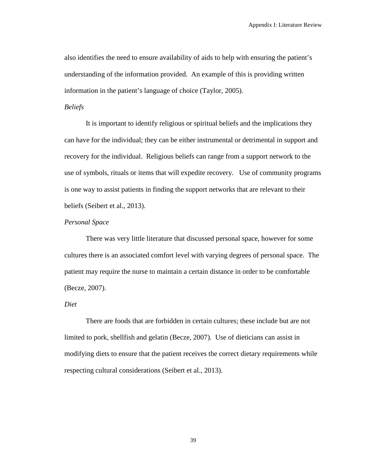also identifies the need to ensure availability of aids to help with ensuring the patient's understanding of the information provided. An example of this is providing written information in the patient's language of choice (Taylor, 2005).

#### *Beliefs*

It is important to identify religious or spiritual beliefs and the implications they can have for the individual; they can be either instrumental or detrimental in support and recovery for the individual. Religious beliefs can range from a support network to the use of symbols, rituals or items that will expedite recovery. Use of community programs is one way to assist patients in finding the support networks that are relevant to their beliefs (Seibert et al., 2013).

#### *Personal Space*

There was very little literature that discussed personal space, however for some cultures there is an associated comfort level with varying degrees of personal space. The patient may require the nurse to maintain a certain distance in order to be comfortable (Becze, 2007).

#### *Diet*

There are foods that are forbidden in certain cultures; these include but are not limited to pork, shellfish and gelatin (Becze, 2007). Use of dieticians can assist in modifying diets to ensure that the patient receives the correct dietary requirements while respecting cultural considerations (Seibert et al., 2013).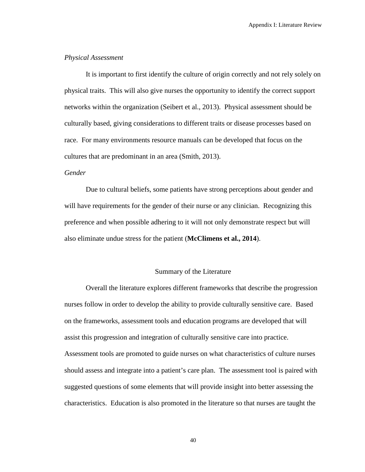#### *Physical Assessment*

It is important to first identify the culture of origin correctly and not rely solely on physical traits. This will also give nurses the opportunity to identify the correct support networks within the organization (Seibert et al., 2013). Physical assessment should be culturally based, giving considerations to different traits or disease processes based on race. For many environments resource manuals can be developed that focus on the cultures that are predominant in an area (Smith, 2013).

#### *Gender*

Due to cultural beliefs, some patients have strong perceptions about gender and will have requirements for the gender of their nurse or any clinician. Recognizing this preference and when possible adhering to it will not only demonstrate respect but will also eliminate undue stress for the patient (**McClimens et al., 2014**).

# Summary of the Literature

Overall the literature explores different frameworks that describe the progression nurses follow in order to develop the ability to provide culturally sensitive care. Based on the frameworks, assessment tools and education programs are developed that will assist this progression and integration of culturally sensitive care into practice. Assessment tools are promoted to guide nurses on what characteristics of culture nurses should assess and integrate into a patient's care plan. The assessment tool is paired with suggested questions of some elements that will provide insight into better assessing the characteristics. Education is also promoted in the literature so that nurses are taught the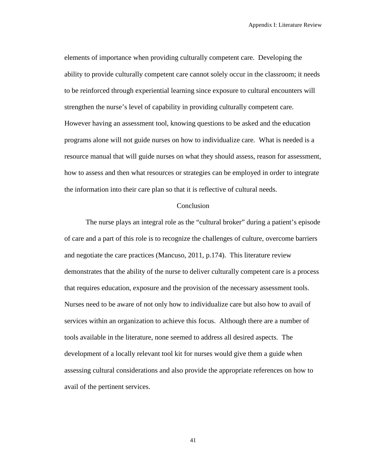elements of importance when providing culturally competent care. Developing the ability to provide culturally competent care cannot solely occur in the classroom; it needs to be reinforced through experiential learning since exposure to cultural encounters will strengthen the nurse's level of capability in providing culturally competent care. However having an assessment tool, knowing questions to be asked and the education programs alone will not guide nurses on how to individualize care. What is needed is a resource manual that will guide nurses on what they should assess, reason for assessment, how to assess and then what resources or strategies can be employed in order to integrate the information into their care plan so that it is reflective of cultural needs.

#### Conclusion

The nurse plays an integral role as the "cultural broker" during a patient's episode of care and a part of this role is to recognize the challenges of culture, overcome barriers and negotiate the care practices (Mancuso, 2011, p.174). This literature review demonstrates that the ability of the nurse to deliver culturally competent care is a process that requires education, exposure and the provision of the necessary assessment tools. Nurses need to be aware of not only how to individualize care but also how to avail of services within an organization to achieve this focus. Although there are a number of tools available in the literature, none seemed to address all desired aspects. The development of a locally relevant tool kit for nurses would give them a guide when assessing cultural considerations and also provide the appropriate references on how to avail of the pertinent services.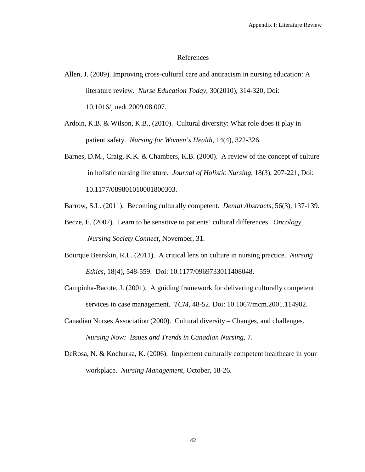#### References

- Allen, J. (2009). Improving cross-cultural care and antiracism in nursing education: A literature review. *Nurse Education Today,* 30(2010), 314-320, Doi: 10.1016/j.nedt.2009.08.007.
- Ardoin, K.B. & Wilson, K.B., (2010). Cultural diversity: What role does it play in patient safety. *Nursing for Women's Health,* 14(4), 322-326.
- Barnes, D.M., Craig, K.K. & Chambers, K.B. (2000). A review of the concept of culture in holistic nursing literature. *Journal of Holistic Nursing,* 18(3), 207-221, Doi: 10.1177/089801010001800303.
- Barrow, S.L. (2011). Becoming culturally competent. *Dental Abstracts,* 56(3), 137-139.
- Becze, E. (2007). Learn to be sensitive to patients' cultural differences. *Oncology Nursing Society Connect,* November, 31.
- Bourque Bearskin, R.L. (2011). A critical lens on culture in nursing practice. *Nursing Ethics,* 18(4), 548-559. Doi: 10.1177/0969733011408048.
- Campinha-Bacote, J. (2001). A guiding framework for delivering culturally competent services in case management. *TCM,* 48-52. Doi: 10.1067/mcm.2001.114902.
- Canadian Nurses Association (2000). Cultural diversity Changes, and challenges. *Nursing Now: Issues and Trends in Canadian Nursing,* 7.
- DeRosa, N. & Kochurka, K. (2006). Implement culturally competent healthcare in your workplace. *Nursing Management,* October, 18-26.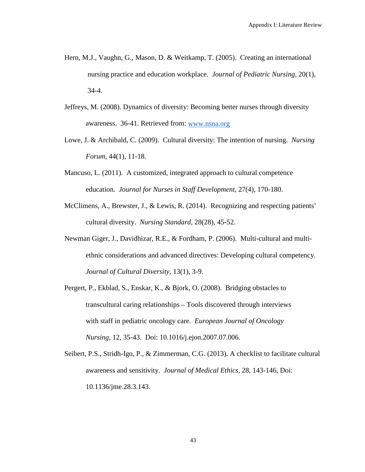- Hern, M.J., Vaughn, G., Mason, D. & Weitkamp, T. (2005). Creating an international nursing practice and education workplace. *Journal of Pediatric Nursing,* 20(1), 34-4.
- Jeffreys, M. (2008). Dynamics of diversity: Becoming better nurses through diversity awareness. 36-41. Retrieved from: [www.nsna.org](http://www.nsna.org/)
- Lowe, J. & Archibald, C. (2009). Cultural diversity: The intention of nursing. *Nursing Forum*, 44(1), 11-18.
- Mancuso, L. (2011). A customized, integrated approach to cultural competence education. *Journal for Nurses in Staff Development,* 27(4), 170-180.
- McClimens, A., Brewster, J., & Lewis, R. (2014). Recognizing and respecting patients' cultural diversity. *Nursing Standard,* 28(28), 45-52.
- Newman Giger, J., Davidhizar, R.E., & Fordham, P. (2006). Multi-cultural and multiethnic considerations and advanced directives: Developing cultural competency. *Journal of Cultural Diversity,* 13(1), 3-9.
- Pergert, P., Ekblad, S., Enskar, K., & Bjork, O. (2008). Bridging obstacles to transcultural caring relationships – Tools discovered through interviews with staff in pediatric oncology care. *European Journal of Oncology Nursing,* 12, 35-43. Doi: 10.1016/j.ejon.2007.07.006.
- Seibert, P.S., Stridh-Igo, P., & Zimmerman, C.G. (2013). A checklist to facilitate cultural awareness and sensitivity. *Journal of Medical Ethics,* 28, 143-146, Doi: 10.1136/jme.28.3.143.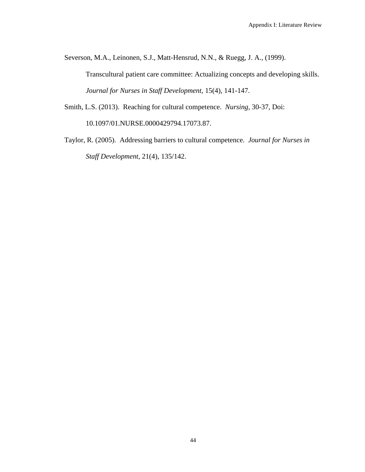Severson, M.A., Leinonen, S.J., Matt-Hensrud, N.N., & Ruegg, J. A., (1999).

Transcultural patient care committee: Actualizing concepts and developing skills. *Journal for Nurses in Staff Development,* 15(4), 141-147.

Smith, L.S. (2013). Reaching for cultural competence. *Nursing,* 30-37, Doi:

10.1097/01.NURSE.0000429794.17073.87.

Taylor, R. (2005). Addressing barriers to cultural competence. *Journal for Nurses in Staff Development,* 21(4), 135/142.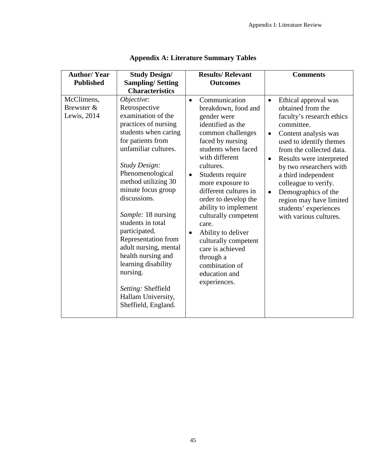| <b>Author/Year</b>                      | <b>Study Design/</b>                                                                                                                                                                                                                                                                                                                                                                                                                                                                            |                             | <b>Results/ Relevant</b>                                                                                                                                                                                                                                                                                                                                                                                                                                    |                                                  | <b>Comments</b>                                                                                                                                                                                                                                                                                                                                                                |
|-----------------------------------------|-------------------------------------------------------------------------------------------------------------------------------------------------------------------------------------------------------------------------------------------------------------------------------------------------------------------------------------------------------------------------------------------------------------------------------------------------------------------------------------------------|-----------------------------|-------------------------------------------------------------------------------------------------------------------------------------------------------------------------------------------------------------------------------------------------------------------------------------------------------------------------------------------------------------------------------------------------------------------------------------------------------------|--------------------------------------------------|--------------------------------------------------------------------------------------------------------------------------------------------------------------------------------------------------------------------------------------------------------------------------------------------------------------------------------------------------------------------------------|
| <b>Published</b>                        | <b>Sampling/Setting</b>                                                                                                                                                                                                                                                                                                                                                                                                                                                                         |                             | <b>Outcomes</b>                                                                                                                                                                                                                                                                                                                                                                                                                                             |                                                  |                                                                                                                                                                                                                                                                                                                                                                                |
|                                         | <b>Characteristics</b>                                                                                                                                                                                                                                                                                                                                                                                                                                                                          |                             |                                                                                                                                                                                                                                                                                                                                                                                                                                                             |                                                  |                                                                                                                                                                                                                                                                                                                                                                                |
| McClimens,<br>Brewster &<br>Lewis, 2014 | Objective:<br>Retrospective<br>examination of the<br>practices of nursing<br>students when caring<br>for patients from<br>unfamiliar cultures.<br><b>Study Design:</b><br>Phenomenological<br>method utilizing 30<br>minute focus group<br>discussions.<br>Sample: 18 nursing<br>students in total<br>participated.<br>Representation from<br>adult nursing, mental<br>health nursing and<br>learning disability<br>nursing.<br>Setting: Sheffield<br>Hallam University,<br>Sheffield, England. | $\bullet$<br>$\bullet$<br>٠ | Communication<br>breakdown, food and<br>gender were<br>identified as the<br>common challenges<br>faced by nursing<br>students when faced<br>with different<br>cultures.<br>Students require<br>more exposure to<br>different cultures in<br>order to develop the<br>ability to implement<br>culturally competent<br>care.<br>Ability to deliver<br>culturally competent<br>care is achieved<br>through a<br>combination of<br>education and<br>experiences. | $\bullet$<br>$\bullet$<br>$\bullet$<br>$\bullet$ | Ethical approval was<br>obtained from the<br>faculty's research ethics<br>committee.<br>Content analysis was<br>used to identify themes<br>from the collected data.<br>Results were interpreted<br>by two researchers with<br>a third independent<br>colleague to verify.<br>Demographics of the<br>region may have limited<br>students' experiences<br>with various cultures. |

|  |  |  | <b>Appendix A: Literature Summary Tables</b> |  |
|--|--|--|----------------------------------------------|--|
|--|--|--|----------------------------------------------|--|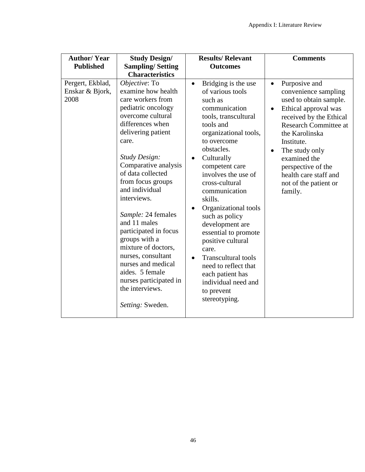| <b>Author/Year</b><br><b>Published</b>      | <b>Study Design/</b><br><b>Sampling/Setting</b><br><b>Characteristics</b>                                                                                                                                                                                                                                                                                                                                                                                                                                                | <b>Results/ Relevant</b><br><b>Outcomes</b>                                                                                                                                                                                                                                                                                                                                                                                                                                                                                                                   | <b>Comments</b>                                                                                                                                                                                                                                                                                                                   |
|---------------------------------------------|--------------------------------------------------------------------------------------------------------------------------------------------------------------------------------------------------------------------------------------------------------------------------------------------------------------------------------------------------------------------------------------------------------------------------------------------------------------------------------------------------------------------------|---------------------------------------------------------------------------------------------------------------------------------------------------------------------------------------------------------------------------------------------------------------------------------------------------------------------------------------------------------------------------------------------------------------------------------------------------------------------------------------------------------------------------------------------------------------|-----------------------------------------------------------------------------------------------------------------------------------------------------------------------------------------------------------------------------------------------------------------------------------------------------------------------------------|
| Pergert, Ekblad,<br>Enskar & Bjork,<br>2008 | Objective: To<br>examine how health<br>care workers from<br>pediatric oncology<br>overcome cultural<br>differences when<br>delivering patient<br>care.<br><b>Study Design:</b><br>Comparative analysis<br>of data collected<br>from focus groups<br>and individual<br>interviews.<br>Sample: 24 females<br>and 11 males<br>participated in focus<br>groups with a<br>mixture of doctors,<br>nurses, consultant<br>nurses and medical<br>aides. 5 female<br>nurses participated in<br>the interviews.<br>Setting: Sweden. | Bridging is the use<br>$\bullet$<br>of various tools<br>such as<br>communication<br>tools, transcultural<br>tools and<br>organizational tools,<br>to overcome<br>obstacles.<br>Culturally<br>$\bullet$<br>competent care<br>involves the use of<br>cross-cultural<br>communication<br>skills.<br>Organizational tools<br>such as policy<br>development are<br>essential to promote<br>positive cultural<br>care.<br><b>Transcultural tools</b><br>$\bullet$<br>need to reflect that<br>each patient has<br>individual need and<br>to prevent<br>stereotyping. | Purposive and<br>$\bullet$<br>convenience sampling<br>used to obtain sample.<br>Ethical approval was<br>received by the Ethical<br><b>Research Committee at</b><br>the Karolinska<br>Institute.<br>The study only<br>$\bullet$<br>examined the<br>perspective of the<br>health care staff and<br>not of the patient or<br>family. |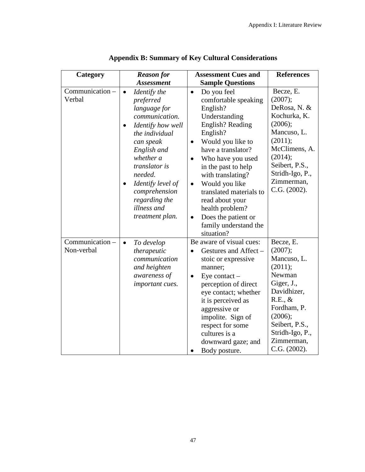| Category                      | <b>Reason for</b>                                                                                                                                                                                                                                                             | <b>Assessment Cues and</b>                                                                                                                                                                                                                                                                                                                                                                                        | <b>References</b>                                                                                                                                                                             |
|-------------------------------|-------------------------------------------------------------------------------------------------------------------------------------------------------------------------------------------------------------------------------------------------------------------------------|-------------------------------------------------------------------------------------------------------------------------------------------------------------------------------------------------------------------------------------------------------------------------------------------------------------------------------------------------------------------------------------------------------------------|-----------------------------------------------------------------------------------------------------------------------------------------------------------------------------------------------|
|                               | <b>Assessment</b>                                                                                                                                                                                                                                                             | <b>Sample Questions</b>                                                                                                                                                                                                                                                                                                                                                                                           |                                                                                                                                                                                               |
| Communication -<br>Verbal     | Identify the<br>$\bullet$<br>preferred<br>language for<br>communication.<br>Identify how well<br>the individual<br>can speak<br>English and<br>whether a<br>translator is<br>needed.<br>Identify level of<br>comprehension<br>regarding the<br>illness and<br>treatment plan. | Do you feel<br>$\bullet$<br>comfortable speaking<br>English?<br>Understanding<br>English? Reading<br>English?<br>Would you like to<br>$\bullet$<br>have a translator?<br>Who have you used<br>in the past to help<br>with translating?<br>Would you like<br>$\bullet$<br>translated materials to<br>read about your<br>health problem?<br>Does the patient or<br>$\bullet$<br>family understand the<br>situation? | Becze, E.<br>(2007);<br>DeRosa, N. &<br>Kochurka, K.<br>(2006);<br>Mancuso, L.<br>(2011);<br>McClimens, A.<br>(2014);<br>Seibert, P.S.,<br>Stridh-Igo, P.,<br>Zimmerman,<br>C.G. (2002).      |
| Communication -<br>Non-verbal | To develop<br>$\bullet$<br>therapeutic<br>communication<br>and heighten<br>awareness of<br>important cues.                                                                                                                                                                    | Be aware of visual cues:<br>Gestures and Affect -<br>$\bullet$<br>stoic or expressive<br>manner;<br>Eye contact $-$<br>$\bullet$<br>perception of direct<br>eye contact; whether<br>it is perceived as<br>aggressive or<br>impolite. Sign of<br>respect for some<br>cultures is a<br>downward gaze; and<br>Body posture.                                                                                          | Becze, E.<br>(2007);<br>Mancuso, L.<br>(2011);<br>Newman<br>Giger, J.,<br>Davidhizer,<br>R.E., &<br>Fordham, P.<br>(2006);<br>Seibert, P.S.,<br>Stridh-Igo, P.,<br>Zimmerman,<br>C.G. (2002). |

# **Appendix B: Summary of Key Cultural Considerations**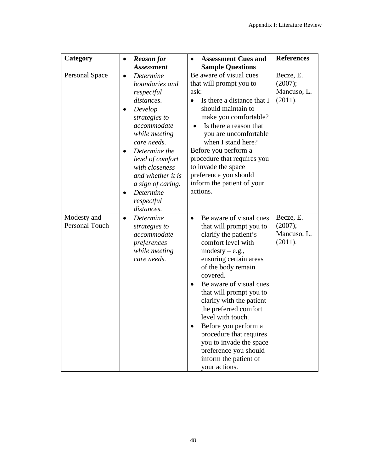| Category                      | $\bullet$                                        | <b>Reason for</b>                                                                                                                                                                                                                                              | $\bullet$         | <b>Assessment Cues and</b>                                                                                                                                                                                                                                                                                                                                                                                                                                          | <b>References</b>                              |
|-------------------------------|--------------------------------------------------|----------------------------------------------------------------------------------------------------------------------------------------------------------------------------------------------------------------------------------------------------------------|-------------------|---------------------------------------------------------------------------------------------------------------------------------------------------------------------------------------------------------------------------------------------------------------------------------------------------------------------------------------------------------------------------------------------------------------------------------------------------------------------|------------------------------------------------|
|                               |                                                  | <b>Assessment</b>                                                                                                                                                                                                                                              |                   | <b>Sample Questions</b>                                                                                                                                                                                                                                                                                                                                                                                                                                             |                                                |
| <b>Personal Space</b>         | $\bullet$<br>$\bullet$<br>$\bullet$<br>$\bullet$ | Determine<br>boundaries and<br>respectful<br>distances.<br>Develop<br>strategies to<br>accommodate<br>while meeting<br>care needs.<br>Determine the<br>level of comfort<br>with closeness<br>and whether it is<br>a sign of caring.<br>Determine<br>respectful | ask:<br>$\bullet$ | Be aware of visual cues<br>that will prompt you to<br>Is there a distance that I<br>should maintain to<br>make you comfortable?<br>Is there a reason that<br>you are uncomfortable<br>when I stand here?<br>Before you perform a<br>procedure that requires you<br>to invade the space<br>preference you should<br>inform the patient of your<br>actions.                                                                                                           | Becze, E.<br>(2007);<br>Mancuso, L.<br>(2011). |
| Modesty and<br>Personal Touch | $\bullet$                                        | distances.<br>Determine<br>strategies to<br>accommodate<br>preferences<br>while meeting<br>care needs.                                                                                                                                                         | $\bullet$         | Be aware of visual cues<br>that will prompt you to<br>clarify the patient's<br>comfort level with<br>$modesty - e.g.,$<br>ensuring certain areas<br>of the body remain<br>covered.<br>Be aware of visual cues<br>that will prompt you to<br>clarify with the patient<br>the preferred comfort<br>level with touch.<br>Before you perform a<br>procedure that requires<br>you to invade the space<br>preference you should<br>inform the patient of<br>your actions. | Becze, E.<br>(2007);<br>Mancuso, L.<br>(2011). |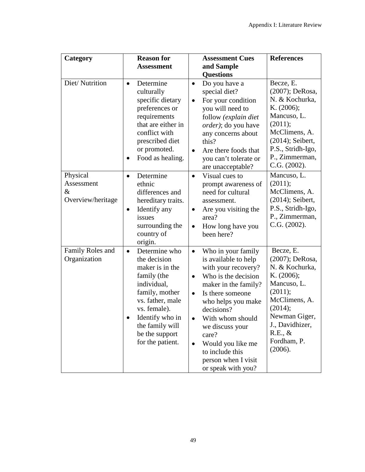| Category                                         | <b>Reason for</b>                                                                                                                                                                                                             | <b>Assessment Cues</b>                                                                                                                                                                                                                                                                                                                               | <b>References</b>                                                                                                                                                                           |
|--------------------------------------------------|-------------------------------------------------------------------------------------------------------------------------------------------------------------------------------------------------------------------------------|------------------------------------------------------------------------------------------------------------------------------------------------------------------------------------------------------------------------------------------------------------------------------------------------------------------------------------------------------|---------------------------------------------------------------------------------------------------------------------------------------------------------------------------------------------|
|                                                  | <b>Assessment</b>                                                                                                                                                                                                             | and Sample                                                                                                                                                                                                                                                                                                                                           |                                                                                                                                                                                             |
|                                                  |                                                                                                                                                                                                                               | <b>Questions</b>                                                                                                                                                                                                                                                                                                                                     |                                                                                                                                                                                             |
| Diet/Nutrition                                   | Determine<br>$\bullet$<br>culturally<br>specific dietary<br>preferences or<br>requirements<br>that are either in<br>conflict with<br>prescribed diet<br>or promoted.<br>Food as healing.                                      | Do you have a<br>$\bullet$<br>special diet?<br>For your condition<br>$\bullet$<br>you will need to<br>follow (explain diet<br>order); do you have<br>any concerns about<br>this?<br>Are there foods that<br>$\bullet$<br>you can't tolerate or<br>are unacceptable?                                                                                  | Becze, E.<br>(2007); DeRosa,<br>N. & Kochurka,<br>K. (2006);<br>Mancuso, L.<br>(2011);<br>McClimens, A.<br>$(2014)$ ; Seibert,<br>P.S., Stridh-Igo,<br>P., Zimmerman,<br>C.G. (2002).       |
| Physical<br>Assessment<br>&<br>Overview/heritage | Determine<br>$\bullet$<br>ethnic<br>differences and<br>hereditary traits.<br>Identify any<br>٠<br>issues<br>surrounding the<br>country of<br>origin.                                                                          | Visual cues to<br>$\bullet$<br>prompt awareness of<br>need for cultural<br>assessment.<br>Are you visiting the<br>$\bullet$<br>area?<br>How long have you<br>$\bullet$<br>been here?                                                                                                                                                                 | Mancuso, L.<br>(2011);<br>McClimens, A.<br>(2014); Seibert,<br>P.S., Stridh-Igo,<br>P., Zimmerman,<br>C.G. (2002).                                                                          |
| Family Roles and<br>Organization                 | Determine who<br>$\bullet$<br>the decision<br>maker is in the<br>family (the<br>individual,<br>family, mother<br>vs. father, male<br>vs. female).<br>Identify who in<br>the family will<br>be the support<br>for the patient. | Who in your family<br>$\bullet$<br>is available to help<br>with your recovery?<br>Who is the decision<br>$\bullet$<br>maker in the family?<br>Is there someone<br>$\bullet$<br>who helps you make<br>decisions?<br>With whom should<br>we discuss your<br>care?<br>Would you like me<br>to include this<br>person when I visit<br>or speak with you? | Becze, E.<br>(2007); DeRosa,<br>N. & Kochurka,<br>K. (2006);<br>Mancuso, L.<br>(2011);<br>McClimens, A.<br>(2014);<br>Newman Giger,<br>J., Davidhizer,<br>R.E., &<br>Fordham, P.<br>(2006). |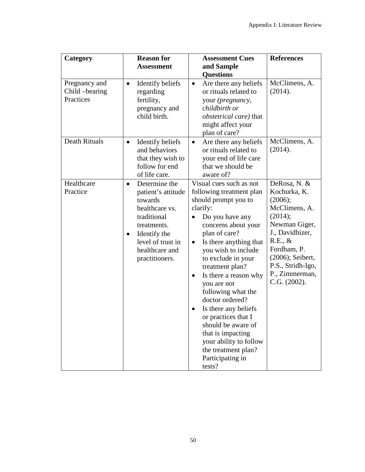| Category                                     | <b>Reason for</b><br><b>Assessment</b>                                                                                                                                                            | <b>Assessment Cues</b><br>and Sample<br><b>Questions</b>                                                                                                                                                                                                                                                                                                                                                                                                                                                                                                   | <b>References</b>                                                                                                                                                                                            |
|----------------------------------------------|---------------------------------------------------------------------------------------------------------------------------------------------------------------------------------------------------|------------------------------------------------------------------------------------------------------------------------------------------------------------------------------------------------------------------------------------------------------------------------------------------------------------------------------------------------------------------------------------------------------------------------------------------------------------------------------------------------------------------------------------------------------------|--------------------------------------------------------------------------------------------------------------------------------------------------------------------------------------------------------------|
| Pregnancy and<br>Child -bearing<br>Practices | Identify beliefs<br>$\bullet$<br>regarding<br>fertility,<br>pregnancy and<br>child birth.                                                                                                         | Are there any beliefs<br>$\bullet$<br>or rituals related to<br>your (pregnancy,<br>childbirth or<br><i>obstetrical care</i> ) that<br>might affect your<br>plan of care?                                                                                                                                                                                                                                                                                                                                                                                   | McClimens, A.<br>(2014).                                                                                                                                                                                     |
| Death Rituals                                | Identify beliefs<br>$\bullet$<br>and behaviors<br>that they wish to<br>follow for end<br>of life care.                                                                                            | Are there any beliefs<br>$\bullet$<br>or rituals related to<br>your end of life care<br>that we should be<br>aware of?                                                                                                                                                                                                                                                                                                                                                                                                                                     | McClimens, A.<br>(2014).                                                                                                                                                                                     |
| Healthcare<br>Practice                       | Determine the<br>$\bullet$<br>patient's attitude<br>towards<br>healthcare vs.<br>traditional<br>treatments.<br>Identify the<br>$\bullet$<br>level of trust in<br>healthcare and<br>practitioners. | Visual cues such as not<br>following treatment plan<br>should prompt you to<br>clarify:<br>Do you have any<br>$\bullet$<br>concerns about your<br>plan of care?<br>Is there anything that<br>$\bullet$<br>you wish to include<br>to exclude in your<br>treatment plan?<br>Is there a reason why<br>$\bullet$<br>you are not<br>following what the<br>doctor ordered?<br>Is there any beliefs<br>$\bullet$<br>or practices that I<br>should be aware of<br>that is impacting<br>your ability to follow<br>the treatment plan?<br>Participating in<br>tests? | DeRosa, N. &<br>Kochurka, K.<br>(2006);<br>McClimens, A.<br>(2014);<br>Newman Giger,<br>J., Davidhizer,<br>R.E., &<br>Fordham, P.<br>(2006); Seibert,<br>P.S., Stridh-Igo,<br>P., Zimmerman,<br>C.G. (2002). |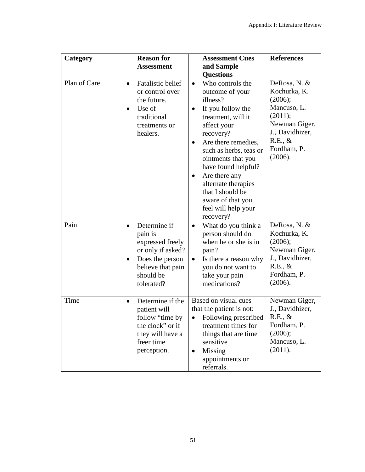| Category     | <b>Reason for</b>                                                                                                                                             | <b>Assessment Cues</b>                                                                                                                                                                                                                                                                                                                                                                                    | <b>References</b>                                                                                                                          |
|--------------|---------------------------------------------------------------------------------------------------------------------------------------------------------------|-----------------------------------------------------------------------------------------------------------------------------------------------------------------------------------------------------------------------------------------------------------------------------------------------------------------------------------------------------------------------------------------------------------|--------------------------------------------------------------------------------------------------------------------------------------------|
|              | <b>Assessment</b>                                                                                                                                             | and Sample                                                                                                                                                                                                                                                                                                                                                                                                |                                                                                                                                            |
| Plan of Care | <b>Fatalistic belief</b><br>$\bullet$<br>or control over<br>the future.<br>Use of<br>$\bullet$<br>traditional<br>treatments or<br>healers.                    | <b>Questions</b><br>Who controls the<br>$\bullet$<br>outcome of your<br>illness?<br>If you follow the<br>$\bullet$<br>treatment, will it<br>affect your<br>recovery?<br>Are there remedies,<br>$\bullet$<br>such as herbs, teas or<br>ointments that you<br>have found helpful?<br>Are there any<br>٠<br>alternate therapies<br>that I should be<br>aware of that you<br>feel will help your<br>recovery? | DeRosa, N. &<br>Kochurka, K.<br>(2006);<br>Mancuso, L.<br>(2011);<br>Newman Giger,<br>J., Davidhizer,<br>R.E., &<br>Fordham, P.<br>(2006). |
| Pain         | Determine if<br>$\bullet$<br>pain is<br>expressed freely<br>or only if asked?<br>Does the person<br>$\bullet$<br>believe that pain<br>should be<br>tolerated? | What do you think a<br>$\bullet$<br>person should do<br>when he or she is in<br>pain?<br>Is there a reason why<br>$\bullet$<br>you do not want to<br>take your pain<br>medications?                                                                                                                                                                                                                       | DeRosa, N. &<br>Kochurka, K.<br>(2006);<br>Newman Giger,<br>J., Davidhizer,<br>R.E., &<br>Fordham, P.<br>(2006).                           |
| Time         | Determine if the<br>$\bullet$<br>patient will<br>follow "time by<br>the clock" or if<br>they will have a<br>freer time<br>perception.                         | Based on visual cues<br>that the patient is not:<br>Following prescribed<br>$\bullet$<br>treatment times for<br>things that are time<br>sensitive<br>Missing<br>$\bullet$<br>appointments or<br>referrals.                                                                                                                                                                                                | Newman Giger,<br>J., Davidhizer,<br>R.E., &<br>Fordham, P.<br>(2006);<br>Mancuso, L.<br>(2011).                                            |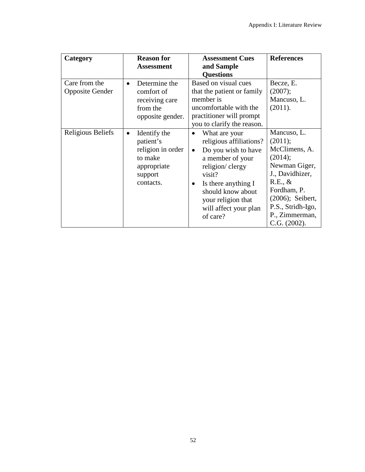| Category                                | <b>Reason for</b><br><b>Assessment</b>                                                                        | <b>Assessment Cues</b><br>and Sample<br><b>Questions</b>                                                                                                                                                                              | <b>References</b>                                                                                                                                                                              |
|-----------------------------------------|---------------------------------------------------------------------------------------------------------------|---------------------------------------------------------------------------------------------------------------------------------------------------------------------------------------------------------------------------------------|------------------------------------------------------------------------------------------------------------------------------------------------------------------------------------------------|
| Care from the<br><b>Opposite Gender</b> | Determine the<br>comfort of<br>receiving care<br>from the<br>opposite gender.                                 | Based on visual cues<br>that the patient or family<br>member is<br>uncomfortable with the<br>practitioner will prompt<br>you to clarify the reason.                                                                                   | Becze, E.<br>(2007);<br>Mancuso, L.<br>(2011).                                                                                                                                                 |
| Religious Beliefs                       | Identify the<br>$\bullet$<br>patient's<br>religion in order<br>to make<br>appropriate<br>support<br>contacts. | What are your<br>religious affiliations?<br>Do you wish to have<br>$\bullet$<br>a member of your<br>religion/ clergy<br>visit?<br>Is there anything I<br>should know about<br>your religion that<br>will affect your plan<br>of care? | Mancuso, L.<br>(2011);<br>McClimens, A.<br>(2014);<br>Newman Giger,<br>J., Davidhizer,<br>$R.E., \&$<br>Fordham, P.<br>(2006); Seibert,<br>P.S., Stridh-Igo,<br>P., Zimmerman,<br>C.G. (2002). |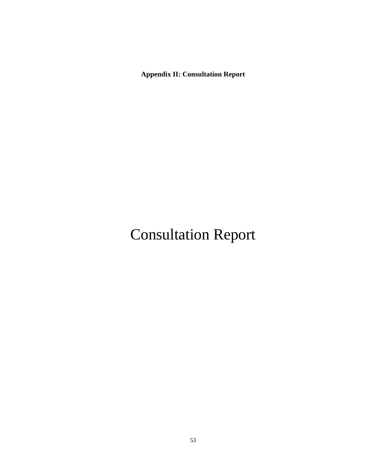**Appendix II: Consultation Report**

# Consultation Report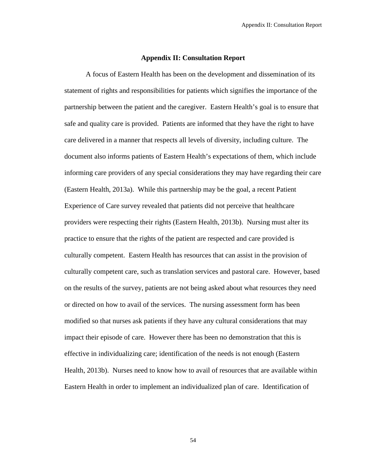#### **Appendix II: Consultation Report**

A focus of Eastern Health has been on the development and dissemination of its statement of rights and responsibilities for patients which signifies the importance of the partnership between the patient and the caregiver. Eastern Health's goal is to ensure that safe and quality care is provided. Patients are informed that they have the right to have care delivered in a manner that respects all levels of diversity, including culture. The document also informs patients of Eastern Health's expectations of them, which include informing care providers of any special considerations they may have regarding their care (Eastern Health, 2013a). While this partnership may be the goal, a recent Patient Experience of Care survey revealed that patients did not perceive that healthcare providers were respecting their rights (Eastern Health, 2013b). Nursing must alter its practice to ensure that the rights of the patient are respected and care provided is culturally competent. Eastern Health has resources that can assist in the provision of culturally competent care, such as translation services and pastoral care. However, based on the results of the survey, patients are not being asked about what resources they need or directed on how to avail of the services. The nursing assessment form has been modified so that nurses ask patients if they have any cultural considerations that may impact their episode of care. However there has been no demonstration that this is effective in individualizing care; identification of the needs is not enough (Eastern Health, 2013b). Nurses need to know how to avail of resources that are available within Eastern Health in order to implement an individualized plan of care. Identification of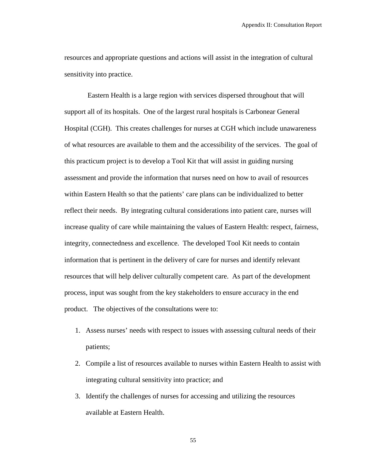resources and appropriate questions and actions will assist in the integration of cultural sensitivity into practice.

Eastern Health is a large region with services dispersed throughout that will support all of its hospitals. One of the largest rural hospitals is Carbonear General Hospital (CGH). This creates challenges for nurses at CGH which include unawareness of what resources are available to them and the accessibility of the services. The goal of this practicum project is to develop a Tool Kit that will assist in guiding nursing assessment and provide the information that nurses need on how to avail of resources within Eastern Health so that the patients' care plans can be individualized to better reflect their needs. By integrating cultural considerations into patient care, nurses will increase quality of care while maintaining the values of Eastern Health: respect, fairness, integrity, connectedness and excellence. The developed Tool Kit needs to contain information that is pertinent in the delivery of care for nurses and identify relevant resources that will help deliver culturally competent care. As part of the development process, input was sought from the key stakeholders to ensure accuracy in the end product. The objectives of the consultations were to:

- 1. Assess nurses' needs with respect to issues with assessing cultural needs of their patients;
- 2. Compile a list of resources available to nurses within Eastern Health to assist with integrating cultural sensitivity into practice; and
- 3. Identify the challenges of nurses for accessing and utilizing the resources available at Eastern Health.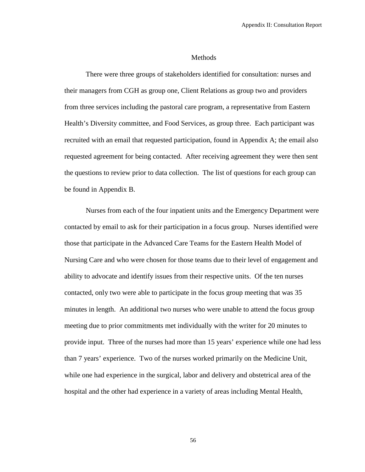#### **Methods**

There were three groups of stakeholders identified for consultation: nurses and their managers from CGH as group one, Client Relations as group two and providers from three services including the pastoral care program, a representative from Eastern Health's Diversity committee, and Food Services, as group three. Each participant was recruited with an email that requested participation, found in Appendix A; the email also requested agreement for being contacted. After receiving agreement they were then sent the questions to review prior to data collection. The list of questions for each group can be found in Appendix B.

Nurses from each of the four inpatient units and the Emergency Department were contacted by email to ask for their participation in a focus group. Nurses identified were those that participate in the Advanced Care Teams for the Eastern Health Model of Nursing Care and who were chosen for those teams due to their level of engagement and ability to advocate and identify issues from their respective units. Of the ten nurses contacted, only two were able to participate in the focus group meeting that was 35 minutes in length. An additional two nurses who were unable to attend the focus group meeting due to prior commitments met individually with the writer for 20 minutes to provide input. Three of the nurses had more than 15 years' experience while one had less than 7 years' experience. Two of the nurses worked primarily on the Medicine Unit, while one had experience in the surgical, labor and delivery and obstetrical area of the hospital and the other had experience in a variety of areas including Mental Health,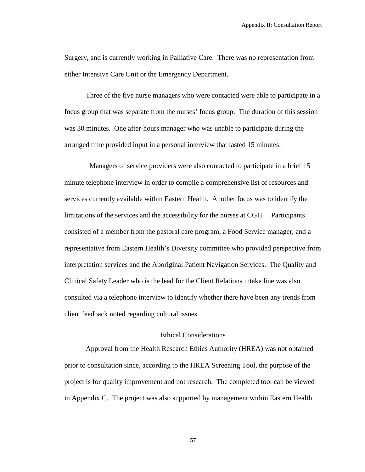Surgery, and is currently working in Palliative Care. There was no representation from either Intensive Care Unit or the Emergency Department.

Three of the five nurse managers who were contacted were able to participate in a focus group that was separate from the nurses' focus group. The duration of this session was 30 minutes. One after-hours manager who was unable to participate during the arranged time provided input in a personal interview that lasted 15 minutes.

 Managers of service providers were also contacted to participate in a brief 15 minute telephone interview in order to compile a comprehensive list of resources and services currently available within Eastern Health. Another focus was to identify the limitations of the services and the accessibility for the nurses at CGH. Participants consisted of a member from the pastoral care program, a Food Service manager, and a representative from Eastern Health's Diversity committee who provided perspective from interpretation services and the Aboriginal Patient Navigation Services. The Quality and Clinical Safety Leader who is the lead for the Client Relations intake line was also consulted via a telephone interview to identify whether there have been any trends from client feedback noted regarding cultural issues.

# Ethical Considerations

Approval from the Health Research Ethics Authority (HREA) was not obtained prior to consultation since, according to the HREA Screening Tool, the purpose of the project is for quality improvement and not research. The completed tool can be viewed in Appendix C. The project was also supported by management within Eastern Health.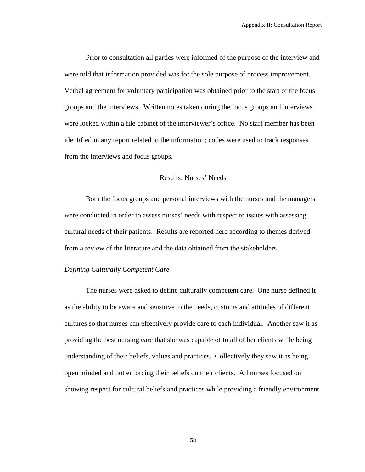Prior to consultation all parties were informed of the purpose of the interview and were told that information provided was for the sole purpose of process improvement. Verbal agreement for voluntary participation was obtained prior to the start of the focus groups and the interviews. Written notes taken during the focus groups and interviews were locked within a file cabinet of the interviewer's office. No staff member has been identified in any report related to the information; codes were used to track responses from the interviews and focus groups.

#### Results: Nurses' Needs

Both the focus groups and personal interviews with the nurses and the managers were conducted in order to assess nurses' needs with respect to issues with assessing cultural needs of their patients. Results are reported here according to themes derived from a review of the literature and the data obtained from the stakeholders.

# *Defining Culturally Competent Care*

The nurses were asked to define culturally competent care. One nurse defined it as the ability to be aware and sensitive to the needs, customs and attitudes of different cultures so that nurses can effectively provide care to each individual. Another saw it as providing the best nursing care that she was capable of to all of her clients while being understanding of their beliefs, values and practices. Collectively they saw it as being open minded and not enforcing their beliefs on their clients. All nurses focused on showing respect for cultural beliefs and practices while providing a friendly environment.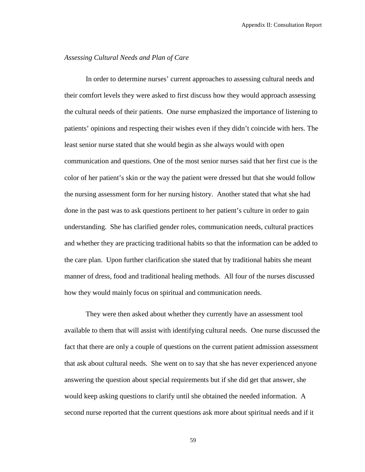# *Assessing Cultural Needs and Plan of Care*

In order to determine nurses' current approaches to assessing cultural needs and their comfort levels they were asked to first discuss how they would approach assessing the cultural needs of their patients. One nurse emphasized the importance of listening to patients' opinions and respecting their wishes even if they didn't coincide with hers. The least senior nurse stated that she would begin as she always would with open communication and questions. One of the most senior nurses said that her first cue is the color of her patient's skin or the way the patient were dressed but that she would follow the nursing assessment form for her nursing history. Another stated that what she had done in the past was to ask questions pertinent to her patient's culture in order to gain understanding. She has clarified gender roles, communication needs, cultural practices and whether they are practicing traditional habits so that the information can be added to the care plan. Upon further clarification she stated that by traditional habits she meant manner of dress, food and traditional healing methods. All four of the nurses discussed how they would mainly focus on spiritual and communication needs.

They were then asked about whether they currently have an assessment tool available to them that will assist with identifying cultural needs. One nurse discussed the fact that there are only a couple of questions on the current patient admission assessment that ask about cultural needs. She went on to say that she has never experienced anyone answering the question about special requirements but if she did get that answer, she would keep asking questions to clarify until she obtained the needed information. A second nurse reported that the current questions ask more about spiritual needs and if it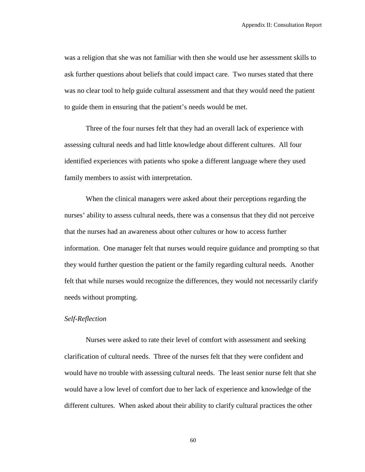was a religion that she was not familiar with then she would use her assessment skills to ask further questions about beliefs that could impact care. Two nurses stated that there was no clear tool to help guide cultural assessment and that they would need the patient to guide them in ensuring that the patient's needs would be met.

Three of the four nurses felt that they had an overall lack of experience with assessing cultural needs and had little knowledge about different cultures. All four identified experiences with patients who spoke a different language where they used family members to assist with interpretation.

When the clinical managers were asked about their perceptions regarding the nurses' ability to assess cultural needs, there was a consensus that they did not perceive that the nurses had an awareness about other cultures or how to access further information. One manager felt that nurses would require guidance and prompting so that they would further question the patient or the family regarding cultural needs. Another felt that while nurses would recognize the differences, they would not necessarily clarify needs without prompting.

# *Self-Reflection*

Nurses were asked to rate their level of comfort with assessment and seeking clarification of cultural needs. Three of the nurses felt that they were confident and would have no trouble with assessing cultural needs. The least senior nurse felt that she would have a low level of comfort due to her lack of experience and knowledge of the different cultures. When asked about their ability to clarify cultural practices the other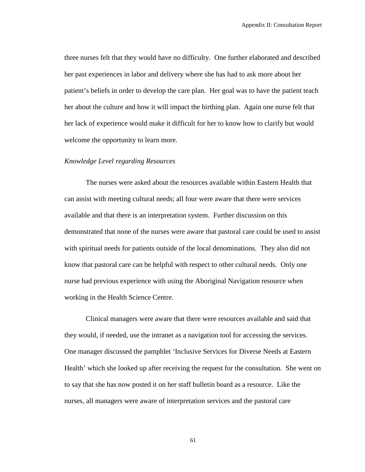three nurses felt that they would have no difficulty. One further elaborated and described her past experiences in labor and delivery where she has had to ask more about her patient's beliefs in order to develop the care plan. Her goal was to have the patient teach her about the culture and how it will impact the birthing plan. Again one nurse felt that her lack of experience would make it difficult for her to know how to clarify but would welcome the opportunity to learn more.

# *Knowledge Level regarding Resources*

The nurses were asked about the resources available within Eastern Health that can assist with meeting cultural needs; all four were aware that there were services available and that there is an interpretation system. Further discussion on this demonstrated that none of the nurses were aware that pastoral care could be used to assist with spiritual needs for patients outside of the local denominations. They also did not know that pastoral care can be helpful with respect to other cultural needs. Only one nurse had previous experience with using the Aboriginal Navigation resource when working in the Health Science Centre.

Clinical managers were aware that there were resources available and said that they would, if needed, use the intranet as a navigation tool for accessing the services. One manager discussed the pamphlet 'Inclusive Services for Diverse Needs at Eastern Health' which she looked up after receiving the request for the consultation. She went on to say that she has now posted it on her staff bulletin board as a resource. Like the nurses, all managers were aware of interpretation services and the pastoral care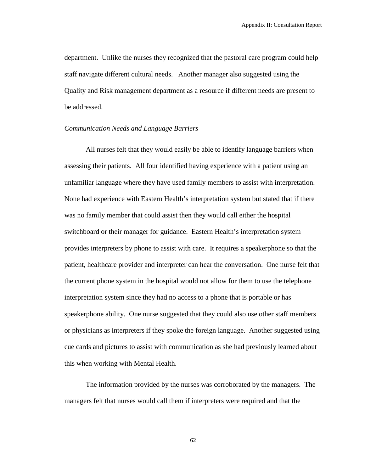department. Unlike the nurses they recognized that the pastoral care program could help staff navigate different cultural needs. Another manager also suggested using the Quality and Risk management department as a resource if different needs are present to be addressed.

# *Communication Needs and Language Barriers*

All nurses felt that they would easily be able to identify language barriers when assessing their patients. All four identified having experience with a patient using an unfamiliar language where they have used family members to assist with interpretation. None had experience with Eastern Health's interpretation system but stated that if there was no family member that could assist then they would call either the hospital switchboard or their manager for guidance. Eastern Health's interpretation system provides interpreters by phone to assist with care. It requires a speakerphone so that the patient, healthcare provider and interpreter can hear the conversation. One nurse felt that the current phone system in the hospital would not allow for them to use the telephone interpretation system since they had no access to a phone that is portable or has speakerphone ability. One nurse suggested that they could also use other staff members or physicians as interpreters if they spoke the foreign language. Another suggested using cue cards and pictures to assist with communication as she had previously learned about this when working with Mental Health.

The information provided by the nurses was corroborated by the managers. The managers felt that nurses would call them if interpreters were required and that the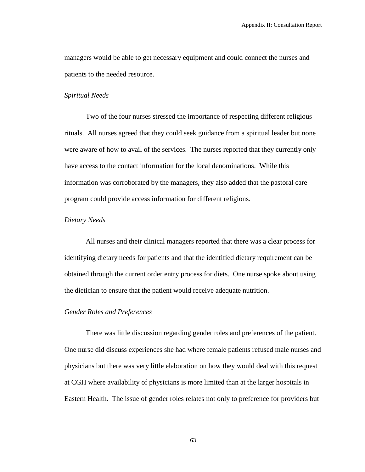managers would be able to get necessary equipment and could connect the nurses and patients to the needed resource.

# *Spiritual Needs*

Two of the four nurses stressed the importance of respecting different religious rituals. All nurses agreed that they could seek guidance from a spiritual leader but none were aware of how to avail of the services. The nurses reported that they currently only have access to the contact information for the local denominations. While this information was corroborated by the managers, they also added that the pastoral care program could provide access information for different religions.

# *Dietary Needs*

All nurses and their clinical managers reported that there was a clear process for identifying dietary needs for patients and that the identified dietary requirement can be obtained through the current order entry process for diets. One nurse spoke about using the dietician to ensure that the patient would receive adequate nutrition.

#### *Gender Roles and Preferences*

There was little discussion regarding gender roles and preferences of the patient. One nurse did discuss experiences she had where female patients refused male nurses and physicians but there was very little elaboration on how they would deal with this request at CGH where availability of physicians is more limited than at the larger hospitals in Eastern Health. The issue of gender roles relates not only to preference for providers but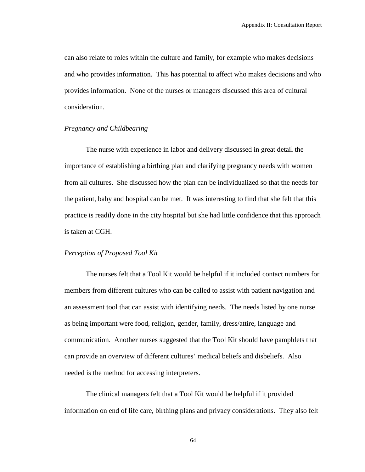can also relate to roles within the culture and family, for example who makes decisions and who provides information. This has potential to affect who makes decisions and who provides information. None of the nurses or managers discussed this area of cultural consideration.

# *Pregnancy and Childbearing*

The nurse with experience in labor and delivery discussed in great detail the importance of establishing a birthing plan and clarifying pregnancy needs with women from all cultures. She discussed how the plan can be individualized so that the needs for the patient, baby and hospital can be met. It was interesting to find that she felt that this practice is readily done in the city hospital but she had little confidence that this approach is taken at CGH.

# *Perception of Proposed Tool Kit*

The nurses felt that a Tool Kit would be helpful if it included contact numbers for members from different cultures who can be called to assist with patient navigation and an assessment tool that can assist with identifying needs. The needs listed by one nurse as being important were food, religion, gender, family, dress/attire, language and communication. Another nurses suggested that the Tool Kit should have pamphlets that can provide an overview of different cultures' medical beliefs and disbeliefs. Also needed is the method for accessing interpreters.

The clinical managers felt that a Tool Kit would be helpful if it provided information on end of life care, birthing plans and privacy considerations. They also felt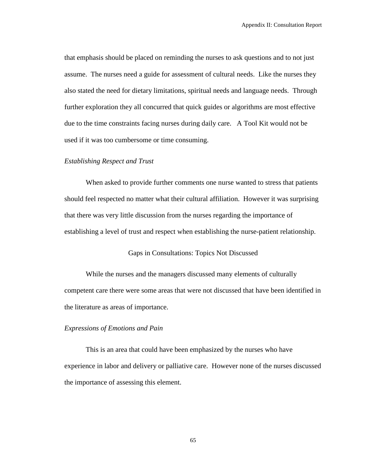that emphasis should be placed on reminding the nurses to ask questions and to not just assume. The nurses need a guide for assessment of cultural needs. Like the nurses they also stated the need for dietary limitations, spiritual needs and language needs. Through further exploration they all concurred that quick guides or algorithms are most effective due to the time constraints facing nurses during daily care. A Tool Kit would not be used if it was too cumbersome or time consuming.

#### *Establishing Respect and Trust*

When asked to provide further comments one nurse wanted to stress that patients should feel respected no matter what their cultural affiliation. However it was surprising that there was very little discussion from the nurses regarding the importance of establishing a level of trust and respect when establishing the nurse-patient relationship.

Gaps in Consultations: Topics Not Discussed

While the nurses and the managers discussed many elements of culturally competent care there were some areas that were not discussed that have been identified in the literature as areas of importance.

#### *Expressions of Emotions and Pain*

This is an area that could have been emphasized by the nurses who have experience in labor and delivery or palliative care. However none of the nurses discussed the importance of assessing this element.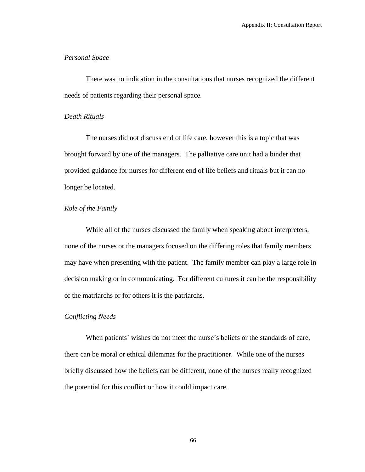# *Personal Space*

There was no indication in the consultations that nurses recognized the different needs of patients regarding their personal space.

# *Death Rituals*

The nurses did not discuss end of life care, however this is a topic that was brought forward by one of the managers. The palliative care unit had a binder that provided guidance for nurses for different end of life beliefs and rituals but it can no longer be located.

# *Role of the Family*

While all of the nurses discussed the family when speaking about interpreters, none of the nurses or the managers focused on the differing roles that family members may have when presenting with the patient. The family member can play a large role in decision making or in communicating. For different cultures it can be the responsibility of the matriarchs or for others it is the patriarchs.

# *Conflicting Needs*

When patients' wishes do not meet the nurse's beliefs or the standards of care, there can be moral or ethical dilemmas for the practitioner. While one of the nurses briefly discussed how the beliefs can be different, none of the nurses really recognized the potential for this conflict or how it could impact care.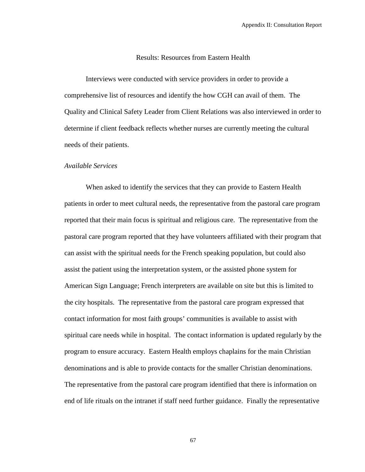# Results: Resources from Eastern Health

Interviews were conducted with service providers in order to provide a comprehensive list of resources and identify the how CGH can avail of them. The Quality and Clinical Safety Leader from Client Relations was also interviewed in order to determine if client feedback reflects whether nurses are currently meeting the cultural needs of their patients.

#### *Available Services*

When asked to identify the services that they can provide to Eastern Health patients in order to meet cultural needs, the representative from the pastoral care program reported that their main focus is spiritual and religious care. The representative from the pastoral care program reported that they have volunteers affiliated with their program that can assist with the spiritual needs for the French speaking population, but could also assist the patient using the interpretation system, or the assisted phone system for American Sign Language; French interpreters are available on site but this is limited to the city hospitals. The representative from the pastoral care program expressed that contact information for most faith groups' communities is available to assist with spiritual care needs while in hospital. The contact information is updated regularly by the program to ensure accuracy. Eastern Health employs chaplains for the main Christian denominations and is able to provide contacts for the smaller Christian denominations. The representative from the pastoral care program identified that there is information on end of life rituals on the intranet if staff need further guidance. Finally the representative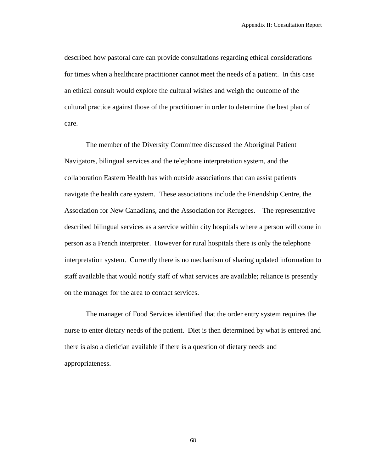described how pastoral care can provide consultations regarding ethical considerations for times when a healthcare practitioner cannot meet the needs of a patient. In this case an ethical consult would explore the cultural wishes and weigh the outcome of the cultural practice against those of the practitioner in order to determine the best plan of care.

The member of the Diversity Committee discussed the Aboriginal Patient Navigators, bilingual services and the telephone interpretation system, and the collaboration Eastern Health has with outside associations that can assist patients navigate the health care system. These associations include the Friendship Centre, the Association for New Canadians, and the Association for Refugees. The representative described bilingual services as a service within city hospitals where a person will come in person as a French interpreter. However for rural hospitals there is only the telephone interpretation system. Currently there is no mechanism of sharing updated information to staff available that would notify staff of what services are available; reliance is presently on the manager for the area to contact services.

The manager of Food Services identified that the order entry system requires the nurse to enter dietary needs of the patient. Diet is then determined by what is entered and there is also a dietician available if there is a question of dietary needs and appropriateness.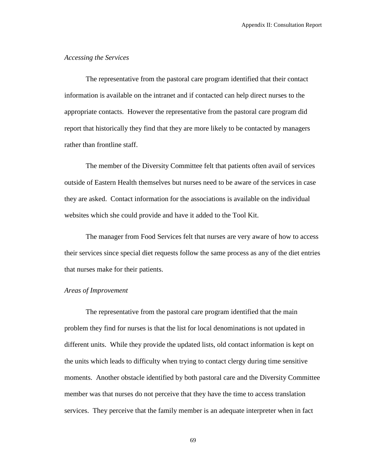### *Accessing the Services*

The representative from the pastoral care program identified that their contact information is available on the intranet and if contacted can help direct nurses to the appropriate contacts. However the representative from the pastoral care program did report that historically they find that they are more likely to be contacted by managers rather than frontline staff.

The member of the Diversity Committee felt that patients often avail of services outside of Eastern Health themselves but nurses need to be aware of the services in case they are asked. Contact information for the associations is available on the individual websites which she could provide and have it added to the Tool Kit.

The manager from Food Services felt that nurses are very aware of how to access their services since special diet requests follow the same process as any of the diet entries that nurses make for their patients.

#### *Areas of Improvement*

The representative from the pastoral care program identified that the main problem they find for nurses is that the list for local denominations is not updated in different units. While they provide the updated lists, old contact information is kept on the units which leads to difficulty when trying to contact clergy during time sensitive moments. Another obstacle identified by both pastoral care and the Diversity Committee member was that nurses do not perceive that they have the time to access translation services. They perceive that the family member is an adequate interpreter when in fact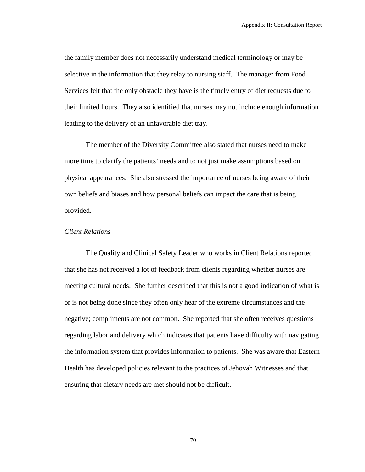the family member does not necessarily understand medical terminology or may be selective in the information that they relay to nursing staff. The manager from Food Services felt that the only obstacle they have is the timely entry of diet requests due to their limited hours. They also identified that nurses may not include enough information leading to the delivery of an unfavorable diet tray.

The member of the Diversity Committee also stated that nurses need to make more time to clarify the patients' needs and to not just make assumptions based on physical appearances. She also stressed the importance of nurses being aware of their own beliefs and biases and how personal beliefs can impact the care that is being provided.

#### *Client Relations*

The Quality and Clinical Safety Leader who works in Client Relations reported that she has not received a lot of feedback from clients regarding whether nurses are meeting cultural needs. She further described that this is not a good indication of what is or is not being done since they often only hear of the extreme circumstances and the negative; compliments are not common. She reported that she often receives questions regarding labor and delivery which indicates that patients have difficulty with navigating the information system that provides information to patients. She was aware that Eastern Health has developed policies relevant to the practices of Jehovah Witnesses and that ensuring that dietary needs are met should not be difficult.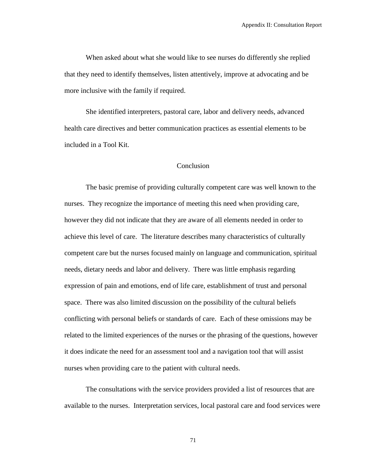When asked about what she would like to see nurses do differently she replied that they need to identify themselves, listen attentively, improve at advocating and be more inclusive with the family if required.

She identified interpreters, pastoral care, labor and delivery needs, advanced health care directives and better communication practices as essential elements to be included in a Tool Kit.

### Conclusion

The basic premise of providing culturally competent care was well known to the nurses. They recognize the importance of meeting this need when providing care, however they did not indicate that they are aware of all elements needed in order to achieve this level of care. The literature describes many characteristics of culturally competent care but the nurses focused mainly on language and communication, spiritual needs, dietary needs and labor and delivery. There was little emphasis regarding expression of pain and emotions, end of life care, establishment of trust and personal space. There was also limited discussion on the possibility of the cultural beliefs conflicting with personal beliefs or standards of care. Each of these omissions may be related to the limited experiences of the nurses or the phrasing of the questions, however it does indicate the need for an assessment tool and a navigation tool that will assist nurses when providing care to the patient with cultural needs.

The consultations with the service providers provided a list of resources that are available to the nurses. Interpretation services, local pastoral care and food services were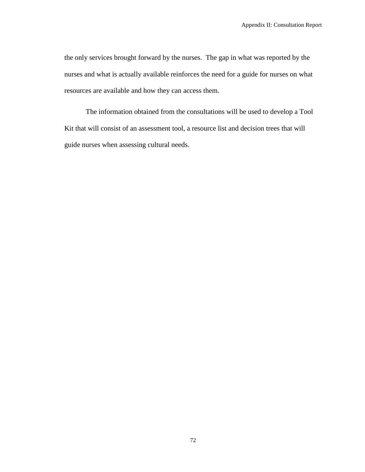the only services brought forward by the nurses. The gap in what was reported by the nurses and what is actually available reinforces the need for a guide for nurses on what resources are available and how they can access them.

The information obtained from the consultations will be used to develop a Tool Kit that will consist of an assessment tool, a resource list and decision trees that will guide nurses when assessing cultural needs.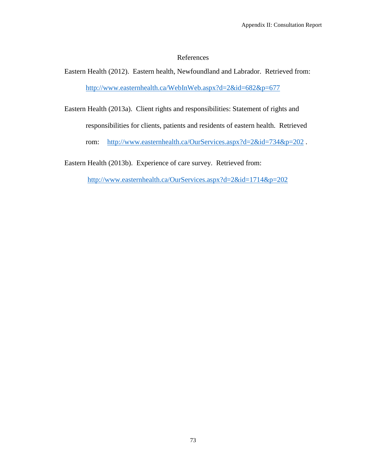### References

Eastern Health (2012). Eastern health, Newfoundland and Labrador. Retrieved from: <http://www.easternhealth.ca/WebInWeb.aspx?d=2&id=682&p=677>

Eastern Health (2013a). Client rights and responsibilities: Statement of rights and responsibilities for clients, patients and residents of eastern health. Retrieved rom: <http://www.easternhealth.ca/OurServices.aspx?d=2&id=734&p=202>.

Eastern Health (2013b). Experience of care survey. Retrieved from:

<http://www.easternhealth.ca/OurServices.aspx?d=2&id=1714&p=202>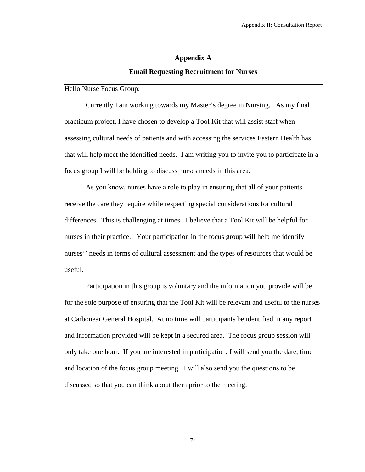# **Appendix A Email Requesting Recruitment for Nurses**

Hello Nurse Focus Group;

Currently I am working towards my Master's degree in Nursing. As my final practicum project, I have chosen to develop a Tool Kit that will assist staff when assessing cultural needs of patients and with accessing the services Eastern Health has that will help meet the identified needs. I am writing you to invite you to participate in a focus group I will be holding to discuss nurses needs in this area.

As you know, nurses have a role to play in ensuring that all of your patients receive the care they require while respecting special considerations for cultural differences. This is challenging at times. I believe that a Tool Kit will be helpful for nurses in their practice. Your participation in the focus group will help me identify nurses'' needs in terms of cultural assessment and the types of resources that would be useful.

Participation in this group is voluntary and the information you provide will be for the sole purpose of ensuring that the Tool Kit will be relevant and useful to the nurses at Carbonear General Hospital. At no time will participants be identified in any report and information provided will be kept in a secured area. The focus group session will only take one hour. If you are interested in participation, I will send you the date, time and location of the focus group meeting. I will also send you the questions to be discussed so that you can think about them prior to the meeting.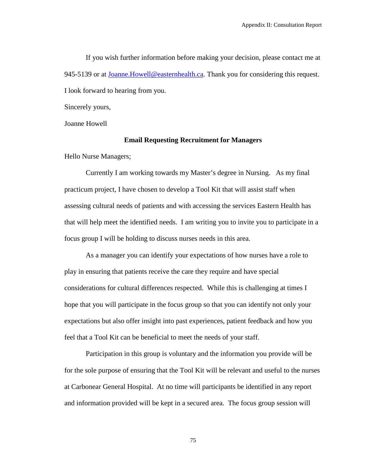If you wish further information before making your decision, please contact me at 945-5139 or at [Joanne.Howell@easternhealth.ca.](mailto:Joanne.Howell@easternhealth.ca) Thank you for considering this request. I look forward to hearing from you.

Sincerely yours,

Joanne Howell

#### **Email Requesting Recruitment for Managers**

Hello Nurse Managers;

Currently I am working towards my Master's degree in Nursing. As my final practicum project, I have chosen to develop a Tool Kit that will assist staff when assessing cultural needs of patients and with accessing the services Eastern Health has that will help meet the identified needs. I am writing you to invite you to participate in a focus group I will be holding to discuss nurses needs in this area.

As a manager you can identify your expectations of how nurses have a role to play in ensuring that patients receive the care they require and have special considerations for cultural differences respected. While this is challenging at times I hope that you will participate in the focus group so that you can identify not only your expectations but also offer insight into past experiences, patient feedback and how you feel that a Tool Kit can be beneficial to meet the needs of your staff.

Participation in this group is voluntary and the information you provide will be for the sole purpose of ensuring that the Tool Kit will be relevant and useful to the nurses at Carbonear General Hospital. At no time will participants be identified in any report and information provided will be kept in a secured area. The focus group session will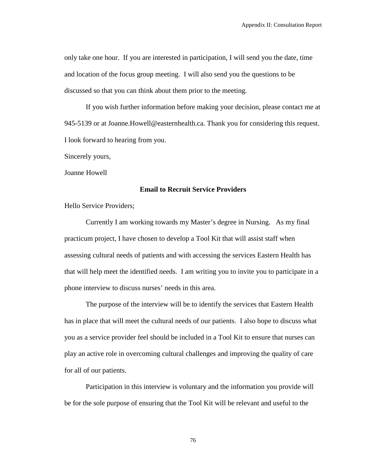only take one hour. If you are interested in participation, I will send you the date, time and location of the focus group meeting. I will also send you the questions to be discussed so that you can think about them prior to the meeting.

If you wish further information before making your decision, please contact me at 945-5139 or at Joanne.Howell@easternhealth.ca. Thank you for considering this request. I look forward to hearing from you.

Sincerely yours,

Joanne Howell

#### **Email to Recruit Service Providers**

Hello Service Providers;

Currently I am working towards my Master's degree in Nursing. As my final practicum project, I have chosen to develop a Tool Kit that will assist staff when assessing cultural needs of patients and with accessing the services Eastern Health has that will help meet the identified needs. I am writing you to invite you to participate in a phone interview to discuss nurses' needs in this area.

The purpose of the interview will be to identify the services that Eastern Health has in place that will meet the cultural needs of our patients. I also hope to discuss what you as a service provider feel should be included in a Tool Kit to ensure that nurses can play an active role in overcoming cultural challenges and improving the quality of care for all of our patients.

 Participation in this interview is voluntary and the information you provide will be for the sole purpose of ensuring that the Tool Kit will be relevant and useful to the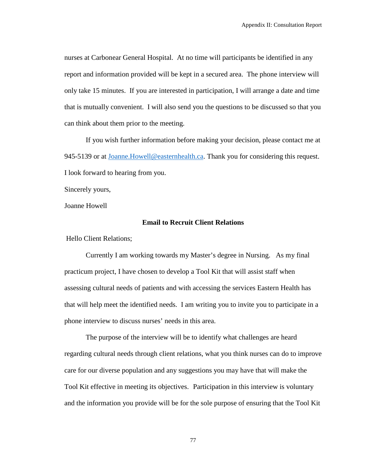nurses at Carbonear General Hospital. At no time will participants be identified in any report and information provided will be kept in a secured area. The phone interview will only take 15 minutes. If you are interested in participation, I will arrange a date and time that is mutually convenient. I will also send you the questions to be discussed so that you can think about them prior to the meeting.

If you wish further information before making your decision, please contact me at 945-5139 or at Joanne. Howell@easternhealth.ca. Thank you for considering this request. I look forward to hearing from you.

Sincerely yours,

Joanne Howell

### **Email to Recruit Client Relations**

Hello Client Relations;

Currently I am working towards my Master's degree in Nursing. As my final practicum project, I have chosen to develop a Tool Kit that will assist staff when assessing cultural needs of patients and with accessing the services Eastern Health has that will help meet the identified needs. I am writing you to invite you to participate in a phone interview to discuss nurses' needs in this area.

The purpose of the interview will be to identify what challenges are heard regarding cultural needs through client relations, what you think nurses can do to improve care for our diverse population and any suggestions you may have that will make the Tool Kit effective in meeting its objectives. Participation in this interview is voluntary and the information you provide will be for the sole purpose of ensuring that the Tool Kit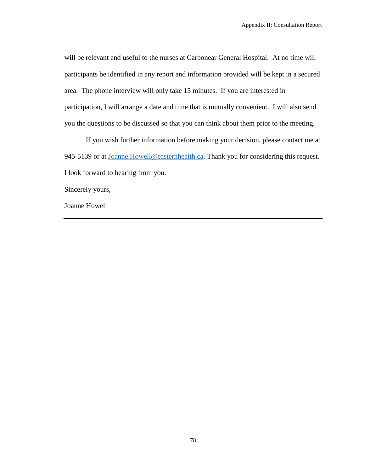will be relevant and useful to the nurses at Carbonear General Hospital. At no time will participants be identified in any report and information provided will be kept in a secured area. The phone interview will only take 15 minutes. If you are interested in participation, I will arrange a date and time that is mutually convenient. I will also send you the questions to be discussed so that you can think about them prior to the meeting.

If you wish further information before making your decision, please contact me at 945-5139 or at Joanne. Howell@easternhealth.ca. Thank you for considering this request. I look forward to hearing from you.

Sincerely yours,

Joanne Howell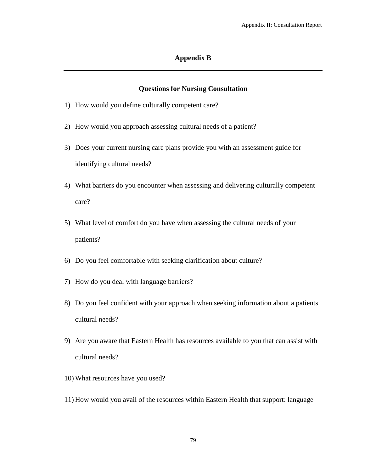### **Appendix B**

## **Questions for Nursing Consultation**

- 1) How would you define culturally competent care?
- 2) How would you approach assessing cultural needs of a patient?
- 3) Does your current nursing care plans provide you with an assessment guide for identifying cultural needs?
- 4) What barriers do you encounter when assessing and delivering culturally competent care?
- 5) What level of comfort do you have when assessing the cultural needs of your patients?
- 6) Do you feel comfortable with seeking clarification about culture?
- 7) How do you deal with language barriers?
- 8) Do you feel confident with your approach when seeking information about a patients cultural needs?
- 9) Are you aware that Eastern Health has resources available to you that can assist with cultural needs?
- 10) What resources have you used?
- 11) How would you avail of the resources within Eastern Health that support: language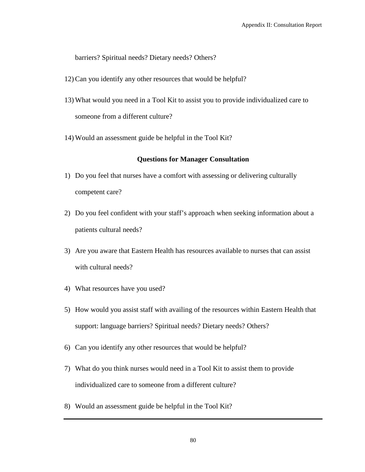barriers? Spiritual needs? Dietary needs? Others?

- 12) Can you identify any other resources that would be helpful?
- 13) What would you need in a Tool Kit to assist you to provide individualized care to someone from a different culture?
- 14) Would an assessment guide be helpful in the Tool Kit?

### **Questions for Manager Consultation**

- 1) Do you feel that nurses have a comfort with assessing or delivering culturally competent care?
- 2) Do you feel confident with your staff's approach when seeking information about a patients cultural needs?
- 3) Are you aware that Eastern Health has resources available to nurses that can assist with cultural needs?
- 4) What resources have you used?
- 5) How would you assist staff with availing of the resources within Eastern Health that support: language barriers? Spiritual needs? Dietary needs? Others?
- 6) Can you identify any other resources that would be helpful?
- 7) What do you think nurses would need in a Tool Kit to assist them to provide individualized care to someone from a different culture?
- 8) Would an assessment guide be helpful in the Tool Kit?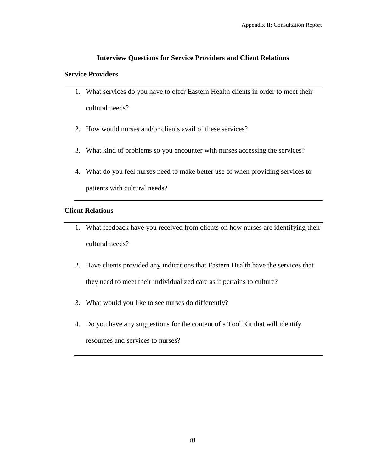## **Interview Questions for Service Providers and Client Relations**

## **Service Providers**

- 1. What services do you have to offer Eastern Health clients in order to meet their cultural needs?
- 2. How would nurses and/or clients avail of these services?
- 3. What kind of problems so you encounter with nurses accessing the services?
- 4. What do you feel nurses need to make better use of when providing services to patients with cultural needs?

## **Client Relations**

- 1. What feedback have you received from clients on how nurses are identifying their cultural needs?
- 2. Have clients provided any indications that Eastern Health have the services that they need to meet their individualized care as it pertains to culture?
- 3. What would you like to see nurses do differently?
- 4. Do you have any suggestions for the content of a Tool Kit that will identify resources and services to nurses?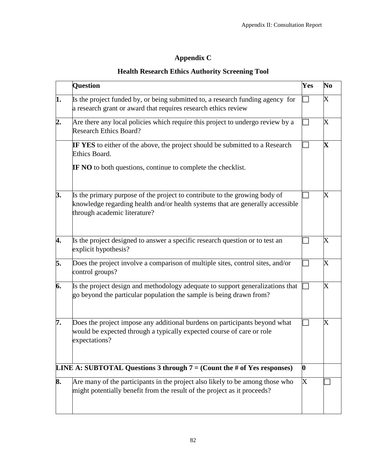# **Appendix C**

## **Health Research Ethics Authority Screening Tool**

| <b>Question</b>                                                                                                                                                                              | Yes                                                                                         | N <sub>0</sub>          |
|----------------------------------------------------------------------------------------------------------------------------------------------------------------------------------------------|---------------------------------------------------------------------------------------------|-------------------------|
| Is the project funded by, or being submitted to, a research funding agency for<br>a research grant or award that requires research ethics review                                             |                                                                                             | $\rm X$                 |
| Are there any local policies which require this project to undergo review by a<br><b>Research Ethics Board?</b>                                                                              |                                                                                             | $\rm X$                 |
| <b>IF YES</b> to either of the above, the project should be submitted to a Research<br>Ethics Board.                                                                                         |                                                                                             | $\mathbf X$             |
| <b>IF NO</b> to both questions, continue to complete the checklist.                                                                                                                          |                                                                                             |                         |
| Is the primary purpose of the project to contribute to the growing body of<br>knowledge regarding health and/or health systems that are generally accessible<br>through academic literature? |                                                                                             | $\overline{\mathrm{X}}$ |
| Is the project designed to answer a specific research question or to test an<br>explicit hypothesis?                                                                                         |                                                                                             | $\overline{\text{X}}$   |
| Does the project involve a comparison of multiple sites, control sites, and/or<br>control groups?                                                                                            |                                                                                             | X                       |
| Is the project design and methodology adequate to support generalizations that<br>go beyond the particular population the sample is being drawn from?                                        |                                                                                             | $\overline{\text{X}}$   |
| Does the project impose any additional burdens on participants beyond what<br>would be expected through a typically expected course of care or role<br>expectations?                         |                                                                                             | $\overline{\text{X}}$   |
|                                                                                                                                                                                              | $\boldsymbol{0}$                                                                            |                         |
| Are many of the participants in the project also likely to be among those who<br>might potentially benefit from the result of the project as it proceeds?                                    | X                                                                                           |                         |
|                                                                                                                                                                                              | <b>LINE A: SUBTOTAL Questions 3 through <math>7 = (Count the # of Yes responses)</math></b> |                         |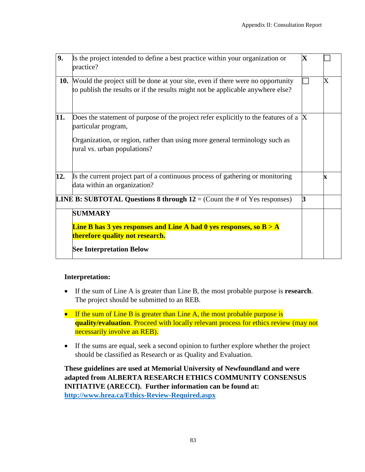| 9.  | Is the project intended to define a best practice within your organization or<br>practice?                                                                                                                               | $\overline{\mathbf{X}}$ |             |
|-----|--------------------------------------------------------------------------------------------------------------------------------------------------------------------------------------------------------------------------|-------------------------|-------------|
| 10. | Would the project still be done at your site, even if there were no opportunity<br>to publish the results or if the results might not be applicable anywhere else?                                                       |                         | X           |
| 11. | Does the statement of purpose of the project refer explicitly to the features of a<br>particular program,<br>Organization, or region, rather than using more general terminology such as<br>rural vs. urban populations? | $\bf X$                 |             |
| 12. | Is the current project part of a continuous process of gathering or monitoring<br>data within an organization?                                                                                                           |                         | $\mathbf x$ |
|     | <b>LINE B: SUBTOTAL Questions 8 through 12</b> = (Count the # of Yes responses)                                                                                                                                          | 3                       |             |
|     | <b>SUMMARY</b>                                                                                                                                                                                                           |                         |             |
|     | <b>Line B has 3 yes responses and Line A had 0 yes responses, so B &gt; A</b><br>therefore quality not research.                                                                                                         |                         |             |
|     | <b>See Interpretation Below</b>                                                                                                                                                                                          |                         |             |

## **Interpretation:**

- If the sum of Line A is greater than Line B, the most probable purpose is **research**. The project should be submitted to an REB.
- If the sum of Line B is greater than Line A, the most probable purpose is **quality/evaluation**. Proceed with locally relevant process for ethics review (may not necessarily involve an REB).
- If the sums are equal, seek a second opinion to further explore whether the project should be classified as Research or as Quality and Evaluation.

**These guidelines are used at Memorial University of Newfoundland and were adapted from ALBERTA RESEARCH ETHICS COMMUNITY CONSENSUS INITIATIVE (ARECCI). Further information can be found at: <http://www.hrea.ca/Ethics-Review-Required.aspx>**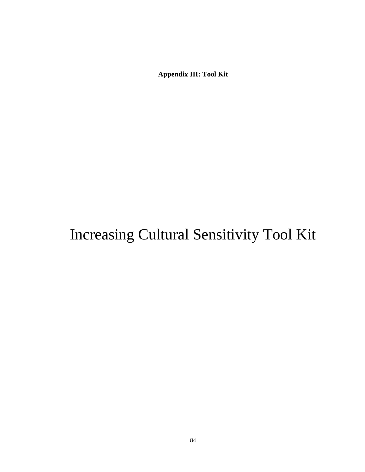# Increasing Cultural Sensitivity Tool Kit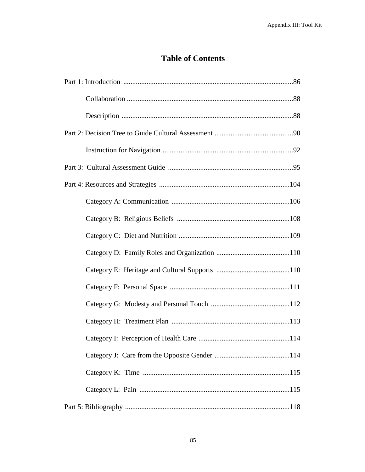## **Table of Contents**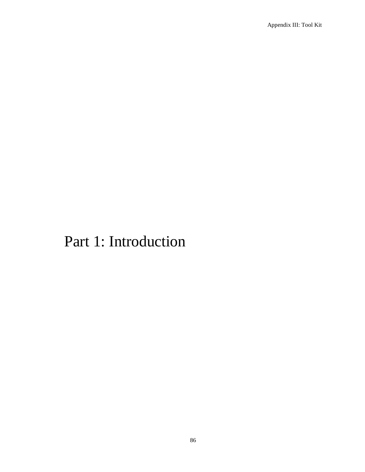# Part 1: Introduction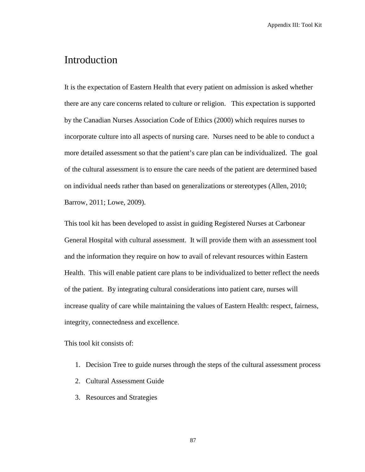# Introduction

It is the expectation of Eastern Health that every patient on admission is asked whether there are any care concerns related to culture or religion. This expectation is supported by the Canadian Nurses Association Code of Ethics (2000) which requires nurses to incorporate culture into all aspects of nursing care. Nurses need to be able to conduct a more detailed assessment so that the patient's care plan can be individualized. The goal of the cultural assessment is to ensure the care needs of the patient are determined based on individual needs rather than based on generalizations or stereotypes (Allen, 2010; Barrow, 2011; Lowe, 2009).

This tool kit has been developed to assist in guiding Registered Nurses at Carbonear General Hospital with cultural assessment. It will provide them with an assessment tool and the information they require on how to avail of relevant resources within Eastern Health. This will enable patient care plans to be individualized to better reflect the needs of the patient. By integrating cultural considerations into patient care, nurses will increase quality of care while maintaining the values of Eastern Health: respect, fairness, integrity, connectedness and excellence.

This tool kit consists of:

- 1. Decision Tree to guide nurses through the steps of the cultural assessment process
- 2. Cultural Assessment Guide
- 3. Resources and Strategies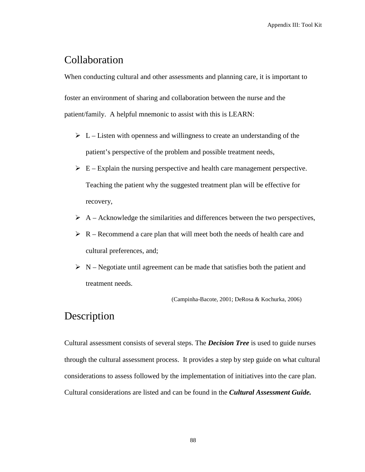# Collaboration

When conducting cultural and other assessments and planning care, it is important to foster an environment of sharing and collaboration between the nurse and the patient/family. A helpful mnemonic to assist with this is LEARN:

- $\triangleright$  L Listen with openness and willingness to create an understanding of the patient's perspective of the problem and possible treatment needs,
- $\triangleright$  E Explain the nursing perspective and health care management perspective. Teaching the patient why the suggested treatment plan will be effective for recovery,
- $\triangleright$  A Acknowledge the similarities and differences between the two perspectives,
- $\triangleright$  R Recommend a care plan that will meet both the needs of health care and cultural preferences, and;
- $\triangleright$  N Negotiate until agreement can be made that satisfies both the patient and treatment needs.

(Campinha-Bacote, 2001; DeRosa & Kochurka, 2006)

# Description

Cultural assessment consists of several steps. The *Decision Tree* is used to guide nurses through the cultural assessment process. It provides a step by step guide on what cultural considerations to assess followed by the implementation of initiatives into the care plan. Cultural considerations are listed and can be found in the *Cultural Assessment Guide.*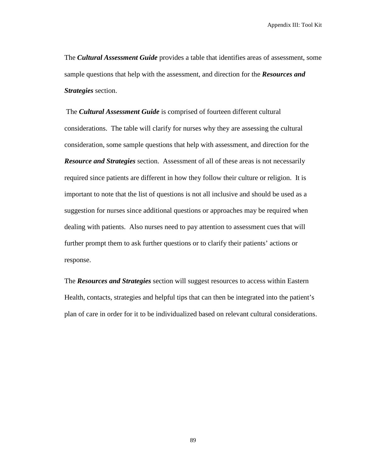The *Cultural Assessment Guide* provides a table that identifies areas of assessment, some sample questions that help with the assessment, and direction for the *Resources and Strategies* section.

The *Cultural Assessment Guide* is comprised of fourteen different cultural considerations. The table will clarify for nurses why they are assessing the cultural consideration, some sample questions that help with assessment, and direction for the *Resource and Strategies* section. Assessment of all of these areas is not necessarily required since patients are different in how they follow their culture or religion. It is important to note that the list of questions is not all inclusive and should be used as a suggestion for nurses since additional questions or approaches may be required when dealing with patients. Also nurses need to pay attention to assessment cues that will further prompt them to ask further questions or to clarify their patients' actions or response.

The *Resources and Strategies* section will suggest resources to access within Eastern Health, contacts, strategies and helpful tips that can then be integrated into the patient's plan of care in order for it to be individualized based on relevant cultural considerations.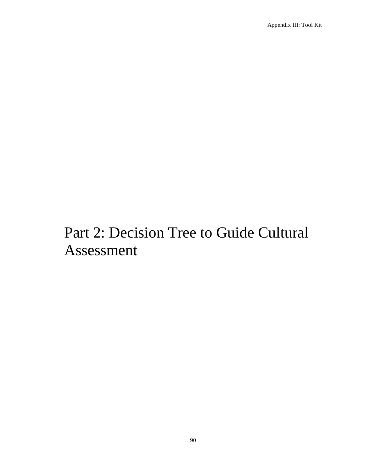# Part 2: Decision Tree to Guide Cultural Assessment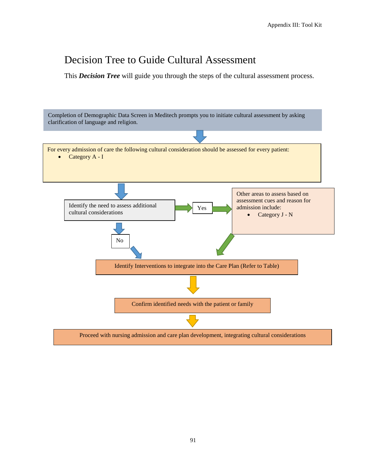# Decision Tree to Guide Cultural Assessment

This *Decision Tree* will guide you through the steps of the cultural assessment process.

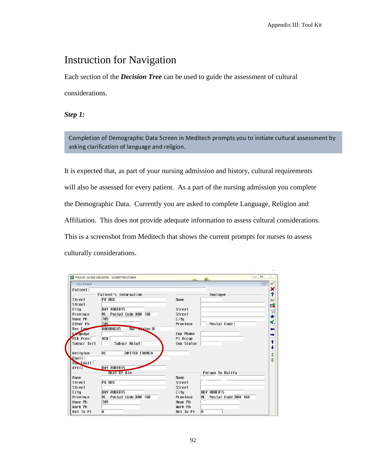# Instruction for Navigation

Each section of the *Decision Tree* can be used to guide the assessment of cultural considerations.

*Step 1:* 

Completion of Demographic Data Screen in Meditech prompts you to initiate cultural assessment by asking clarification of language and religion.

It is expected that, as part of your nursing admission and history, cultural requirements will also be assessed for every patient. As a part of the nursing admission you complete the Demographic Data. Currently you are asked to complete Language, Religion and Affiliation. This does not provide adequate information to assess cultural considerations. This is a screenshot from Meditech that shows the current prompts for nurses to assess culturally considerations.

|                     | PCLGHC (A/LIVE.MIS/1678) - SOMERTON, TONYA |                                              | $\qquad \qquad \text{or} \qquad$<br>$\Sigma$<br>$\qquad \qquad \blacksquare$ |
|---------------------|--------------------------------------------|----------------------------------------------|------------------------------------------------------------------------------|
| <b>View Patient</b> |                                            |                                              | $\Sigma$                                                                     |
| Patient             |                                            |                                              | ×                                                                            |
|                     | Patient's Information                      | Enployer                                     | ż                                                                            |
| Street              | <b>PO BOX</b>                              | Nane                                         | 鹹                                                                            |
| Street              |                                            |                                              | 酿                                                                            |
| City                | <b>BAY ROBERTS</b>                         | Street                                       | Ħ                                                                            |
| <b>Province</b>     | Postal Code A0A 160<br><b>NL</b>           | Street                                       | ÷                                                                            |
| Home Ph             | 709                                        | City                                         | $\mathbf{v}_{\scriptscriptstyle{\text{flat}}}^{\prime}$                      |
| Other Ph            | 789                                        | Postal Code<br>Province                      |                                                                              |
| Res Code            | 000000265<br>Mar Status M                  |                                              | ←                                                                            |
| Language            |                                            | <b>Enp Phone</b>                             | →                                                                            |
| HC# Prov            | HC#                                        | Pt Occup                                     |                                                                              |
| Subscr Init         | Subscr Relat                               | <b>Emp Status</b>                            | ↑                                                                            |
|                     |                                            |                                              | ı                                                                            |
| Religion            | <b>UC</b><br>UNITED CHURCH                 |                                              | $\frac{1}{2}$                                                                |
| Email               |                                            |                                              |                                                                              |
| Use Enail           |                                            |                                              |                                                                              |
| Aff11               | <b>BAY ROBERTS</b>                         |                                              |                                                                              |
|                     | Next Of Kin                                | Person To Notify                             |                                                                              |
| Name                | $\overline{\phantom{a}}$                   | Name                                         |                                                                              |
| Street              | <b>PO BOX</b>                              | Street                                       |                                                                              |
| Street              |                                            | Street                                       |                                                                              |
| City                | <b>BAY ROBERTS</b>                         | <b>BAY ROBERTS</b><br>City                   |                                                                              |
| Province            | Postal Code A0A 160<br>n.                  | Postal Code A0A 160<br>Province<br><b>NL</b> |                                                                              |
| Home Ph             | 709                                        | Home Ph                                      |                                                                              |
| Work Ph             |                                            | Work Ph                                      |                                                                              |
| Rel To Pt           | $\overline{H}$                             | Rel To Pt<br>M                               |                                                                              |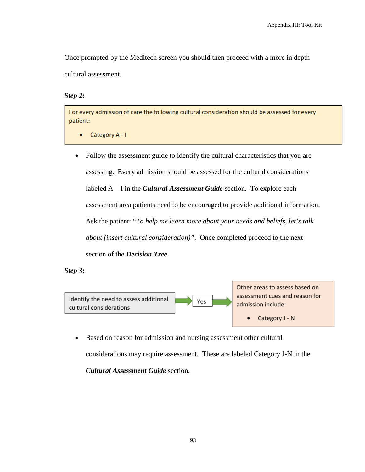Once prompted by the Meditech screen you should then proceed with a more in depth cultural assessment.

### *Step 2***:**

For every admission of care the following cultural consideration should be assessed for every patient:

- Category A I ۰
- Follow the assessment guide to identify the cultural characteristics that you are assessing. Every admission should be assessed for the cultural considerations labeled A – I in the *Cultural Assessment Guide* section. To explore each assessment area patients need to be encouraged to provide additional information. Ask the patient: "*To help me learn more about your needs and beliefs, let's talk about (insert cultural consideration)"*. Once completed proceed to the next section of the *Decision Tree*.

### *Step 3***:**



Other areas to assess based on assessment cues and reason for admission include:

> Category J - N  $\bullet$

• Based on reason for admission and nursing assessment other cultural considerations may require assessment. These are labeled Category J-N in the *Cultural Assessment Guide* section.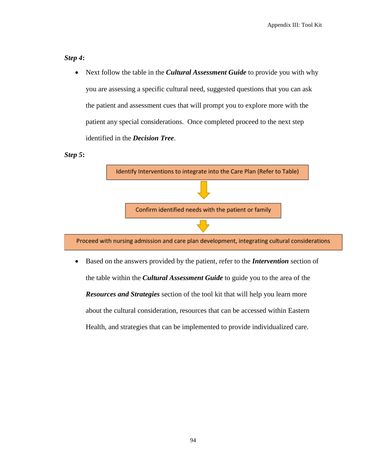## *Step 4***:**

• Next follow the table in the *Cultural Assessment Guide* to provide you with why you are assessing a specific cultural need, suggested questions that you can ask the patient and assessment cues that will prompt you to explore more with the patient any special considerations. Once completed proceed to the next step identified in the *Decision Tree*.

### *Step 5***:**



• Based on the answers provided by the patient, refer to the *Intervention* section of the table within the *Cultural Assessment Guide* to guide you to the area of the *Resources and Strategies* section of the tool kit that will help you learn more about the cultural consideration, resources that can be accessed within Eastern Health, and strategies that can be implemented to provide individualized care.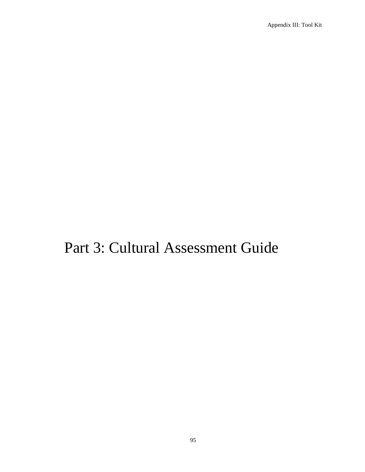# Part 3: Cultural Assessment Guide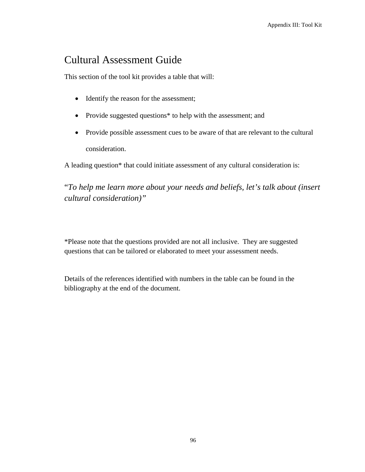# Cultural Assessment Guide

This section of the tool kit provides a table that will:

- Identify the reason for the assessment;
- Provide suggested questions\* to help with the assessment; and
- Provide possible assessment cues to be aware of that are relevant to the cultural consideration.

A leading question\* that could initiate assessment of any cultural consideration is:

"*To help me learn more about your needs and beliefs, let's talk about (insert cultural consideration)"*

\*Please note that the questions provided are not all inclusive. They are suggested questions that can be tailored or elaborated to meet your assessment needs.

Details of the references identified with numbers in the table can be found in the bibliography at the end of the document.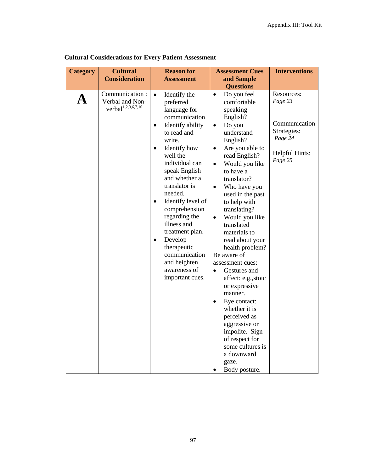| <b>Category</b> | <b>Cultural</b><br><b>Consideration</b>                      | <b>Reason for</b><br><b>Assessment</b>                                                                                                                                                                                                                                                                                                                                                                                                             | <b>Assessment Cues</b><br>and Sample<br><b>Questions</b>                                                                                                                                                                                                                                                                                                                                                                                                                                                                                                                                                                                                                                              | <b>Interventions</b>                                                                          |
|-----------------|--------------------------------------------------------------|----------------------------------------------------------------------------------------------------------------------------------------------------------------------------------------------------------------------------------------------------------------------------------------------------------------------------------------------------------------------------------------------------------------------------------------------------|-------------------------------------------------------------------------------------------------------------------------------------------------------------------------------------------------------------------------------------------------------------------------------------------------------------------------------------------------------------------------------------------------------------------------------------------------------------------------------------------------------------------------------------------------------------------------------------------------------------------------------------------------------------------------------------------------------|-----------------------------------------------------------------------------------------------|
| A               | Communication:<br>Verbal and Non-<br>$verbal^{1,2,3,6,7,10}$ | Identify the<br>$\bullet$<br>preferred<br>language for<br>communication.<br>Identify ability<br>$\bullet$<br>to read and<br>write.<br>Identify how<br>well the<br>individual can<br>speak English<br>and whether a<br>translator is<br>needed.<br>Identify level of<br>$\bullet$<br>comprehension<br>regarding the<br>illness and<br>treatment plan.<br>Develop<br>therapeutic<br>communication<br>and heighten<br>awareness of<br>important cues. | Do you feel<br>$\bullet$<br>comfortable<br>speaking<br>English?<br>Do you<br>$\bullet$<br>understand<br>English?<br>Are you able to<br>$\bullet$<br>read English?<br>Would you like<br>$\bullet$<br>to have a<br>translator?<br>Who have you<br>$\bullet$<br>used in the past<br>to help with<br>translating?<br>Would you like<br>$\bullet$<br>translated<br>materials to<br>read about your<br>health problem?<br>Be aware of<br>assessment cues:<br>Gestures and<br>$\bullet$<br>affect: e.g., stoic<br>or expressive<br>manner.<br>Eye contact:<br>whether it is<br>perceived as<br>aggressive or<br>impolite. Sign<br>of respect for<br>some cultures is<br>a downward<br>gaze.<br>Body posture. | Resources:<br>Page 23<br>Communication<br>Strategies:<br>Page 24<br>Helpful Hints:<br>Page 25 |

**Cultural Considerations for Every Patient Assessment**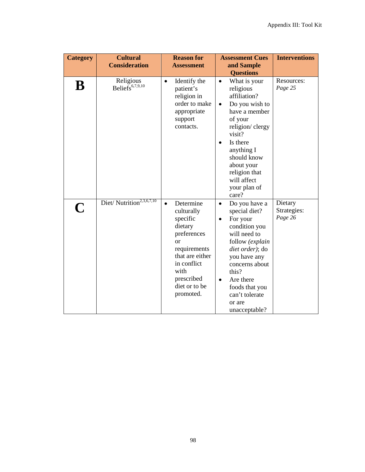| <b>Category</b> | <b>Cultural</b>                          | <b>Reason for</b>                                                                                                                                                                                 | <b>Assessment Cues</b>                                                                                                                                                                                                                                                          | <b>Interventions</b>              |
|-----------------|------------------------------------------|---------------------------------------------------------------------------------------------------------------------------------------------------------------------------------------------------|---------------------------------------------------------------------------------------------------------------------------------------------------------------------------------------------------------------------------------------------------------------------------------|-----------------------------------|
|                 | <b>Consideration</b>                     | <b>Assessment</b>                                                                                                                                                                                 | and Sample<br><b>Questions</b>                                                                                                                                                                                                                                                  |                                   |
| B               | Religious<br>Beliefs <sup>6,7,9,10</sup> | Identify the<br>$\bullet$<br>patient's<br>religion in<br>order to make<br>appropriate<br>support<br>contacts.                                                                                     | What is your<br>$\bullet$<br>religious<br>affiliation?<br>Do you wish to<br>$\bullet$<br>have a member<br>of your<br>religion/clergy<br>visit?<br>Is there<br>$\bullet$<br>anything I<br>should know<br>about your<br>religion that<br>will affect<br>your plan of<br>care?     | Resources:<br>Page 25             |
| $\mathbf C$     | Diet/Nutrition <sup>2,3,6,7,10</sup>     | Determine<br>$\bullet$<br>culturally<br>specific<br>dietary<br>preferences<br><sub>or</sub><br>requirements<br>that are either<br>in conflict<br>with<br>prescribed<br>diet or to be<br>promoted. | Do you have a<br>$\bullet$<br>special diet?<br>For your<br>$\bullet$<br>condition you<br>will need to<br>follow (explain<br>diet order); do<br>you have any<br>concerns about<br>this?<br>Are there<br>$\bullet$<br>foods that you<br>can't tolerate<br>or are<br>unacceptable? | Dietary<br>Strategies:<br>Page 26 |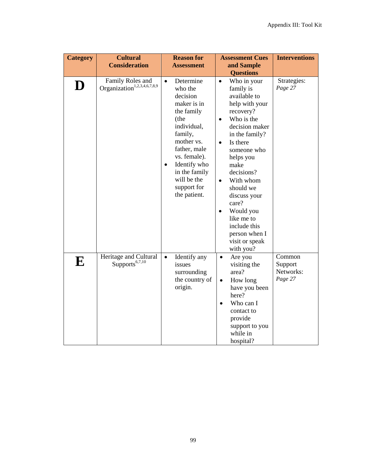| <b>Category</b> | <b>Cultural</b>                                             | <b>Reason for</b>                                                                                                                                                                                                                                      | <b>Assessment Cues</b>                                                                                                                                                                                                                                                                                                                                                                                        | <b>Interventions</b>                      |
|-----------------|-------------------------------------------------------------|--------------------------------------------------------------------------------------------------------------------------------------------------------------------------------------------------------------------------------------------------------|---------------------------------------------------------------------------------------------------------------------------------------------------------------------------------------------------------------------------------------------------------------------------------------------------------------------------------------------------------------------------------------------------------------|-------------------------------------------|
|                 | <b>Consideration</b>                                        | <b>Assessment</b>                                                                                                                                                                                                                                      | and Sample                                                                                                                                                                                                                                                                                                                                                                                                    |                                           |
| D               | Family Roles and<br>Organization <sup>1,2,3,4,6,7,8,9</sup> | Determine<br>$\bullet$<br>who the<br>decision<br>maker is in<br>the family<br>(the<br>individual,<br>family,<br>mother vs.<br>father, male<br>vs. female).<br>Identify who<br>$\bullet$<br>in the family<br>will be the<br>support for<br>the patient. | <b>Questions</b><br>Who in your<br>$\bullet$<br>family is<br>available to<br>help with your<br>recovery?<br>Who is the<br>$\bullet$<br>decision maker<br>in the family?<br>Is there<br>$\bullet$<br>someone who<br>helps you<br>make<br>decisions?<br>With whom<br>$\bullet$<br>should we<br>discuss your<br>care?<br>Would you<br>like me to<br>include this<br>person when I<br>visit or speak<br>with you? | Strategies:<br>Page 27                    |
| ${\bf E}$       | Heritage and Cultural<br>Supports <sup>6,7,10</sup>         | $\bullet$<br>Identify any<br>issues<br>surrounding<br>the country of<br>origin.                                                                                                                                                                        | Are you<br>$\bullet$<br>visiting the<br>area?<br>How long<br>$\bullet$<br>have you been<br>here?<br>Who can I<br>contact to<br>provide<br>support to you<br>while in<br>hospital?                                                                                                                                                                                                                             | Common<br>Support<br>Networks:<br>Page 27 |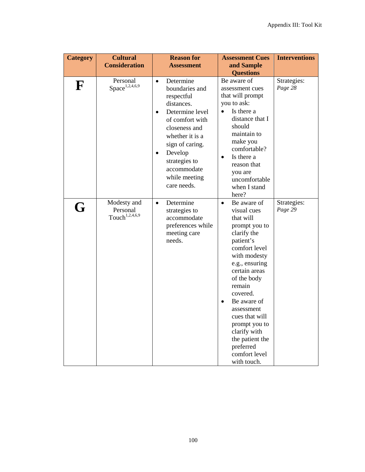| <b>Category</b> | <b>Cultural</b><br><b>Consideration</b>               | <b>Reason for</b><br><b>Assessment</b>                                                                                                                                                                                                                                 | <b>Assessment Cues</b><br>and Sample                                                                                                                                                                                                                                                                                                                       | <b>Interventions</b>   |
|-----------------|-------------------------------------------------------|------------------------------------------------------------------------------------------------------------------------------------------------------------------------------------------------------------------------------------------------------------------------|------------------------------------------------------------------------------------------------------------------------------------------------------------------------------------------------------------------------------------------------------------------------------------------------------------------------------------------------------------|------------------------|
|                 |                                                       |                                                                                                                                                                                                                                                                        | <b>Questions</b>                                                                                                                                                                                                                                                                                                                                           |                        |
| ${\bf F}$       | Personal<br>Space <sup>1,2,4,6,9</sup>                | Determine<br>$\bullet$<br>boundaries and<br>respectful<br>distances.<br>Determine level<br>$\bullet$<br>of comfort with<br>closeness and<br>whether it is a<br>sign of caring.<br>Develop<br>$\bullet$<br>strategies to<br>accommodate<br>while meeting<br>care needs. | Be aware of<br>assessment cues<br>that will prompt<br>you to ask:<br>Is there a<br>distance that I<br>should<br>maintain to<br>make you<br>comfortable?<br>Is there a<br>$\bullet$<br>reason that<br>you are<br>uncomfortable<br>when I stand<br>here?                                                                                                     | Strategies:<br>Page 28 |
| G               | Modesty and<br>Personal<br>Touch <sup>1,2,4,6,9</sup> | Determine<br>$\bullet$<br>strategies to<br>accommodate<br>preferences while<br>meeting care<br>needs.                                                                                                                                                                  | Be aware of<br>$\bullet$<br>visual cues<br>that will<br>prompt you to<br>clarify the<br>patient's<br>comfort level<br>with modesty<br>e.g., ensuring<br>certain areas<br>of the body<br>remain<br>covered.<br>Be aware of<br>assessment<br>cues that will<br>prompt you to<br>clarify with<br>the patient the<br>preferred<br>comfort level<br>with touch. | Strategies:<br>Page 29 |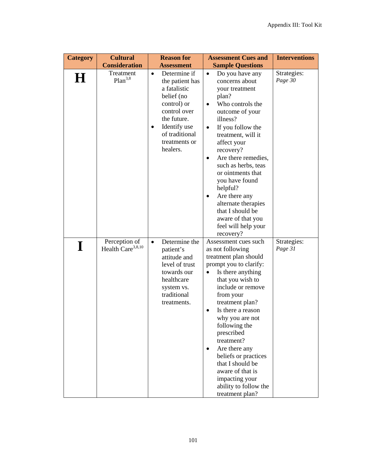| <b>Category</b> | <b>Cultural</b>                                | <b>Reason for</b>                                                                                                                                                                                    | <b>Assessment Cues and</b>                                                                                                                                                                                                                                                                                                                                                                                                                                            | <b>Interventions</b>   |
|-----------------|------------------------------------------------|------------------------------------------------------------------------------------------------------------------------------------------------------------------------------------------------------|-----------------------------------------------------------------------------------------------------------------------------------------------------------------------------------------------------------------------------------------------------------------------------------------------------------------------------------------------------------------------------------------------------------------------------------------------------------------------|------------------------|
|                 | <b>Consideration</b>                           | <b>Assessment</b>                                                                                                                                                                                    | <b>Sample Questions</b>                                                                                                                                                                                                                                                                                                                                                                                                                                               |                        |
| H               | Treatment<br>Plan <sup>3,8</sup>               | Determine if<br>$\bullet$<br>the patient has<br>a fatalistic<br>belief (no<br>control) or<br>control over<br>the future.<br>Identify use<br>$\bullet$<br>of traditional<br>treatments or<br>healers. | Do you have any<br>$\bullet$<br>concerns about<br>your treatment<br>plan?<br>Who controls the<br>$\bullet$<br>outcome of your<br>illness?<br>If you follow the<br>$\bullet$<br>treatment, will it<br>affect your<br>recovery?<br>Are there remedies,<br>$\bullet$<br>such as herbs, teas<br>or ointments that<br>you have found<br>helpful?<br>Are there any<br>٠<br>alternate therapies<br>that I should be<br>aware of that you<br>feel will help your<br>recovery? | Strategies:<br>Page 30 |
| I               | Perception of<br>Health Care <sup>3,8,10</sup> | Determine the<br>$\bullet$<br>patient's<br>attitude and<br>level of trust<br>towards our<br>healthcare<br>system vs.<br>traditional<br>treatments.                                                   | Assessment cues such<br>as not following<br>treatment plan should<br>prompt you to clarify:<br>Is there anything<br>$\bullet$<br>that you wish to<br>include or remove<br>from your<br>treatment plan?<br>Is there a reason<br>why you are not<br>following the<br>prescribed<br>treatment?<br>Are there any<br>$\bullet$<br>beliefs or practices<br>that I should be<br>aware of that is<br>impacting your<br>ability to follow the<br>treatment plan?               | Strategies:<br>Page 31 |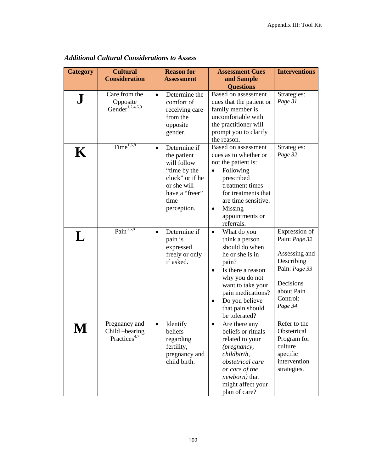| <b>Category</b> | <b>Cultural</b><br><b>Consideration</b>                     | <b>Reason for</b><br><b>Assessment</b>                                                                                                             | <b>Assessment Cues</b><br>and Sample<br><b>Questions</b>                                                                                                                                                                                      | <b>Interventions</b>                                                                                                             |
|-----------------|-------------------------------------------------------------|----------------------------------------------------------------------------------------------------------------------------------------------------|-----------------------------------------------------------------------------------------------------------------------------------------------------------------------------------------------------------------------------------------------|----------------------------------------------------------------------------------------------------------------------------------|
| ${\bf J}$       | Care from the<br>Opposite<br>Gender <sup>1,2,4,6,9</sup>    | Determine the<br>$\bullet$<br>comfort of<br>receiving care<br>from the<br>opposite<br>gender.                                                      | Based on assessment<br>cues that the patient or<br>family member is<br>uncomfortable with<br>the practitioner will<br>prompt you to clarify<br>the reason.                                                                                    | Strategies:<br>Page 31                                                                                                           |
| K               | Time $^{1,6,8}$                                             | Determine if<br>$\bullet$<br>the patient<br>will follow<br>"time by the<br>clock" or if he<br>or she will<br>have a "freer"<br>time<br>perception. | Based on assessment<br>cues as to whether or<br>not the patient is:<br>Following<br>prescribed<br>treatment times<br>for treatments that<br>are time sensitive.<br>Missing<br>$\bullet$<br>appointments or<br>referrals.                      | Strategies:<br>Page 32                                                                                                           |
| L               | Pain $3,5,8$                                                | Determine if<br>$\bullet$<br>pain is<br>expressed<br>freely or only<br>if asked.                                                                   | What do you<br>$\bullet$<br>think a person<br>should do when<br>he or she is in<br>pain?<br>Is there a reason<br>why you do not<br>want to take your<br>pain medications?<br>Do you believe<br>$\bullet$<br>that pain should<br>be tolerated? | Expression of<br>Pain: Page 32<br>Assessing and<br>Describing<br>Pain: Page 33<br>Decisions<br>about Pain<br>Control:<br>Page 34 |
|                 | Pregnancy and<br>Child -bearing<br>Practices <sup>4,7</sup> | Identify<br>$\bullet$<br>beliefs<br>regarding<br>fertility,<br>pregnancy and<br>child birth.                                                       | Are there any<br>$\bullet$<br>beliefs or rituals<br>related to your<br>(pregnancy,<br>childbirth,<br>obstetrical care<br>or care of the<br>newborn) that<br>might affect your<br>plan of care?                                                | Refer to the<br>Obstetrical<br>Program for<br>culture<br>specific<br>intervention<br>strategies.                                 |

*Additional Cultural Considerations to Assess*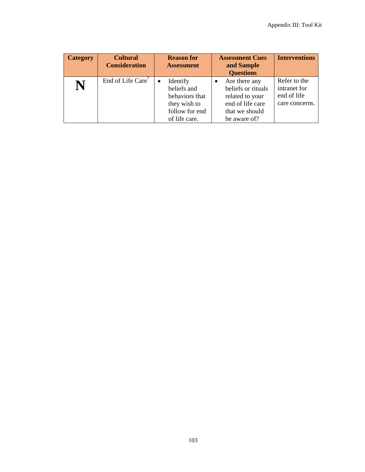| <b>Category</b> | <b>Cultural</b>      | <b>Reason for</b> | <b>Assessment Cues</b>         | <b>Interventions</b> |
|-----------------|----------------------|-------------------|--------------------------------|----------------------|
|                 | <b>Consideration</b> | <b>Assessment</b> | and Sample<br><b>Questions</b> |                      |
|                 |                      |                   |                                |                      |
|                 | End of Life Care'    | Identify<br>٠     | Are there any                  | Refer to the         |
|                 |                      | beliefs and       | beliefs or rituals             | intranet for         |
|                 |                      | behaviors that    | related to your                | end of life          |
|                 |                      | they wish to      | end of life care               | care concerns.       |
|                 |                      | follow for end    | that we should                 |                      |
|                 |                      | of life care.     | be aware of?                   |                      |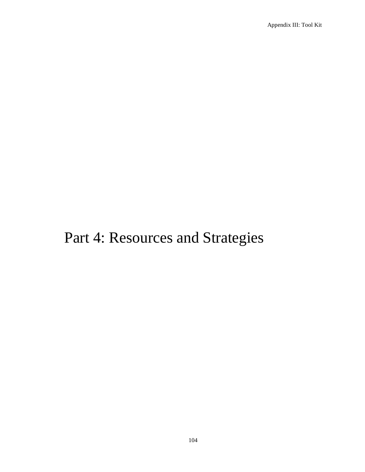# Part 4: Resources and Strategies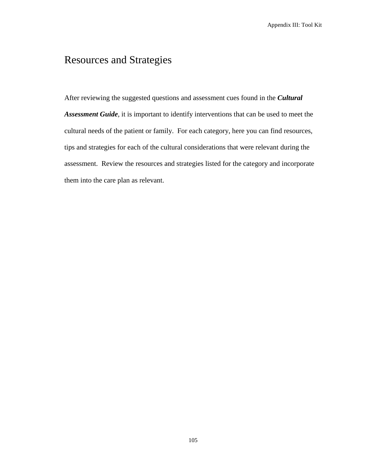## Resources and Strategies

After reviewing the suggested questions and assessment cues found in the *Cultural Assessment Guide*, it is important to identify interventions that can be used to meet the cultural needs of the patient or family. For each category, here you can find resources, tips and strategies for each of the cultural considerations that were relevant during the assessment. Review the resources and strategies listed for the category and incorporate them into the care plan as relevant.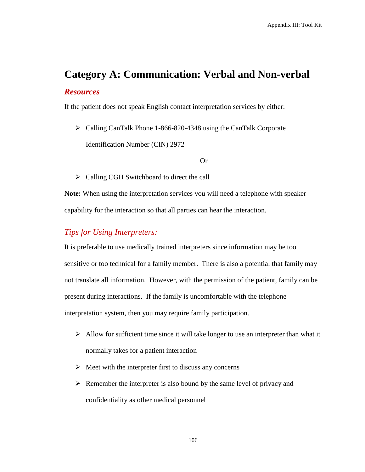# **Category A: Communication: Verbal and Non-verbal** *Resources*

If the patient does not speak English contact interpretation services by either:

 Calling CanTalk Phone 1-866-820-4348 using the CanTalk Corporate Identification Number (CIN) 2972

#### Or

 $\triangleright$  Calling CGH Switchboard to direct the call

**Note:** When using the interpretation services you will need a telephone with speaker capability for the interaction so that all parties can hear the interaction.

### *Tips for Using Interpreters:*

It is preferable to use medically trained interpreters since information may be too sensitive or too technical for a family member. There is also a potential that family may not translate all information. However, with the permission of the patient, family can be present during interactions. If the family is uncomfortable with the telephone interpretation system, then you may require family participation.

- $\triangleright$  Allow for sufficient time since it will take longer to use an interpreter than what it normally takes for a patient interaction
- $\triangleright$  Meet with the interpreter first to discuss any concerns
- $\triangleright$  Remember the interpreter is also bound by the same level of privacy and confidentiality as other medical personnel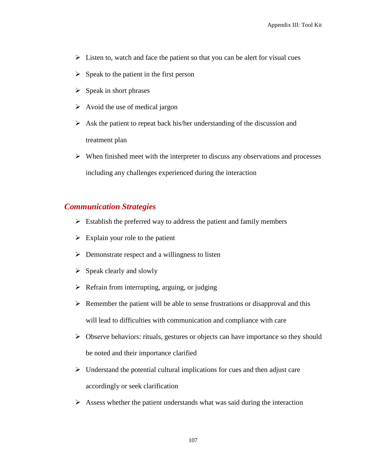- $\triangleright$  Listen to, watch and face the patient so that you can be alert for visual cues
- $\triangleright$  Speak to the patient in the first person
- $\triangleright$  Speak in short phrases
- $\triangleright$  Avoid the use of medical jargon
- $\triangleright$  Ask the patient to repeat back his/her understanding of the discussion and treatment plan
- $\triangleright$  When finished meet with the interpreter to discuss any observations and processes including any challenges experienced during the interaction

## *Communication Strategies*

- $\triangleright$  Establish the preferred way to address the patient and family members
- $\triangleright$  Explain your role to the patient
- $\triangleright$  Demonstrate respect and a willingness to listen
- $\triangleright$  Speak clearly and slowly
- $\triangleright$  Refrain from interrupting, arguing, or judging
- $\triangleright$  Remember the patient will be able to sense frustrations or disapproval and this will lead to difficulties with communication and compliance with care
- $\triangleright$  Observe behaviors: rituals, gestures or objects can have importance so they should be noted and their importance clarified
- $\triangleright$  Understand the potential cultural implications for cues and then adjust care accordingly or seek clarification
- $\triangleright$  Assess whether the patient understands what was said during the interaction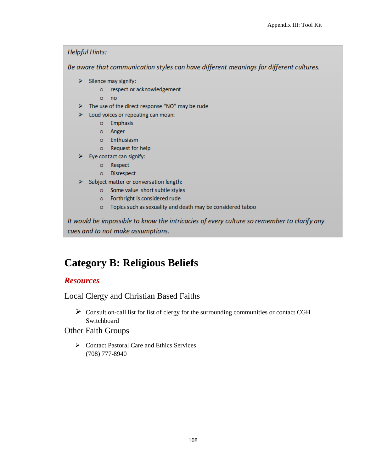### **Helpful Hints:**

Be aware that communication styles can have different meanings for different cultures.

- $\triangleright$  Silence may signify:
	- o respect or acknowledgement
	- $o$  no
- > The use of the direct response "NO" may be rude
- $\triangleright$  Loud voices or repeating can mean:
	- o Emphasis
	- o Anger
	- o Enthusiasm
	- o Request for help
- $\triangleright$  Eye contact can signify:
	- o Respect
	- o Disrespect
- $\triangleright$  Subject matter or conversation length:
	- o Some value short subtle styles
	- o Forthright is considered rude
	- o Topics such as sexuality and death may be considered taboo

It would be impossible to know the intricacies of every culture so remember to clarify any cues and to not make assumptions.

# **Category B: Religious Beliefs**

#### *Resources*

Local Clergy and Christian Based Faiths

 $\triangleright$  Consult on-call list for list of clergy for the surrounding communities or contact CGH Switchboard

#### Other Faith Groups

 Contact Pastoral Care and Ethics Services (708) 777-8940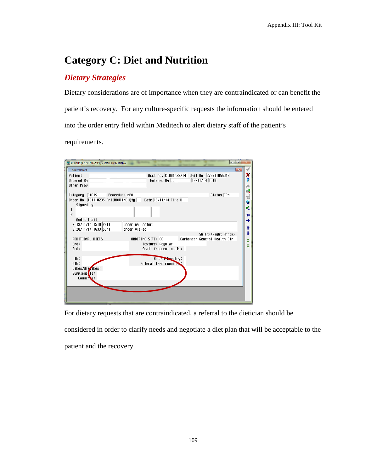# **Category C: Diet and Nutrition**

## *Dietary Strategies*

Dietary considerations are of importance when they are contraindicated or can benefit the patient's recovery. For any culture-specific requests the information should be entered into the order entry field within Meditech to alert dietary staff of the patient's requirements.

| 同<br>THE PCI.GHC (A/LIVE.MIS/1908) - SOMERTON, TONYA                                                                                                                                                                   |                                                                                                                                                                           |                                   |
|------------------------------------------------------------------------------------------------------------------------------------------------------------------------------------------------------------------------|---------------------------------------------------------------------------------------------------------------------------------------------------------------------------|-----------------------------------|
| Order Record<br>Patient<br>Ordered By<br>Other Prov                                                                                                                                                                    | $-x$<br>Acct No. C1001428/14 Unit No. 279711055012<br>$19/11/14$ 1510<br>Entered By $\overline{a}$                                                                        | ×<br>?<br>M                       |
| 鳳<br>Category DIETS<br>Procedure <b>NPO</b><br>Status TRN<br>Ħ<br>Order No. $\overline{1911-0235}$ Pri ROUTINE Qty Date $\overline{19/11/14}$ Time $\overline{D}$<br>$\star$<br>Signed by<br>v.<br>1<br>$\overline{c}$ |                                                                                                                                                                           |                                   |
| Audit Trail<br>2 19/11/14 1510 PETI<br>3 20/11/14 1633 SOMT<br>ADDITIONAL DIFTS<br>2nd:<br>3rd:                                                                                                                        | Ordering Doctor:<br>order viewed<br>Shift+ <right arrow=""><br/>Carbonear General Health Ctr<br/>ORDERING SITE: CG<br/>Texture: Regular<br/>Small frequent meals:</right> | t<br>┹<br>$\hat{\textbf{z}}$<br>¥ |
| 4th:<br>5th:<br>Likes/diszikes:<br>Suppleme <sup>t</sup> ts:<br>Conner <sub>s:</sub>                                                                                                                                   | Breast <b>Seeding</b> :<br>Enteral feed required:                                                                                                                         |                                   |
|                                                                                                                                                                                                                        |                                                                                                                                                                           |                                   |

For dietary requests that are contraindicated, a referral to the dietician should be

considered in order to clarify needs and negotiate a diet plan that will be acceptable to the

patient and the recovery.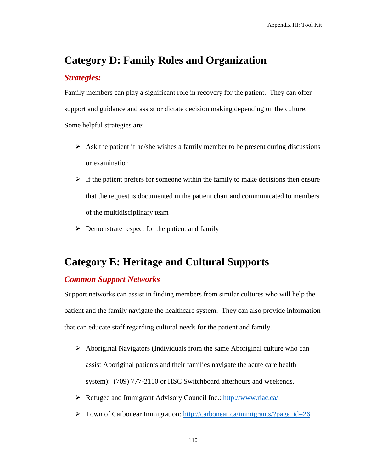## **Category D: Family Roles and Organization**

#### *Strategies:*

Family members can play a significant role in recovery for the patient. They can offer support and guidance and assist or dictate decision making depending on the culture. Some helpful strategies are:

- $\triangleright$  Ask the patient if he/she wishes a family member to be present during discussions or examination
- $\triangleright$  If the patient prefers for someone within the family to make decisions then ensure that the request is documented in the patient chart and communicated to members of the multidisciplinary team
- $\triangleright$  Demonstrate respect for the patient and family

## **Category E: Heritage and Cultural Supports**

#### *Common Support Networks*

Support networks can assist in finding members from similar cultures who will help the patient and the family navigate the healthcare system. They can also provide information that can educate staff regarding cultural needs for the patient and family.

- $\triangleright$  Aboriginal Navigators (Individuals from the same Aboriginal culture who can assist Aboriginal patients and their families navigate the acute care health system): (709) 777-2110 or HSC Switchboard afterhours and weekends.
- Refugee and Immigrant Advisory Council Inc.:<http://www.riac.ca/>
- $\triangleright$  Town of Carbonear Immigration: http://carbonear.ca/immigrants/?page id=26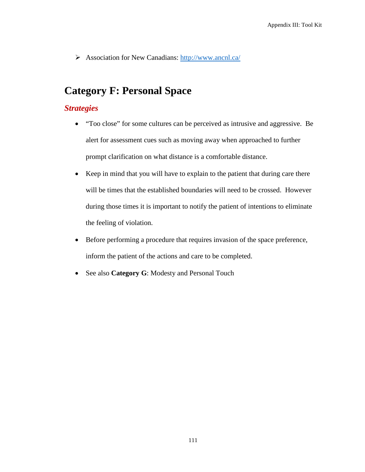Association for New Canadians:<http://www.ancnl.ca/>

# **Category F: Personal Space**

## *Strategies*

- "Too close" for some cultures can be perceived as intrusive and aggressive. Be alert for assessment cues such as moving away when approached to further prompt clarification on what distance is a comfortable distance.
- Keep in mind that you will have to explain to the patient that during care there will be times that the established boundaries will need to be crossed. However during those times it is important to notify the patient of intentions to eliminate the feeling of violation.
- Before performing a procedure that requires invasion of the space preference, inform the patient of the actions and care to be completed.
- See also **Category G**: Modesty and Personal Touch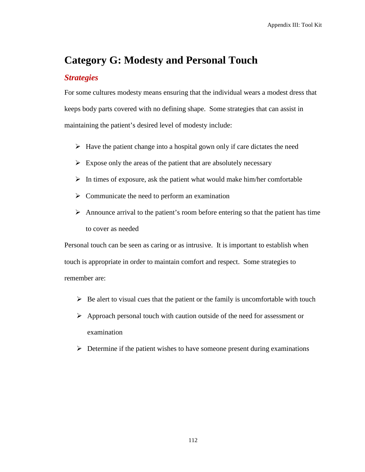## **Category G: Modesty and Personal Touch**

#### *Strategies*

For some cultures modesty means ensuring that the individual wears a modest dress that keeps body parts covered with no defining shape. Some strategies that can assist in maintaining the patient's desired level of modesty include:

- $\triangleright$  Have the patient change into a hospital gown only if care dictates the need
- $\triangleright$  Expose only the areas of the patient that are absolutely necessary
- $\triangleright$  In times of exposure, ask the patient what would make him/her comfortable
- $\triangleright$  Communicate the need to perform an examination
- $\triangleright$  Announce arrival to the patient's room before entering so that the patient has time to cover as needed

Personal touch can be seen as caring or as intrusive. It is important to establish when touch is appropriate in order to maintain comfort and respect. Some strategies to remember are:

- $\triangleright$  Be alert to visual cues that the patient or the family is uncomfortable with touch
- $\triangleright$  Approach personal touch with caution outside of the need for assessment or examination
- $\triangleright$  Determine if the patient wishes to have someone present during examinations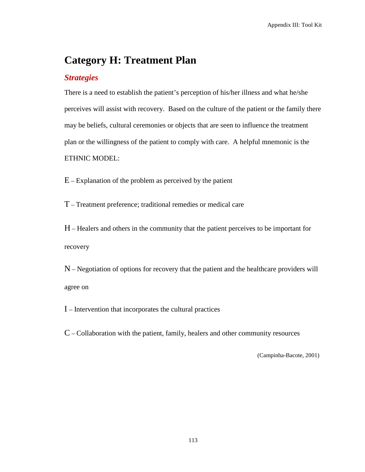## **Category H: Treatment Plan**

#### *Strategies*

There is a need to establish the patient's perception of his/her illness and what he/she perceives will assist with recovery. Based on the culture of the patient or the family there may be beliefs, cultural ceremonies or objects that are seen to influence the treatment plan or the willingness of the patient to comply with care. A helpful mnemonic is the ETHNIC MODEL:

 $E -$  Explanation of the problem as perceived by the patient

T – Treatment preference; traditional remedies or medical care

H – Healers and others in the community that the patient perceives to be important for recovery

N – Negotiation of options for recovery that the patient and the healthcare providers will agree on

I – Intervention that incorporates the cultural practices

C – Collaboration with the patient, family, healers and other community resources

(Campinha-Bacote, 2001)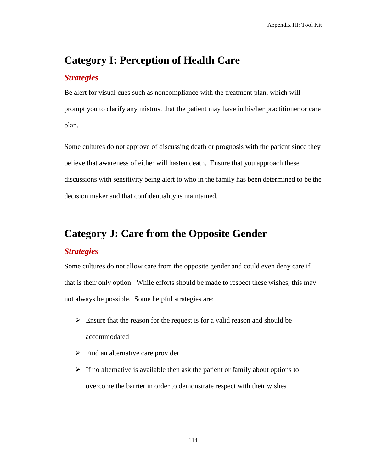## **Category I: Perception of Health Care**

#### *Strategies*

Be alert for visual cues such as noncompliance with the treatment plan, which will prompt you to clarify any mistrust that the patient may have in his/her practitioner or care plan.

Some cultures do not approve of discussing death or prognosis with the patient since they believe that awareness of either will hasten death. Ensure that you approach these discussions with sensitivity being alert to who in the family has been determined to be the decision maker and that confidentiality is maintained.

# **Category J: Care from the Opposite Gender**

#### *Strategies*

Some cultures do not allow care from the opposite gender and could even deny care if that is their only option. While efforts should be made to respect these wishes, this may not always be possible. Some helpful strategies are:

- $\triangleright$  Ensure that the reason for the request is for a valid reason and should be accommodated
- $\triangleright$  Find an alternative care provider
- $\triangleright$  If no alternative is available then ask the patient or family about options to overcome the barrier in order to demonstrate respect with their wishes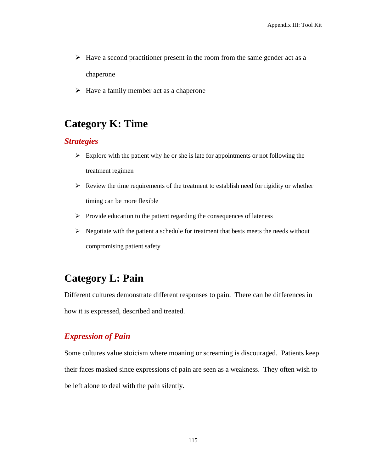- $\triangleright$  Have a second practitioner present in the room from the same gender act as a chaperone
- $\triangleright$  Have a family member act as a chaperone

## **Category K: Time**

#### *Strategies*

- $\triangleright$  Explore with the patient why he or she is late for appointments or not following the treatment regimen
- $\triangleright$  Review the time requirements of the treatment to establish need for rigidity or whether timing can be more flexible
- $\triangleright$  Provide education to the patient regarding the consequences of lateness
- $\triangleright$  Negotiate with the patient a schedule for treatment that bests meets the needs without compromising patient safety

## **Category L: Pain**

Different cultures demonstrate different responses to pain. There can be differences in how it is expressed, described and treated.

## *Expression of Pain*

Some cultures value stoicism where moaning or screaming is discouraged. Patients keep their faces masked since expressions of pain are seen as a weakness. They often wish to be left alone to deal with the pain silently.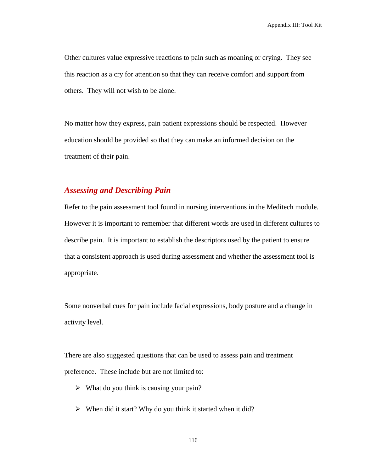Other cultures value expressive reactions to pain such as moaning or crying. They see this reaction as a cry for attention so that they can receive comfort and support from others. They will not wish to be alone.

No matter how they express, pain patient expressions should be respected. However education should be provided so that they can make an informed decision on the treatment of their pain.

#### *Assessing and Describing Pain*

Refer to the pain assessment tool found in nursing interventions in the Meditech module. However it is important to remember that different words are used in different cultures to describe pain. It is important to establish the descriptors used by the patient to ensure that a consistent approach is used during assessment and whether the assessment tool is appropriate.

Some nonverbal cues for pain include facial expressions, body posture and a change in activity level.

There are also suggested questions that can be used to assess pain and treatment preference. These include but are not limited to:

- $\triangleright$  What do you think is causing your pain?
- $\triangleright$  When did it start? Why do you think it started when it did?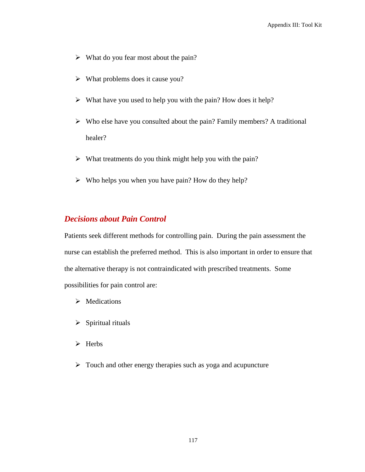- $\triangleright$  What do you fear most about the pain?
- $\triangleright$  What problems does it cause you?
- $\triangleright$  What have you used to help you with the pain? How does it help?
- $\triangleright$  Who else have you consulted about the pain? Family members? A traditional healer?
- $\triangleright$  What treatments do you think might help you with the pain?
- $\triangleright$  Who helps you when you have pain? How do they help?

## *Decisions about Pain Control*

Patients seek different methods for controlling pain. During the pain assessment the nurse can establish the preferred method. This is also important in order to ensure that the alternative therapy is not contraindicated with prescribed treatments. Some possibilities for pain control are:

- > Medications
- $\triangleright$  Spiritual rituals
- > Herbs
- $\triangleright$  Touch and other energy therapies such as yoga and acupuncture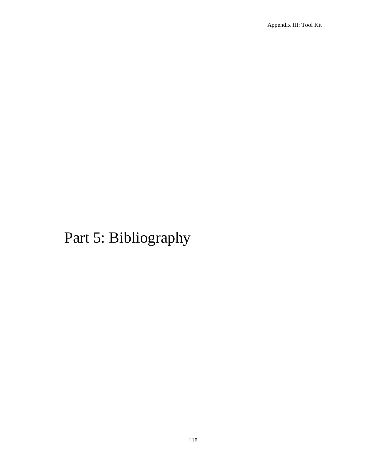# Part 5: Bibliography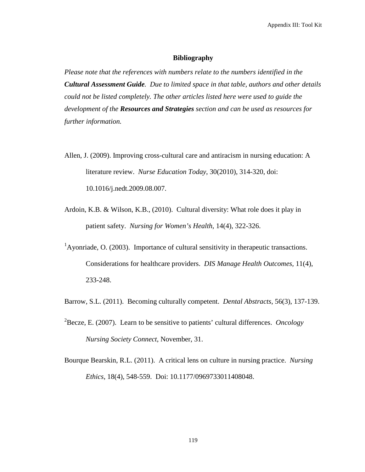Appendix III: Tool Kit

#### **Bibliography**

*Please note that the references with numbers relate to the numbers identified in the Cultural Assessment Guide. Due to limited space in that table, authors and other details could not be listed completely. The other articles listed here were used to guide the development of the Resources and Strategies section and can be used as resources for further information.*

- Allen, J. (2009). Improving cross-cultural care and antiracism in nursing education: A literature review. *Nurse Education Today*, 30(2010), 314-320, doi: 10.1016/j.nedt.2009.08.007.
- Ardoin, K.B. & Wilson, K.B., (2010). Cultural diversity: What role does it play in patient safety. *Nursing for Women's Health*, 14(4), 322-326.
- <sup>1</sup>Ayonriade, O. (2003). Importance of cultural sensitivity in the rapeutic transactions. Considerations for healthcare providers. *DIS Manage Health Outcomes,* 11(4), 233-248.
- Barrow, S.L. (2011). Becoming culturally competent. *Dental Abstracts*, 56(3), 137-139.
- 2 Becze, E. (2007). Learn to be sensitive to patients' cultural differences. *Oncology Nursing Society Connect*, November, 31.
- Bourque Bearskin, R.L. (2011). A critical lens on culture in nursing practice. *Nursing Ethics*, 18(4), 548-559. Doi: 10.1177/0969733011408048.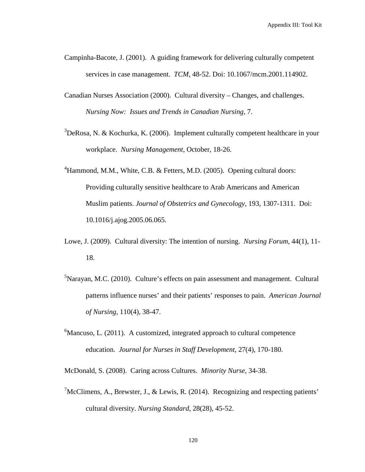- Campinha-Bacote, J. (2001). A guiding framework for delivering culturally competent services in case management. *TCM*, 48-52. Doi: 10.1067/mcm.2001.114902.
- Canadian Nurses Association (2000). Cultural diversity Changes, and challenges. *Nursing Now: Issues and Trends in Canadian Nursing*, 7.
- $3$ DeRosa, N. & Kochurka, K. (2006). Implement culturally competent healthcare in your workplace. *Nursing Management*, October, 18-26.
- <sup>4</sup>Hammond, M.M., White, C.B. & Fetters, M.D. (2005). Opening cultural doors: Providing culturally sensitive healthcare to Arab Americans and American Muslim patients. *Journal of Obstetrics and Gynecology,* 193, 1307-1311. Doi: 10.1016/j.ajog.2005.06.065.
- Lowe, J. (2009). Cultural diversity: The intention of nursing. *Nursing Forum*, 44(1), 11- 18.
- <sup>5</sup>Narayan, M.C. (2010). Culture's effects on pain assessment and management. Cultural patterns influence nurses' and their patients' responses to pain. *American Journal of Nursing,* 110(4), 38-47.
- ${}^{6}$ Mancuso, L. (2011). A customized, integrated approach to cultural competence education. *Journal for Nurses in Staff Development*, 27(4), 170-180.
- McDonald, S. (2008). Caring across Cultures. *Minority Nurse*, 34-38.
- $^7$ McClimens, A., Brewster, J., & Lewis, R. (2014). Recognizing and respecting patients' cultural diversity. *Nursing Standard*, 28(28), 45-52.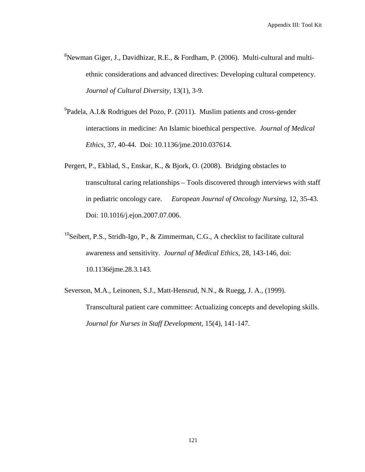- <sup>8</sup>Newman Giger, J., Davidhizar, R.E., & Fordham, P. (2006). Multi-cultural and multiethnic considerations and advanced directives: Developing cultural competency. *Journal of Cultural Diversity*, 13(1), 3-9.
- <sup>9</sup>Padela, A.I.& Rodrigues del Pozo, P. (2011). Muslim patients and cross-gender interactions in medicine: An Islamic bioethical perspective. *Journal of Medical Ethics,* 37, 40-44. Doi: 10.1136/jme.2010.037614.
- Pergert, P., Ekblad, S., Enskar, K., & Bjork, O. (2008). Bridging obstacles to transcultural caring relationships – Tools discovered through interviews with staff in pediatric oncology care. *European Journal of Oncology Nursing*, 12, 35-43. Doi: 10.1016/j.ejon.2007.07.006.
- <sup>10</sup>Seibert, P.S., Stridh-Igo, P., & Zimmerman, C.G., A checklist to facilitate cultural awareness and sensitivity. *Journal of Medical Ethics*, 28, 143-146, doi: 10.1136éjme.28.3.143.
- Severson, M.A., Leinonen, S.J., Matt-Hensrud, N.N., & Ruegg, J. A., (1999). Transcultural patient care committee: Actualizing concepts and developing skills. *Journal for Nurses in Staff Development*, 15(4), 141-147.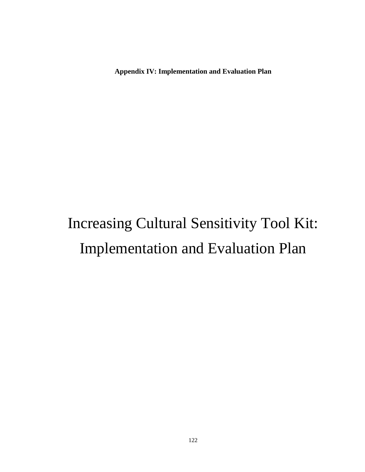**Appendix IV: Implementation and Evaluation Plan**

# Increasing Cultural Sensitivity Tool Kit: Implementation and Evaluation Plan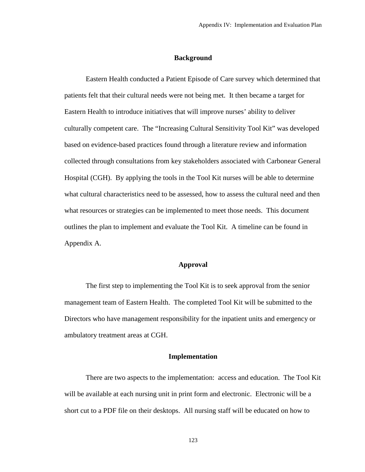#### **Background**

Eastern Health conducted a Patient Episode of Care survey which determined that patients felt that their cultural needs were not being met. It then became a target for Eastern Health to introduce initiatives that will improve nurses' ability to deliver culturally competent care. The "Increasing Cultural Sensitivity Tool Kit" was developed based on evidence-based practices found through a literature review and information collected through consultations from key stakeholders associated with Carbonear General Hospital (CGH). By applying the tools in the Tool Kit nurses will be able to determine what cultural characteristics need to be assessed, how to assess the cultural need and then what resources or strategies can be implemented to meet those needs. This document outlines the plan to implement and evaluate the Tool Kit. A timeline can be found in Appendix A.

#### **Approval**

The first step to implementing the Tool Kit is to seek approval from the senior management team of Eastern Health. The completed Tool Kit will be submitted to the Directors who have management responsibility for the inpatient units and emergency or ambulatory treatment areas at CGH.

#### **Implementation**

There are two aspects to the implementation: access and education. The Tool Kit will be available at each nursing unit in print form and electronic. Electronic will be a short cut to a PDF file on their desktops. All nursing staff will be educated on how to

123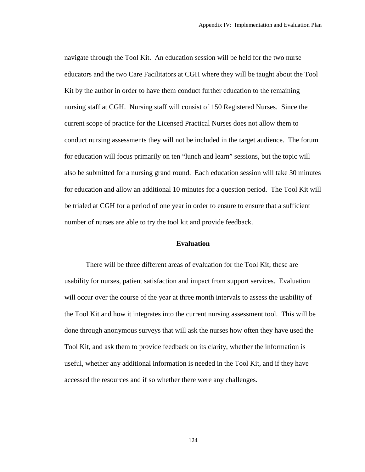navigate through the Tool Kit. An education session will be held for the two nurse educators and the two Care Facilitators at CGH where they will be taught about the Tool Kit by the author in order to have them conduct further education to the remaining nursing staff at CGH. Nursing staff will consist of 150 Registered Nurses. Since the current scope of practice for the Licensed Practical Nurses does not allow them to conduct nursing assessments they will not be included in the target audience. The forum for education will focus primarily on ten "lunch and learn" sessions, but the topic will also be submitted for a nursing grand round. Each education session will take 30 minutes for education and allow an additional 10 minutes for a question period. The Tool Kit will be trialed at CGH for a period of one year in order to ensure to ensure that a sufficient number of nurses are able to try the tool kit and provide feedback.

#### **Evaluation**

There will be three different areas of evaluation for the Tool Kit; these are usability for nurses, patient satisfaction and impact from support services. Evaluation will occur over the course of the year at three month intervals to assess the usability of the Tool Kit and how it integrates into the current nursing assessment tool. This will be done through anonymous surveys that will ask the nurses how often they have used the Tool Kit, and ask them to provide feedback on its clarity, whether the information is useful, whether any additional information is needed in the Tool Kit, and if they have accessed the resources and if so whether there were any challenges.

124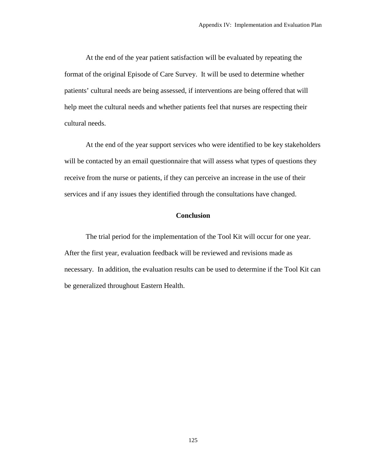At the end of the year patient satisfaction will be evaluated by repeating the format of the original Episode of Care Survey. It will be used to determine whether patients' cultural needs are being assessed, if interventions are being offered that will help meet the cultural needs and whether patients feel that nurses are respecting their cultural needs.

At the end of the year support services who were identified to be key stakeholders will be contacted by an email questionnaire that will assess what types of questions they receive from the nurse or patients, if they can perceive an increase in the use of their services and if any issues they identified through the consultations have changed.

#### **Conclusion**

The trial period for the implementation of the Tool Kit will occur for one year. After the first year, evaluation feedback will be reviewed and revisions made as necessary. In addition, the evaluation results can be used to determine if the Tool Kit can be generalized throughout Eastern Health.